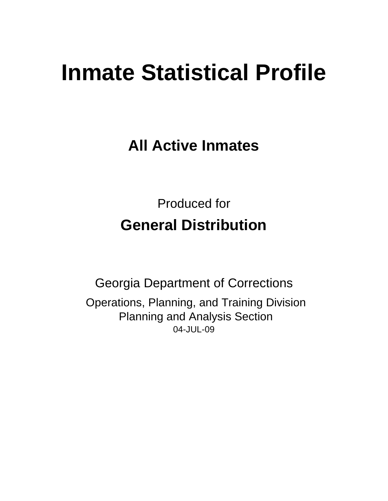# **Inmate Statistical Profile**

**All Active Inmates**

Produced for **General Distribution**

04-JUL-09 Georgia Department of Corrections Operations, Planning, and Training Division Planning and Analysis Section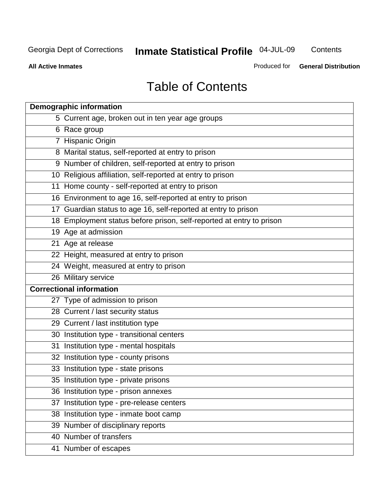**Contents** 

**All Active Inmates**

Produced for **General Distribution**

# Table of Contents

|    | <b>Demographic information</b>                                       |
|----|----------------------------------------------------------------------|
|    | 5 Current age, broken out in ten year age groups                     |
|    | 6 Race group                                                         |
|    | 7 Hispanic Origin                                                    |
|    | 8 Marital status, self-reported at entry to prison                   |
|    | 9 Number of children, self-reported at entry to prison               |
|    | 10 Religious affiliation, self-reported at entry to prison           |
|    | 11 Home county - self-reported at entry to prison                    |
|    | 16 Environment to age 16, self-reported at entry to prison           |
|    | 17 Guardian status to age 16, self-reported at entry to prison       |
|    | 18 Employment status before prison, self-reported at entry to prison |
|    | 19 Age at admission                                                  |
|    | 21 Age at release                                                    |
|    | 22 Height, measured at entry to prison                               |
|    | 24 Weight, measured at entry to prison                               |
|    | 26 Military service                                                  |
|    | <b>Correctional information</b>                                      |
|    | 27 Type of admission to prison                                       |
|    | 28 Current / last security status                                    |
|    | 29 Current / last institution type                                   |
|    | 30 Institution type - transitional centers                           |
|    | 31 Institution type - mental hospitals                               |
|    | 32 Institution type - county prisons                                 |
|    | 33 Institution type - state prisons                                  |
|    | 35 Institution type - private prisons                                |
|    | 36 Institution type - prison annexes                                 |
| 37 | Institution type - pre-release centers                               |
|    | 38 Institution type - inmate boot camp                               |
|    | 39 Number of disciplinary reports                                    |
|    | 40 Number of transfers                                               |
|    | 41 Number of escapes                                                 |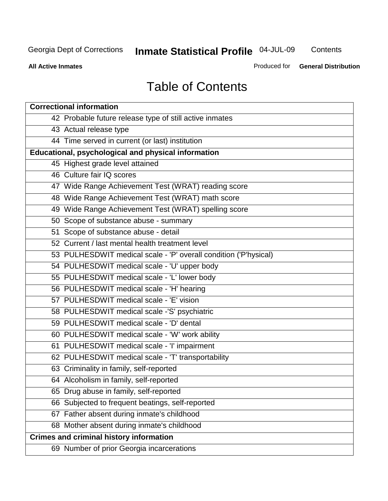**Contents** 

**All Active Inmates**

Produced for **General Distribution**

# Table of Contents

| <b>Correctional information</b>                                  |
|------------------------------------------------------------------|
| 42 Probable future release type of still active inmates          |
| 43 Actual release type                                           |
| 44 Time served in current (or last) institution                  |
| Educational, psychological and physical information              |
| 45 Highest grade level attained                                  |
| 46 Culture fair IQ scores                                        |
| 47 Wide Range Achievement Test (WRAT) reading score              |
| 48 Wide Range Achievement Test (WRAT) math score                 |
| 49 Wide Range Achievement Test (WRAT) spelling score             |
| 50 Scope of substance abuse - summary                            |
| 51 Scope of substance abuse - detail                             |
| 52 Current / last mental health treatment level                  |
| 53 PULHESDWIT medical scale - 'P' overall condition ('P'hysical) |
| 54 PULHESDWIT medical scale - 'U' upper body                     |
| 55 PULHESDWIT medical scale - 'L' lower body                     |
| 56 PULHESDWIT medical scale - 'H' hearing                        |
| 57 PULHESDWIT medical scale - 'E' vision                         |
| 58 PULHESDWIT medical scale -'S' psychiatric                     |
| 59 PULHESDWIT medical scale - 'D' dental                         |
| 60 PULHESDWIT medical scale - 'W' work ability                   |
| 61 PULHESDWIT medical scale - 'I' impairment                     |
| 62 PULHESDWIT medical scale - 'T' transportability               |
| 63 Criminality in family, self-reported                          |
| 64 Alcoholism in family, self-reported                           |
| 65 Drug abuse in family, self-reported                           |
| 66 Subjected to frequent beatings, self-reported                 |
| 67 Father absent during inmate's childhood                       |
| 68 Mother absent during inmate's childhood                       |
| <b>Crimes and criminal history information</b>                   |
| 69 Number of prior Georgia incarcerations                        |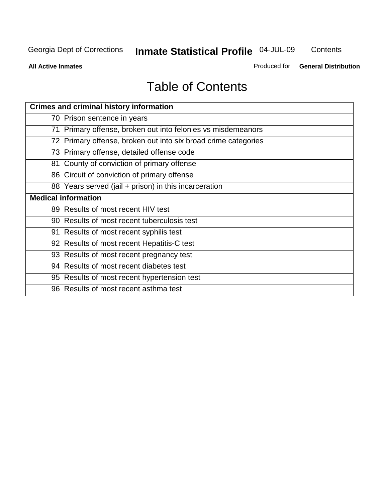**Contents** 

**All Active Inmates**

Produced for **General Distribution**

# Table of Contents

| <b>Crimes and criminal history information</b>                 |
|----------------------------------------------------------------|
| 70 Prison sentence in years                                    |
| 71 Primary offense, broken out into felonies vs misdemeanors   |
| 72 Primary offense, broken out into six broad crime categories |
| 73 Primary offense, detailed offense code                      |
| 81 County of conviction of primary offense                     |
| 86 Circuit of conviction of primary offense                    |
| 88 Years served (jail + prison) in this incarceration          |
| <b>Medical information</b>                                     |
| 89 Results of most recent HIV test                             |
| 90 Results of most recent tuberculosis test                    |
| 91 Results of most recent syphilis test                        |
| 92 Results of most recent Hepatitis-C test                     |
| 93 Results of most recent pregnancy test                       |
| 94 Results of most recent diabetes test                        |
| 95 Results of most recent hypertension test                    |
| 96 Results of most recent asthma test                          |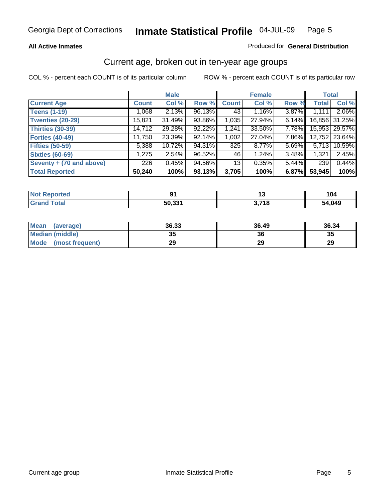### **All Active Inmates**

### Produced for **General Distribution**

### Current age, broken out in ten-year age groups

|                          |              | <b>Male</b> |        |              | <b>Female</b> |          |              | <b>Total</b>    |
|--------------------------|--------------|-------------|--------|--------------|---------------|----------|--------------|-----------------|
| <b>Current Age</b>       | <b>Count</b> | Col %       | Row %  | <b>Count</b> | Col %         | Row %    | <b>Total</b> | Col %           |
| <b>Teens (1-19)</b>      | 1,068        | 2.13%       | 96.13% | 43           | $1.16\%$      | 3.87%    | 1,111        | 2.06%           |
| <b>Twenties (20-29)</b>  | 15,821       | 31.49%      | 93.86% | 1,035        | 27.94%        | $6.14\%$ |              | 16,856 31.25%   |
| <b>Thirties (30-39)</b>  | 14,712       | 29.28%      | 92.22% | 1,241        | 33.50%        | $7.78\%$ |              | 15,953   29.57% |
| <b>Forties (40-49)</b>   | 11,750       | 23.39%      | 92.14% | 1,002        | 27.04%        | 7.86%    |              | 12,752 23.64%   |
| <b>Fifties (50-59)</b>   | 5,388        | 10.72%      | 94.31% | 325          | $8.77\%$      | $5.69\%$ | 5,713        | 10.59%          |
| <b>Sixties (60-69)</b>   | 1,275        | 2.54%       | 96.52% | 46           | 1.24%         | $3.48\%$ | 1,321        | 2.45%           |
| Seventy + (70 and above) | 226          | 0.45%       | 94.56% | 13           | 0.35%         | $5.44\%$ | 239          | 0.44%           |
| <b>Total Reported</b>    | 50,240       | 100%        | 93.13% | 3,705        | 100%          | 6.87%    | 53,945       | 100%            |

| <b>Not Reported</b> | o٠                 | '     | 'U4    |
|---------------------|--------------------|-------|--------|
| fota'               | 50.33 <sup>4</sup> | 3,718 | 54,049 |

| <b>Mean</b><br>(average) | 36.33    | 36.49 | 36.34 |
|--------------------------|----------|-------|-------|
| <b>Median (middle)</b>   | 25<br>vu | 36    | 35    |
| Mode<br>(most frequent)  | 29       | 29    | 29    |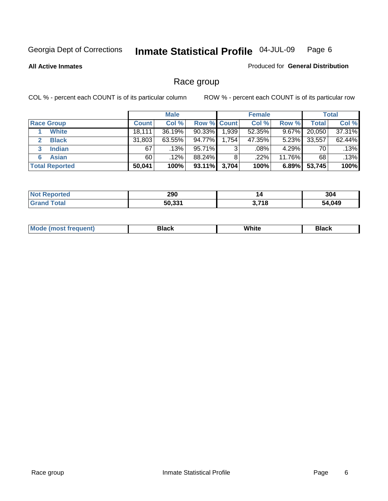### **All Active Inmates**

### Produced for **General Distribution**

# Race group

|                       |              | <b>Male</b> |                    |       | <b>Female</b> |          |        | <b>Total</b> |
|-----------------------|--------------|-------------|--------------------|-------|---------------|----------|--------|--------------|
| <b>Race Group</b>     | <b>Count</b> | Col %       | <b>Row % Count</b> |       | Col %         | Row %    | Total  | Col %        |
| <b>White</b>          | 18,111       | 36.19%      | $90.33\%$          | 1,939 | 52.35%        | 9.67%    | 20,050 | 37.31%       |
| <b>Black</b>          | 31,803       | 63.55%      | 94.77%             | 1,754 | 47.35%        | $5.23\%$ | 33,557 | 62.44%       |
| <b>Indian</b><br>3    | 67           | .13%        | 95.71%             | 3     | .08%          | 4.29%    | 70     | .13%         |
| <b>Asian</b>          | 60           | .12%        | 88.24%             | 8     | .22%          | 11.76%   | 68     | .13%         |
| <b>Total Reported</b> | 50,041       | 100%        | $93.11\%$          | 3,704 | 100%          | 6.89%    | 53,745 | 100%         |

| 290          | 14        | 304  |
|--------------|-----------|------|
| ra aas<br>ы. | 740<br>10 | .049 |

| $ -$ | White<br>Mc<br>DIACK<br>nacn |  |
|------|------------------------------|--|
|------|------------------------------|--|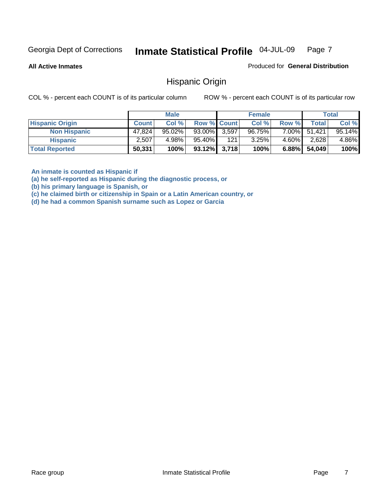**All Active Inmates**

Produced for **General Distribution**

Hispanic Origin

COL % - percent each COUNT is of its particular column ROW % - percent each COUNT is of its particular row

|                        |              | <b>Male</b> |                    |     | <b>Female</b> |          |              | Total  |
|------------------------|--------------|-------------|--------------------|-----|---------------|----------|--------------|--------|
| <b>Hispanic Origin</b> | <b>Count</b> | Col %       | <b>Row % Count</b> |     | Col %         | Row %    | Total        | Col %  |
| <b>Non Hispanic</b>    | 47.824       | $95.02\%$   | 93.00% 3.597       |     | 96.75%        |          | 7.00% 51,421 | 95.14% |
| <b>Hispanic</b>        | 2,507        | 4.98%       | 95.40%             | 121 | 3.25%         | $4.60\%$ | 2,628        | 4.86%  |
| <b>Total Reported</b>  | 50,331       | 100%        | $93.12\%$ 3,718    |     | 100%          | $6.88\%$ | 54,049       | 100%   |

**An inmate is counted as Hispanic if** 

**(a) he self-reported as Hispanic during the diagnostic process, or** 

**(b) his primary language is Spanish, or** 

**(c) he claimed birth or citizenship in Spain or a Latin American country, or** 

**(d) he had a common Spanish surname such as Lopez or Garcia**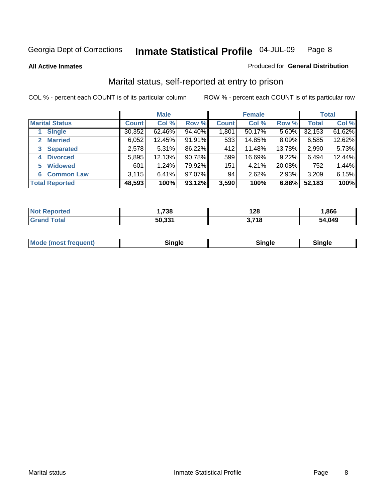**All Active Inmates**

### Produced for **General Distribution**

# Marital status, self-reported at entry to prison

|                                |              | <b>Male</b> |        |              | <b>Female</b> |        |              | <b>Total</b> |
|--------------------------------|--------------|-------------|--------|--------------|---------------|--------|--------------|--------------|
| <b>Marital Status</b>          | <b>Count</b> | Col %       | Row %  | <b>Count</b> | Col %         | Row %  | <b>Total</b> | Col %        |
| <b>Single</b>                  | 30,352       | 62.46%      | 94.40% | 1,801        | 50.17%        | 5.60%  | 32,153       | 61.62%       |
| <b>Married</b><br>$\mathbf{2}$ | 6,052        | 12.45%      | 91.91% | 533          | 14.85%        | 8.09%  | 6,585        | 12.62%       |
| <b>Separated</b><br>3          | 2,578        | 5.31%       | 86.22% | 412          | 11.48%        | 13.78% | 2,990        | 5.73%        |
| <b>Divorced</b><br>4           | 5,895        | 12.13%      | 90.78% | 599          | 16.69%        | 9.22%  | 6,494        | 12.44%       |
| <b>Widowed</b><br>5            | 601          | 1.24%       | 79.92% | 151          | 4.21%         | 20.08% | 752          | 1.44%        |
| <b>Common Law</b><br>6         | 3,115        | 6.41%       | 97.07% | 94           | 2.62%         | 2.93%  | 3,209        | 6.15%        |
| <b>Total Reported</b>          | 48,593       | 100%        | 93.12% | 3,590        | 100%          | 6.88%  | 52,183       | 100%         |

| NO              | ,738        | 128                 | .866   |
|-----------------|-------------|---------------------|--------|
| $\sim$ 4 $\sim$ | 50.33'<br>. | 2740<br>- I C<br>v. | 54.049 |

|  | Mode (most f<br>freauent) | `ınale |  | `inale |
|--|---------------------------|--------|--|--------|
|--|---------------------------|--------|--|--------|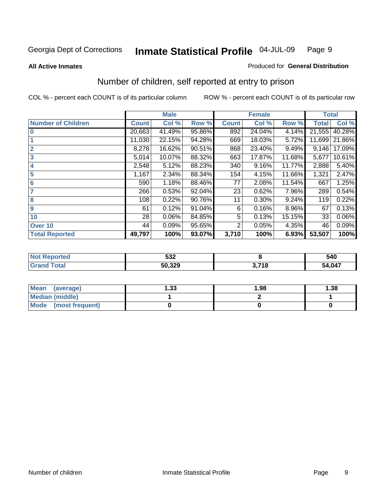### **All Active Inmates**

### Produced for **General Distribution**

# Number of children, self reported at entry to prison

|                           | <b>Male</b>  |        |        |              | <b>Female</b> |        | <b>Total</b> |        |
|---------------------------|--------------|--------|--------|--------------|---------------|--------|--------------|--------|
| <b>Number of Children</b> | <b>Count</b> | Col %  | Row %  | <b>Count</b> | Col %         | Row %  | <b>Total</b> | Col %  |
| $\bf{0}$                  | 20,663       | 41.49% | 95.86% | 892          | 24.04%        | 4.14%  | 21,555       | 40.28% |
|                           | 11,030       | 22.15% | 94.28% | 669          | 18.03%        | 5.72%  | 11,699       | 21.86% |
| $\overline{2}$            | 8,278        | 16.62% | 90.51% | 868          | 23.40%        | 9.49%  | 9,146        | 17.09% |
| 3                         | 5,014        | 10.07% | 88.32% | 663          | 17.87%        | 11.68% | 5,677        | 10.61% |
| 4                         | 2,548        | 5.12%  | 88.23% | 340          | 9.16%         | 11.77% | 2,888        | 5.40%  |
| 5                         | 1,167        | 2.34%  | 88.34% | 154          | 4.15%         | 11.66% | 1,321        | 2.47%  |
| $6\phantom{a}$            | 590          | 1.18%  | 88.46% | 77           | 2.08%         | 11.54% | 667          | 1.25%  |
| 7                         | 266          | 0.53%  | 92.04% | 23           | 0.62%         | 7.96%  | 289          | 0.54%  |
| 8                         | 108          | 0.22%  | 90.76% | 11           | 0.30%         | 9.24%  | 119          | 0.22%  |
| 9                         | 61           | 0.12%  | 91.04% | 6            | 0.16%         | 8.96%  | 67           | 0.13%  |
| 10                        | 28           | 0.06%  | 84.85% | 5            | 0.13%         | 15.15% | 33           | 0.06%  |
| Over 10                   | 44           | 0.09%  | 95.65% | 2            | 0.05%         | 4.35%  | 46           | 0.09%  |
| <b>Total Reported</b>     | 49,797       | 100%   | 93.07% | 3,710        | 100%          | 6.93%  | 53,507       | 100%   |

| rted       | につつ<br>ວວ∠<br>$ -$ |            | 540    |
|------------|--------------------|------------|--------|
| <b>ota</b> | こへ へへへ<br>-11      | <b>740</b> | 54,047 |

| Mean<br>(average)       | l.33 | 1.98 | 38. ا |
|-------------------------|------|------|-------|
| <b>Median (middle)</b>  |      |      |       |
| Mode<br>(most frequent) |      |      |       |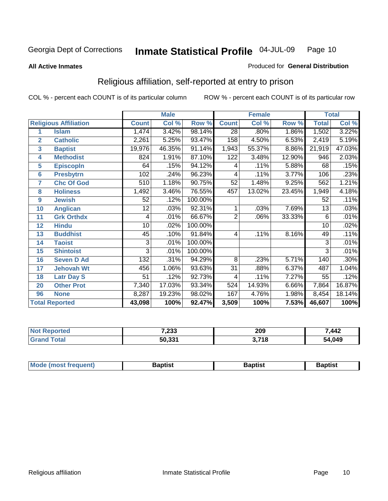#### **All Active Inmates**

### Produced for **General Distribution**

# Religious affiliation, self-reported at entry to prison

|                         |                              | <b>Male</b>  |        |         |                 | <b>Female</b> |        | <b>Total</b>    |        |
|-------------------------|------------------------------|--------------|--------|---------|-----------------|---------------|--------|-----------------|--------|
|                         | <b>Religious Affiliation</b> | <b>Count</b> | Col %  | Row %   | <b>Count</b>    | Col %         | Row %  | <b>Total</b>    | Col %  |
| 1                       | <b>Islam</b>                 | 1,474        | 3.42%  | 98.14%  | $\overline{28}$ | .80%          | 1.86%  | 1,502           | 3.22%  |
| $\overline{\mathbf{2}}$ | <b>Catholic</b>              | 2,261        | 5.25%  | 93.47%  | 158             | 4.50%         | 6.53%  | 2,419           | 5.19%  |
| 3                       | <b>Baptist</b>               | 19,976       | 46.35% | 91.14%  | 1,943           | 55.37%        | 8.86%  | 21,919          | 47.03% |
| 4                       | <b>Methodist</b>             | 824          | 1.91%  | 87.10%  | 122             | 3.48%         | 12.90% | 946             | 2.03%  |
| 5                       | <b>EpiscopIn</b>             | 64           | .15%   | 94.12%  | 4               | .11%          | 5.88%  | 68              | .15%   |
| 6                       | <b>Presbytrn</b>             | 102          | .24%   | 96.23%  | 4               | .11%          | 3.77%  | 106             | .23%   |
| 7                       | <b>Chc Of God</b>            | 510          | 1.18%  | 90.75%  | 52              | 1.48%         | 9.25%  | 562             | 1.21%  |
| 8                       | <b>Holiness</b>              | 1,492        | 3.46%  | 76.55%  | 457             | 13.02%        | 23.45% | 1,949           | 4.18%  |
| $\boldsymbol{9}$        | <b>Jewish</b>                | 52           | .12%   | 100.00% |                 |               |        | 52              | .11%   |
| 10                      | <b>Anglican</b>              | 12           | .03%   | 92.31%  |                 | .03%          | 7.69%  | 13              | .03%   |
| 11                      | <b>Grk Orthdx</b>            | 4            | .01%   | 66.67%  | 2               | .06%          | 33.33% | 6               | .01%   |
| 12                      | <b>Hindu</b>                 | 10           | .02%   | 100.00% |                 |               |        | $\overline{10}$ | .02%   |
| 13                      | <b>Buddhist</b>              | 45           | .10%   | 91.84%  | $\overline{4}$  | .11%          | 8.16%  | 49              | .11%   |
| 14                      | <b>Taoist</b>                | 3            | .01%   | 100.00% |                 |               |        | 3               | .01%   |
| 15                      | <b>Shintoist</b>             | 3            | .01%   | 100.00% |                 |               |        | 3               | .01%   |
| 16                      | <b>Seven D Ad</b>            | 132          | .31%   | 94.29%  | 8               | .23%          | 5.71%  | 140             | .30%   |
| 17                      | <b>Jehovah Wt</b>            | 456          | 1.06%  | 93.63%  | $\overline{31}$ | .88%          | 6.37%  | 487             | 1.04%  |
| 18                      | <b>Latr Day S</b>            | 51           | .12%   | 92.73%  | 4               | .11%          | 7.27%  | 55              | .12%   |
| 20                      | <b>Other Prot</b>            | 7,340        | 17.03% | 93.34%  | 524             | 14.93%        | 6.66%  | 7,864           | 16.87% |
| 96                      | <b>None</b>                  | 8,287        | 19.23% | 98.02%  | 167             | 4.76%         | 1.98%  | 8,454           | 18.14% |
|                         | <b>Total Reported</b>        | 43,098       | 100%   | 92.47%  | 3,509           | 100%          | 7.53%  | 46,607          | 100%   |

| 7.000<br>ככ∡, | 209<br>__ | ,442   |
|---------------|-----------|--------|
| 50.331        | .718      | 4,049, |

| <b>Mode</b><br>frequent)<br>umost | 3aptist | 3aptist | <b>Baptist</b> |
|-----------------------------------|---------|---------|----------------|
|                                   |         |         |                |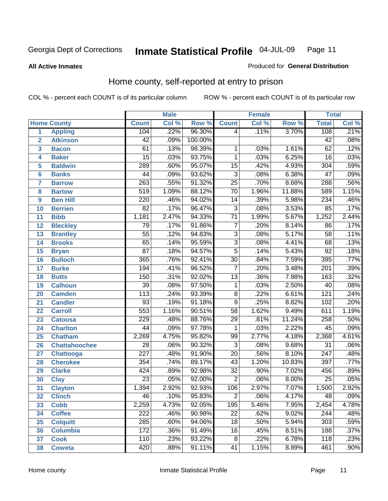### **All Active Inmates**

### Produced for **General Distribution**

# Home county, self-reported at entry to prison

|                 |                      |                  | <b>Male</b> |         |                 | <b>Female</b> |        | <b>Total</b>     |       |
|-----------------|----------------------|------------------|-------------|---------|-----------------|---------------|--------|------------------|-------|
|                 | <b>Home County</b>   | <b>Count</b>     | Col %       | Row %   | <b>Count</b>    | Col %         | Row %  | <b>Total</b>     | Col % |
| 1               | <b>Appling</b>       | 104              | .22%        | 96.30%  | 4               | .11%          | 3.70%  | 108              | .21%  |
| $\overline{2}$  | <b>Atkinson</b>      | $\overline{42}$  | .09%        | 100.00% |                 |               |        | $\overline{42}$  | .08%  |
| 3               | <b>Bacon</b>         | 61               | .13%        | 98.39%  | 1               | .03%          | 1.61%  | $\overline{62}$  | .12%  |
| 4               | <b>Baker</b>         | $\overline{15}$  | .03%        | 93.75%  | $\mathbf{1}$    | .03%          | 6.25%  | $\overline{16}$  | .03%  |
| 5               | <b>Baldwin</b>       | 289              | .60%        | 95.07%  | $\overline{15}$ | .42%          | 4.93%  | $\overline{304}$ | .59%  |
| $6\phantom{a}$  | <b>Banks</b>         | $\overline{44}$  | .09%        | 93.62%  | $\overline{3}$  | .08%          | 6.38%  | $\overline{47}$  | .09%  |
| $\overline{7}$  | <b>Barrow</b>        | $\overline{263}$ | .55%        | 91.32%  | $\overline{25}$ | .70%          | 8.68%  | 288              | .56%  |
| 8               | <b>Bartow</b>        | $\overline{519}$ | 1.09%       | 88.12%  | $\overline{70}$ | 1.96%         | 11.88% | 589              | 1.15% |
| 9               | <b>Ben Hill</b>      | $\overline{220}$ | .46%        | 94.02%  | $\overline{14}$ | .39%          | 5.98%  | 234              | .46%  |
| 10              | <b>Berrien</b>       | $\overline{82}$  | .17%        | 96.47%  | $\overline{3}$  | .08%          | 3.53%  | 85               | .17%  |
| 11              | <b>Bibb</b>          | 1,181            | 2.47%       | 94.33%  | $\overline{71}$ | 1.99%         | 5.67%  | 1,252            | 2.44% |
| 12              | <b>Bleckley</b>      | $\overline{79}$  | .17%        | 91.86%  | $\overline{7}$  | .20%          | 8.14%  | 86               | .17%  |
| $\overline{13}$ | <b>Brantley</b>      | $\overline{55}$  | .12%        | 94.83%  | $\overline{3}$  | .08%          | 5.17%  | $\overline{58}$  | .11%  |
| $\overline{14}$ | <b>Brooks</b>        | $\overline{65}$  | .14%        | 95.59%  | $\overline{3}$  | .08%          | 4.41%  | 68               | .13%  |
| 15              | <b>Bryan</b>         | $\overline{87}$  | .18%        | 94.57%  | $\overline{5}$  | .14%          | 5.43%  | $\overline{92}$  | .18%  |
| 16              | <b>Bulloch</b>       | 365              | .76%        | 92.41%  | $\overline{30}$ | .84%          | 7.59%  | 395              | .77%  |
| $\overline{17}$ | <b>Burke</b>         | 194              | .41%        | 96.52%  | $\overline{7}$  | .20%          | 3.48%  | $\overline{201}$ | .39%  |
| 18              | <b>Butts</b>         | 150              | .31%        | 92.02%  | $\overline{13}$ | .36%          | 7.98%  | 163              | .32%  |
| 19              | <b>Calhoun</b>       | $\overline{39}$  | .08%        | 97.50%  | $\mathbf{1}$    | .03%          | 2.50%  | $\overline{40}$  | .08%  |
| 20              | <b>Camden</b>        | $\overline{113}$ | .24%        | 93.39%  | $\overline{8}$  | .22%          | 6.61%  | $\overline{121}$ | .24%  |
| 21              | <b>Candler</b>       | $\overline{93}$  | .19%        | 91.18%  | $\overline{9}$  | .25%          | 8.82%  | 102              | .20%  |
| $\overline{22}$ | <b>Carroll</b>       | $\overline{553}$ | 1.16%       | 90.51%  | $\overline{58}$ | 1.62%         | 9.49%  | 611              | 1.19% |
| 23              | <b>Catoosa</b>       | 229              | .48%        | 88.76%  | $\overline{29}$ | .81%          | 11.24% | 258              | .50%  |
| 24              | <b>Charlton</b>      | $\overline{44}$  | .09%        | 97.78%  | $\mathbf{1}$    | .03%          | 2.22%  | $\overline{45}$  | .09%  |
| 25              | <b>Chatham</b>       | 2,269            | 4.75%       | 95.82%  | 99              | 2.77%         | 4.18%  | 2,368            | 4.61% |
| 26              | <b>Chattahoochee</b> | $\overline{28}$  | .06%        | 90.32%  | $\overline{3}$  | .08%          | 9.68%  | $\overline{31}$  | .06%  |
| 27              | <b>Chattooga</b>     | $\overline{227}$ | .48%        | 91.90%  | $\overline{20}$ | .56%          | 8.10%  | $\overline{247}$ | .48%  |
| 28              | <b>Cherokee</b>      | 354              | .74%        | 89.17%  | $\overline{43}$ | 1.20%         | 10.83% | 397              | .77%  |
| 29              | <b>Clarke</b>        | 424              | .89%        | 92.98%  | $\overline{32}$ | .90%          | 7.02%  | 456              | .89%  |
| 30              | <b>Clay</b>          | $\overline{23}$  | .05%        | 92.00%  | $\overline{2}$  | .06%          | 8.00%  | $\overline{25}$  | .05%  |
| $\overline{31}$ | <b>Clayton</b>       | 1,394            | 2.92%       | 92.93%  | 106             | 2.97%         | 7.07%  | 1,500            | 2.92% |
| 32              | <b>Clinch</b>        | 46               | .10%        | 95.83%  | 2               | .06%          | 4.17%  | 48               | .09%  |
| 33              | <b>Cobb</b>          | 2,259            | 4.73%       | 92.05%  | 195             | 5.46%         | 7.95%  | 2,454            | 4.78% |
| 34              | <b>Coffee</b>        | $\overline{222}$ | .46%        | 90.98%  | $\overline{22}$ | .62%          | 9.02%  | $\overline{244}$ | .48%  |
| 35              | <b>Colquitt</b>      | $\overline{285}$ | .60%        | 94.06%  | $\overline{18}$ | .50%          | 5.94%  | $\overline{303}$ | .59%  |
| 36              | <b>Columbia</b>      | 172              | .36%        | 91.49%  | 16              | .45%          | 8.51%  | 188              | .37%  |
| 37              | <b>Cook</b>          | 110              | .23%        | 93.22%  | $\overline{8}$  | .22%          | 6.78%  | 118              | .23%  |
| 38              | <b>Coweta</b>        | 420              | .88%        | 91.11%  | $\overline{41}$ | 1.15%         | 8.89%  | 461              | .90%  |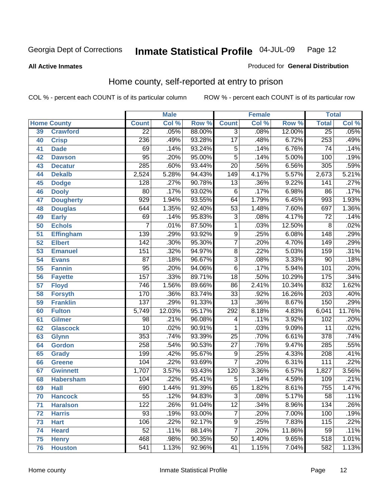**All Active Inmates**

### Produced for **General Distribution**

# Home county, self-reported at entry to prison

|                 |                    |                  | <b>Male</b> |                  |                  | <b>Female</b> |        | <b>Total</b>     |        |
|-----------------|--------------------|------------------|-------------|------------------|------------------|---------------|--------|------------------|--------|
|                 | <b>Home County</b> | <b>Count</b>     | Col %       | Row <sup>%</sup> | <b>Count</b>     | Col %         | Row %  | <b>Total</b>     | Col %  |
| 39              | <b>Crawford</b>    | $\overline{22}$  | .05%        | 88.00%           | $\overline{3}$   | .08%          | 12.00% | $\overline{25}$  | .05%   |
| 40              | <b>Crisp</b>       | 236              | .49%        | 93.28%           | $\overline{17}$  | .48%          | 6.72%  | 253              | .49%   |
| 41              | <b>Dade</b>        | 69               | .14%        | 93.24%           | 5                | .14%          | 6.76%  | $\overline{74}$  | .14%   |
| 42              | <b>Dawson</b>      | 95               | .20%        | 95.00%           | $\overline{5}$   | .14%          | 5.00%  | 100              | .19%   |
| 43              | <b>Decatur</b>     | $\overline{285}$ | .60%        | 93.44%           | $\overline{20}$  | .56%          | 6.56%  | 305              | .59%   |
| 44              | <b>Dekalb</b>      | 2,524            | 5.28%       | 94.43%           | $\overline{149}$ | 4.17%         | 5.57%  | 2,673            | 5.21%  |
| 45              | <b>Dodge</b>       | 128              | .27%        | 90.78%           | $\overline{13}$  | .36%          | 9.22%  | 141              | .27%   |
| 46              | <b>Dooly</b>       | $\overline{80}$  | .17%        | 93.02%           | $\overline{6}$   | .17%          | 6.98%  | 86               | .17%   |
| 47              | <b>Dougherty</b>   | $\overline{929}$ | 1.94%       | 93.55%           | 64               | 1.79%         | 6.45%  | 993              | 1.93%  |
| 48              | <b>Douglas</b>     | 644              | 1.35%       | 92.40%           | $\overline{53}$  | 1.48%         | 7.60%  | 697              | 1.36%  |
| 49              | <b>Early</b>       | 69               | .14%        | 95.83%           | $\overline{3}$   | .08%          | 4.17%  | $\overline{72}$  | .14%   |
| 50              | <b>Echols</b>      | 7                | .01%        | 87.50%           | $\mathbf{1}$     | .03%          | 12.50% | 8                | .02%   |
| $\overline{51}$ | <b>Effingham</b>   | 139              | .29%        | 93.92%           | $\overline{9}$   | .25%          | 6.08%  | $\overline{148}$ | .29%   |
| 52              | <b>Elbert</b>      | $\overline{142}$ | .30%        | 95.30%           | $\overline{7}$   | .20%          | 4.70%  | 149              | .29%   |
| 53              | <b>Emanuel</b>     | 151              | .32%        | 94.97%           | $\overline{8}$   | .22%          | 5.03%  | 159              | .31%   |
| 54              | <b>Evans</b>       | $\overline{87}$  | .18%        | 96.67%           | $\overline{3}$   | .08%          | 3.33%  | $\overline{90}$  | .18%   |
| 55              | <b>Fannin</b>      | $\overline{95}$  | .20%        | 94.06%           | $\overline{6}$   | .17%          | 5.94%  | 101              | .20%   |
| 56              | <b>Fayette</b>     | 157              | .33%        | 89.71%           | $\overline{18}$  | .50%          | 10.29% | 175              | .34%   |
| 57              | <b>Floyd</b>       | 746              | 1.56%       | 89.66%           | 86               | 2.41%         | 10.34% | 832              | 1.62%  |
| 58              | <b>Forsyth</b>     | 170              | .36%        | 83.74%           | $\overline{33}$  | .92%          | 16.26% | $\overline{203}$ | .40%   |
| 59              | <b>Franklin</b>    | 137              | .29%        | 91.33%           | $\overline{13}$  | .36%          | 8.67%  | 150              | .29%   |
| 60              | <b>Fulton</b>      | 5,749            | 12.03%      | 95.17%           | 292              | 8.18%         | 4.83%  | 6,041            | 11.76% |
| 61              | Gilmer             | 98               | .21%        | 96.08%           | 4                | .11%          | 3.92%  | 102              | .20%   |
| 62              | <b>Glascock</b>    | $\overline{10}$  | .02%        | 90.91%           | 1                | .03%          | 9.09%  | $\overline{11}$  | .02%   |
| 63              | <b>Glynn</b>       | 353              | .74%        | 93.39%           | $\overline{25}$  | .70%          | 6.61%  | $\overline{378}$ | .74%   |
| 64              | <b>Gordon</b>      | 258              | .54%        | 90.53%           | $\overline{27}$  | .76%          | 9.47%  | 285              | .55%   |
| 65              | <b>Grady</b>       | 199              | .42%        | 95.67%           | 9                | .25%          | 4.33%  | $\overline{208}$ | .41%   |
| 66              | <b>Greene</b>      | 104              | .22%        | 93.69%           | 7                | .20%          | 6.31%  | 111              | .22%   |
| 67              | <b>Gwinnett</b>    | 1,707            | 3.57%       | 93.43%           | 120              | 3.36%         | 6.57%  | 1,827            | 3.56%  |
| 68              | <b>Habersham</b>   | 104              | .22%        | 95.41%           | $\overline{5}$   | .14%          | 4.59%  | 109              | .21%   |
| 69              | <b>Hall</b>        | 690              | 1.44%       | 91.39%           | 65               | 1.82%         | 8.61%  | 755              | 1.47%  |
| 70              | <b>Hancock</b>     | 55               | .12%        | 94.83%           | 3                | .08%          | 5.17%  | 58               | .11%   |
| 71              | <b>Haralson</b>    | 122              | .26%        | 91.04%           | $\overline{12}$  | .34%          | 8.96%  | 134              | .26%   |
| 72              | <b>Harris</b>      | 93               | .19%        | 93.00%           | $\overline{7}$   | .20%          | 7.00%  | 100              | .19%   |
| 73              | <b>Hart</b>        | 106              | .22%        | 92.17%           | $\overline{9}$   | .25%          | 7.83%  | 115              | .22%   |
| 74              | <b>Heard</b>       | $\overline{52}$  | .11%        | 88.14%           | $\overline{7}$   | .20%          | 11.86% | 59               | .11%   |
| 75              | <b>Henry</b>       | 468              | .98%        | 90.35%           | $\overline{50}$  | 1.40%         | 9.65%  | 518              | 1.01%  |
| 76              | <b>Houston</b>     | $\overline{541}$ | 1.13%       | 92.96%           | 41               | 1.15%         | 7.04%  | 582              | 1.13%  |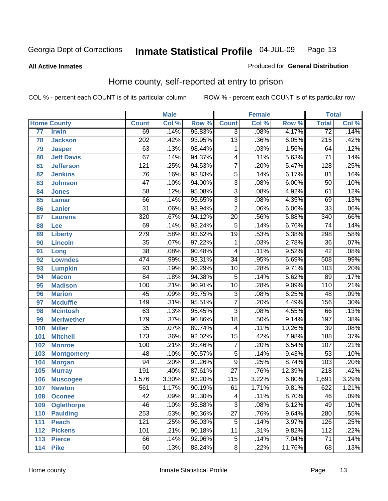### **All Active Inmates**

### Produced for **General Distribution**

# Home county, self-reported at entry to prison

|     |                    |                  | <b>Male</b> |        |                           | <b>Female</b> |        | <b>Total</b>     |                            |
|-----|--------------------|------------------|-------------|--------|---------------------------|---------------|--------|------------------|----------------------------|
|     | <b>Home County</b> | <b>Count</b>     | Col %       | Row %  | <b>Count</b>              | Col %         | Row %  | <b>Total</b>     | $\overline{\text{Col }^9}$ |
| 77  | <b>Irwin</b>       | 69               | .14%        | 95.83% | $\overline{3}$            | .08%          | 4.17%  | $\overline{72}$  | .14%                       |
| 78  | <b>Jackson</b>     | $\overline{202}$ | .42%        | 93.95% | $\overline{13}$           | .36%          | 6.05%  | $\overline{215}$ | .42%                       |
| 79  | <b>Jasper</b>      | 63               | .13%        | 98.44% | $\mathbf{1}$              | .03%          | 1.56%  | 64               | .12%                       |
| 80  | <b>Jeff Davis</b>  | 67               | .14%        | 94.37% | 4                         | .11%          | 5.63%  | 71               | .14%                       |
| 81  | <b>Jefferson</b>   | $\overline{121}$ | .25%        | 94.53% | $\overline{7}$            | .20%          | 5.47%  | 128              | .25%                       |
| 82  | <b>Jenkins</b>     | $\overline{76}$  | .16%        | 93.83% | $\overline{5}$            | .14%          | 6.17%  | $\overline{81}$  | .16%                       |
| 83  | <b>Johnson</b>     | $\overline{47}$  | .10%        | 94.00% | $\overline{3}$            | .08%          | 6.00%  | $\overline{50}$  | .10%                       |
| 84  | <b>Jones</b>       | 58               | .12%        | 95.08% | $\overline{3}$            | .08%          | 4.92%  | 61               | .12%                       |
| 85  | <b>Lamar</b>       | 66               | .14%        | 95.65% | $\overline{3}$            | .08%          | 4.35%  | 69               | .13%                       |
| 86  | <b>Lanier</b>      | $\overline{31}$  | .06%        | 93.94% | $\overline{2}$            | .06%          | 6.06%  | $\overline{33}$  | .06%                       |
| 87  | <b>Laurens</b>     | $\overline{320}$ | .67%        | 94.12% | $\overline{20}$           | .56%          | 5.88%  | 340              | .66%                       |
| 88  | Lee                | 69               | .14%        | 93.24% | $\overline{5}$            | .14%          | 6.76%  | 74               | .14%                       |
| 89  | <b>Liberty</b>     | $\overline{279}$ | .58%        | 93.62% | $\overline{19}$           | .53%          | 6.38%  | 298              | .58%                       |
| 90  | <b>Lincoln</b>     | $\overline{35}$  | .07%        | 97.22% | 1                         | .03%          | 2.78%  | $\overline{36}$  | .07%                       |
| 91  | Long               | $\overline{38}$  | .08%        | 90.48% | 4                         | .11%          | 9.52%  | $\overline{42}$  | .08%                       |
| 92  | <b>Lowndes</b>     | $\overline{474}$ | .99%        | 93.31% | $\overline{34}$           | .95%          | 6.69%  | 508              | .99%                       |
| 93  | <b>Lumpkin</b>     | 93               | .19%        | 90.29% | $\overline{10}$           | .28%          | 9.71%  | 103              | .20%                       |
| 94  | <b>Macon</b>       | $\overline{84}$  | .18%        | 94.38% | 5                         | .14%          | 5.62%  | 89               | .17%                       |
| 95  | <b>Madison</b>     | 100              | .21%        | 90.91% | $\overline{10}$           | .28%          | 9.09%  | 110              | .21%                       |
| 96  | <b>Marion</b>      | $\overline{45}$  | .09%        | 93.75% | $\overline{3}$            | .08%          | 6.25%  | 48               | .09%                       |
| 97  | <b>Mcduffie</b>    | 149              | .31%        | 95.51% | $\overline{7}$            | .20%          | 4.49%  | 156              | .30%                       |
| 98  | <b>Mcintosh</b>    | 63               | .13%        | 95.45% | $\overline{3}$            | .08%          | 4.55%  | 66               | .13%                       |
| 99  | <b>Meriwether</b>  | 179              | .37%        | 90.86% | $\overline{18}$           | .50%          | 9.14%  | 197              | .38%                       |
| 100 | <b>Miller</b>      | $\overline{35}$  | .07%        | 89.74% | $\overline{4}$            | .11%          | 10.26% | 39               | .08%                       |
| 101 | <b>Mitchell</b>    | 173              | .36%        | 92.02% | $\overline{15}$           | .42%          | 7.98%  | 188              | .37%                       |
| 102 | <b>Monroe</b>      | 100              | .21%        | 93.46% | $\overline{7}$            | .20%          | 6.54%  | 107              | .21%                       |
| 103 | <b>Montgomery</b>  | 48               | .10%        | 90.57% | $\overline{5}$            | .14%          | 9.43%  | $\overline{53}$  | .10%                       |
| 104 | <b>Morgan</b>      | 94               | .20%        | 91.26% | $\overline{9}$            | .25%          | 8.74%  | 103              | .20%                       |
| 105 | <b>Murray</b>      | 191              | .40%        | 87.61% | $\overline{27}$           | .76%          | 12.39% | $\overline{218}$ | .42%                       |
| 106 | <b>Muscogee</b>    | 1,576            | 3.30%       | 93.20% | 115                       | 3.22%         | 6.80%  | 1,691            | 3.29%                      |
| 107 | <b>Newton</b>      | 561              | 1.17%       | 90.19% | 61                        | 1.71%         | 9.81%  | 622              | 1.21%                      |
| 108 | <b>Oconee</b>      | 42               | .09%        | 91.30% | 4                         | .11%          | 8.70%  | 46               | $.09\%$                    |
| 109 | <b>Oglethorpe</b>  | 46               | .10%        | 93.88% | $\overline{\overline{3}}$ | .08%          | 6.12%  | 49               | .10%                       |
| 110 | <b>Paulding</b>    | 253              | .53%        | 90.36% | $\overline{27}$           | .76%          | 9.64%  | 280              | .55%                       |
| 111 | <b>Peach</b>       | 121              | .25%        | 96.03% | $\overline{5}$            | .14%          | 3.97%  | 126              | .25%                       |
| 112 | <b>Pickens</b>     | 101              | .21%        | 90.18% | 11                        | .31%          | 9.82%  | 112              | .22%                       |
| 113 | <b>Pierce</b>      | 66               | .14%        | 92.96% | 5                         | .14%          | 7.04%  | 71               | .14%                       |
| 114 | <b>Pike</b>        | 60               | .13%        | 88.24% | $\overline{8}$            | .22%          | 11.76% | 68               | .13%                       |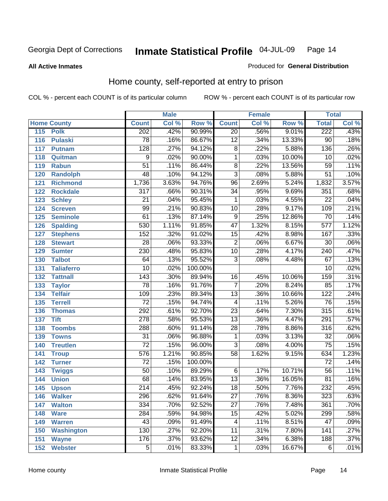### **All Active Inmates**

### Produced for **General Distribution**

# Home county, self-reported at entry to prison

|     |                    |                  | <b>Male</b> |                  |                 | <b>Female</b> |        | <b>Total</b>     |       |
|-----|--------------------|------------------|-------------|------------------|-----------------|---------------|--------|------------------|-------|
|     | <b>Home County</b> | <b>Count</b>     | Col %       | Row <sup>%</sup> | <b>Count</b>    | Col %         | Row %  | <b>Total</b>     | Col % |
| 115 | <b>Polk</b>        | 202              | .42%        | 90.99%           | $\overline{20}$ | .56%          | 9.01%  | 222              | .43%  |
| 116 | <b>Pulaski</b>     | $\overline{78}$  | .16%        | 86.67%           | $\overline{12}$ | .34%          | 13.33% | $\overline{90}$  | .18%  |
| 117 | <b>Putnam</b>      | 128              | .27%        | 94.12%           | 8               | .22%          | 5.88%  | 136              | .26%  |
| 118 | Quitman            | $\overline{9}$   | .02%        | 90.00%           | $\mathbf{1}$    | .03%          | 10.00% | 10               | .02%  |
| 119 | <b>Rabun</b>       | $\overline{51}$  | .11%        | 86.44%           | $\overline{8}$  | .22%          | 13.56% | 59               | .11%  |
| 120 | <b>Randolph</b>    | $\overline{48}$  | .10%        | 94.12%           | $\overline{3}$  | .08%          | 5.88%  | $\overline{51}$  | .10%  |
| 121 | <b>Richmond</b>    | 1,736            | 3.63%       | 94.76%           | $\overline{96}$ | 2.69%         | 5.24%  | 1,832            | 3.57% |
| 122 | <b>Rockdale</b>    | 317              | .66%        | 90.31%           | $\overline{34}$ | .95%          | 9.69%  | 351              | .68%  |
| 123 | <b>Schley</b>      | $\overline{21}$  | .04%        | 95.45%           | 1               | .03%          | 4.55%  | $\overline{22}$  | .04%  |
| 124 | <b>Screven</b>     | 99               | .21%        | 90.83%           | $\overline{10}$ | .28%          | 9.17%  | 109              | .21%  |
| 125 | <b>Seminole</b>    | 61               | .13%        | 87.14%           | 9               | .25%          | 12.86% | 70               | .14%  |
| 126 | <b>Spalding</b>    | 530              | 1.11%       | 91.85%           | $\overline{47}$ | 1.32%         | 8.15%  | 577              | 1.12% |
| 127 | <b>Stephens</b>    | 152              | .32%        | 91.02%           | $\overline{15}$ | .42%          | 8.98%  | 167              | .33%  |
| 128 | <b>Stewart</b>     | $\overline{28}$  | .06%        | 93.33%           | $\overline{2}$  | .06%          | 6.67%  | $\overline{30}$  | .06%  |
| 129 | <b>Sumter</b>      | $\overline{230}$ | .48%        | 95.83%           | $\overline{10}$ | .28%          | 4.17%  | 240              | .47%  |
| 130 | <b>Talbot</b>      | 64               | .13%        | 95.52%           | $\overline{3}$  | .08%          | 4.48%  | 67               | .13%  |
| 131 | <b>Taliaferro</b>  | $\overline{10}$  | .02%        | 100.00%          |                 |               |        | $\overline{10}$  | .02%  |
| 132 | <b>Tattnall</b>    | $\overline{143}$ | .30%        | 89.94%           | $\overline{16}$ | .45%          | 10.06% | 159              | .31%  |
| 133 | <b>Taylor</b>      | $\overline{78}$  | .16%        | 91.76%           | $\overline{7}$  | .20%          | 8.24%  | 85               | .17%  |
| 134 | <b>Telfair</b>     | 109              | .23%        | 89.34%           | $\overline{13}$ | .36%          | 10.66% | 122              | .24%  |
| 135 | <b>Terrell</b>     | $\overline{72}$  | .15%        | 94.74%           | 4               | .11%          | 5.26%  | 76               | .15%  |
| 136 | <b>Thomas</b>      | 292              | .61%        | 92.70%           | $\overline{23}$ | .64%          | 7.30%  | 315              | .61%  |
| 137 | <b>Tift</b>        | $\overline{278}$ | .58%        | 95.53%           | $\overline{13}$ | .36%          | 4.47%  | $\overline{291}$ | .57%  |
| 138 | <b>Toombs</b>      | 288              | .60%        | 91.14%           | $\overline{28}$ | .78%          | 8.86%  | 316              | .62%  |
| 139 | <b>Towns</b>       | $\overline{31}$  | .06%        | 96.88%           | 1               | .03%          | 3.13%  | 32               | .06%  |
| 140 | <b>Treutlen</b>    | $\overline{72}$  | .15%        | 96.00%           | $\overline{3}$  | .08%          | 4.00%  | $\overline{75}$  | .15%  |
| 141 | <b>Troup</b>       | 576              | 1.21%       | 90.85%           | $\overline{58}$ | 1.62%         | 9.15%  | 634              | 1.23% |
| 142 | <b>Turner</b>      | $\overline{72}$  | .15%        | 100.00%          |                 |               |        | $\overline{72}$  | .14%  |
| 143 | <b>Twiggs</b>      | $\overline{50}$  | .10%        | 89.29%           | 6               | .17%          | 10.71% | $\overline{56}$  | .11%  |
| 144 | <b>Union</b>       | 68               | .14%        | 83.95%           | $\overline{13}$ | .36%          | 16.05% | 81               | .16%  |
| 145 | <b>Upson</b>       | $\overline{214}$ | .45%        | 92.24%           | $\overline{18}$ | .50%          | 7.76%  | 232              | .45%  |
| 146 | <b>Walker</b>      | 296              | .62%        | 91.64%           | $\overline{27}$ | .76%          | 8.36%  | $\overline{323}$ | .63%  |
| 147 | <b>Walton</b>      | 334              | .70%        | 92.52%           | $\overline{27}$ | .76%          | 7.48%  | 361              | .70%  |
| 148 | <b>Ware</b>        | $\overline{284}$ | .59%        | 94.98%           | $\overline{15}$ | .42%          | 5.02%  | 299              | .58%  |
| 149 | <b>Warren</b>      | 43               | .09%        | 91.49%           | 4               | .11%          | 8.51%  | 47               | .09%  |
| 150 | <b>Washington</b>  | 130              | .27%        | 92.20%           | 11              | .31%          | 7.80%  | 141              | .27%  |
| 151 | <b>Wayne</b>       | 176              | .37%        | 93.62%           | $\overline{12}$ | .34%          | 6.38%  | 188              | .37%  |
| 152 | <b>Webster</b>     | $\overline{5}$   | .01%        | 83.33%           | 1               | .03%          | 16.67% | 6                | .01%  |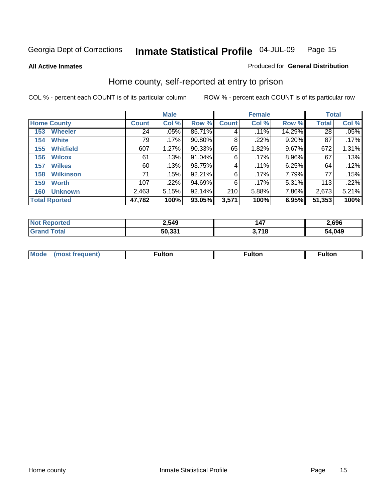**All Active Inmates**

### Produced for **General Distribution**

# Home county, self-reported at entry to prison

|                    |                      |              | <b>Male</b> |        |              | <b>Female</b> | <b>Total</b> |              |       |
|--------------------|----------------------|--------------|-------------|--------|--------------|---------------|--------------|--------------|-------|
| <b>Home County</b> |                      | <b>Count</b> | Col %       | Row %  | <b>Count</b> | Col %         | Row %        | <b>Total</b> | Col % |
| 153                | <b>Wheeler</b>       | 24           | .05%        | 85.71% | 4            | $.11\%$       | 14.29%       | 28           | .05%  |
| 154                | <b>White</b>         | 79           | $.17\%$     | 90.80% | 8            | .22%          | 9.20%        | 87           | .17%  |
| 155                | <b>Whitfield</b>     | 607          | 1.27%       | 90.33% | 65           | 1.82%         | 9.67%        | 672          | 1.31% |
| 156                | <b>Wilcox</b>        | 61           | .13%        | 91.04% | 6            | $.17\%$       | 8.96%        | 67           | .13%  |
| 157                | <b>Wilkes</b>        | 60           | .13%        | 93.75% | 4            | $.11\%$       | 6.25%        | 64           | .12%  |
| 158                | <b>Wilkinson</b>     | 71           | .15%        | 92.21% | 6            | .17%          | 7.79%        | 77           | .15%  |
| 159                | <b>Worth</b>         | 107          | .22%        | 94.69% | 6            | $.17\%$       | 5.31%        | 113          | .22%  |
| 160                | <b>Unknown</b>       | 2,463        | 5.15%       | 92.14% | 210          | 5.88%         | 7.86%        | 2,673        | 5.21% |
|                    | <b>Total Rported</b> | 47,782       | 100%        | 93.05% | 3,571        | 100%          | 6.95%        | 51,353       | 100%  |

| oorted<br>ומשו | 2,549  | 147   | 2,696       |
|----------------|--------|-------|-------------|
| otal<br>. Gr   | 50.331 | 3,718 | .049<br>- ה |

| <b>Mode</b> | ---<br>.tor | <b>ulton</b> | . |
|-------------|-------------|--------------|---|
|             |             |              |   |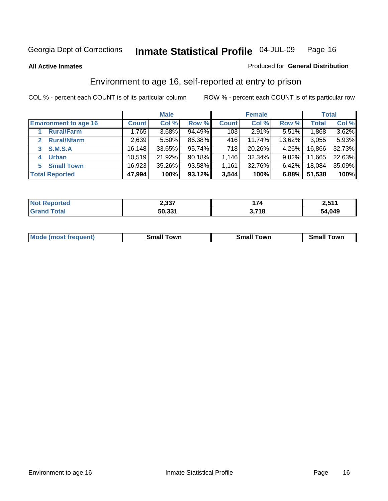#### **All Active Inmates**

### Produced for **General Distribution**

# Environment to age 16, self-reported at entry to prison

|                                    | <b>Male</b>  |        |           | <b>Female</b> |          |          | <b>Total</b> |        |
|------------------------------------|--------------|--------|-----------|---------------|----------|----------|--------------|--------|
| <b>Environment to age 16</b>       | <b>Count</b> | Col %  | Row %     | <b>Count</b>  | Col %    | Row %    | <b>Total</b> | Col %  |
| <b>Rural/Farm</b>                  | 1,765        | 3.68%  | 94.49%    | 103           | $2.91\%$ | 5.51%    | 1,868        | 3.62%  |
| <b>Rural/Nfarm</b><br>$\mathbf{2}$ | 2,639        | 5.50%  | 86.38%    | 416           | 11.74%   | 13.62%   | 3,055        | 5.93%  |
| <b>S.M.S.A</b>                     | 16, 148      | 33.65% | 95.74%    | 718           | 20.26%   | $4.26\%$ | 16,866       | 32.73% |
| <b>Urban</b><br>4                  | 10,519       | 21.92% | $90.18\%$ | 1,146         | 32.34%   | $9.82\%$ | 11,665       | 22.63% |
| <b>Small Town</b><br>5             | 16,923       | 35.26% | 93.58%    | 1,161         | 32.76%   | $6.42\%$ | 18,084       | 35.09% |
| <b>Total Reported</b>              | 47,994       | 100%   | 93.12%    | 3,544         | 100%     | 6.88%    | 51,538       | 100%   |

| <b>Not Reported</b> | 2,337  | 74    | 2,511  |
|---------------------|--------|-------|--------|
| <b>Grand Total</b>  | 50,331 | 3,718 | 54,049 |

| <b>Mode (most frequent)</b><br>Small<br>Towr<br>Town<br>.small<br>own<br>รmaแ |  |  |
|-------------------------------------------------------------------------------|--|--|
|                                                                               |  |  |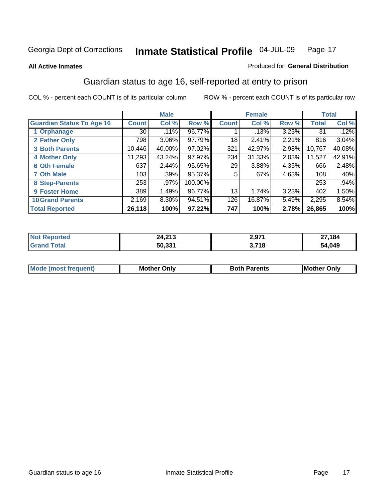**All Active Inmates**

### Produced for **General Distribution**

# Guardian status to age 16, self-reported at entry to prison

|                                  |              | <b>Male</b> |         |              | <b>Female</b> |       |              | <b>Total</b> |
|----------------------------------|--------------|-------------|---------|--------------|---------------|-------|--------------|--------------|
| <b>Guardian Status To Age 16</b> | <b>Count</b> | Col %       | Row %   | <b>Count</b> | Col %         | Row % | <b>Total</b> | Col %        |
| 1 Orphanage                      | 30           | .11%        | 96.77%  |              | .13%          | 3.23% | 31           | .12%         |
| 2 Father Only                    | 798          | 3.06%       | 97.79%  | 18           | 2.41%         | 2.21% | 816          | 3.04%        |
| <b>3 Both Parents</b>            | 10,446       | 40.00%      | 97.02%  | 321          | 42.97%        | 2.98% | 10,767       | 40.08%       |
| <b>4 Mother Only</b>             | 11,293       | 43.24%      | 97.97%  | 234          | 31.33%        | 2.03% | 11,527       | 42.91%       |
| <b>6 Oth Female</b>              | 637          | 2.44%       | 95.65%  | 29           | 3.88%         | 4.35% | 666          | 2.48%        |
| <b>7 Oth Male</b>                | 103          | .39%        | 95.37%  | 5            | .67%          | 4.63% | 108          | .40%         |
| 8 Step-Parents                   | 253          | .97%        | 100.00% |              |               |       | 253          | .94%         |
| 9 Foster Home                    | 389          | 1.49%       | 96.77%  | 13           | 1.74%         | 3.23% | 402          | 1.50%        |
| <b>10 Grand Parents</b>          | 2,169        | 8.30%       | 94.51%  | 126          | 16.87%        | 5.49% | 2,295        | 8.54%        |
| <b>Total Reported</b>            | 26,118       | 100%        | 97.22%  | 747          | 100%          | 2.78% | 26,865       | 100%         |

| orted<br>. Nr | 14. GAO<br><b>24,413</b> | 2,971                       | 27,184 |
|---------------|--------------------------|-----------------------------|--------|
| . Gr          | 50.33'                   | $\rightarrow$ 740<br>J.I IO | 54,049 |

| Mode | Dnlv<br>Mot | <b>Roth</b><br>Parents | <b>IMot</b><br>Onlv<br>∵hei |
|------|-------------|------------------------|-----------------------------|
|      |             |                        |                             |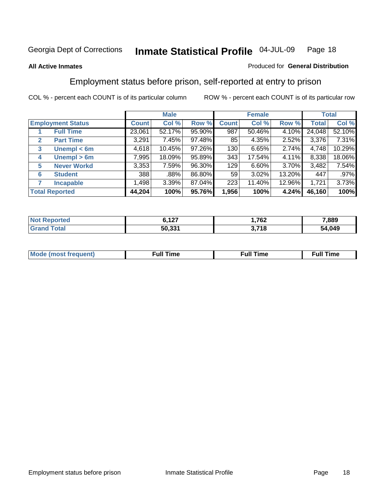### **All Active Inmates**

### Produced for **General Distribution**

# Employment status before prison, self-reported at entry to prison

|              |                          | <b>Male</b> |        |        | <b>Female</b> |        |        | <b>Total</b> |        |
|--------------|--------------------------|-------------|--------|--------|---------------|--------|--------|--------------|--------|
|              | <b>Employment Status</b> | Count       | Col %  | Row %  | <b>Count</b>  | Col %  | Row %  | <b>Total</b> | Col %  |
|              | <b>Full Time</b>         | 23,061      | 52.17% | 95.90% | 987           | 50.46% | 4.10%  | 24,048       | 52.10% |
| $\mathbf{2}$ | <b>Part Time</b>         | 3,291       | 7.45%  | 97.48% | 85            | 4.35%  | 2.52%  | 3,376        | 7.31%  |
| 3            | Unempl $<$ 6m            | 4,618       | 10.45% | 97.26% | 130           | 6.65%  | 2.74%  | 4,748        | 10.29% |
| 4            | Unempl > 6m              | 7,995       | 18.09% | 95.89% | 343           | 17.54% | 4.11%  | 8,338        | 18.06% |
| 5            | <b>Never Workd</b>       | 3,353       | 7.59%  | 96.30% | 129           | 6.60%  | 3.70%  | 3,482        | 7.54%  |
| 6            | <b>Student</b>           | 388         | .88%   | 86.80% | 59            | 3.02%  | 13.20% | 447          | .97%   |
| 7            | <b>Incapable</b>         | ا 498.      | 3.39%  | 87.04% | 223           | 11.40% | 12.96% | 1,721        | 3.73%  |
|              | <b>Total Reported</b>    | 44,204      | 100%   | 95.76% | 1,956         | 100%   | 4.24%  | 46,160       | 100%   |

| .<br>$\sim$ | ,762        | 7,889      |
|-------------|-------------|------------|
| 50.331      | <b>2740</b> | ,049<br>54 |

| Mo | 'me<br>uн<br>the contract of the contract of the contract of the contract of the contract of the contract of the contract of the contract of the contract of the contract of the contract of the contract of the contract of the contract o | ïme<br>uı.<br>the contract of the contract of the contract of the contract of the contract of the contract of the contract of the contract of the contract of the contract of the contract of the contract of the contract of the contract o |
|----|---------------------------------------------------------------------------------------------------------------------------------------------------------------------------------------------------------------------------------------------|----------------------------------------------------------------------------------------------------------------------------------------------------------------------------------------------------------------------------------------------|
|    |                                                                                                                                                                                                                                             |                                                                                                                                                                                                                                              |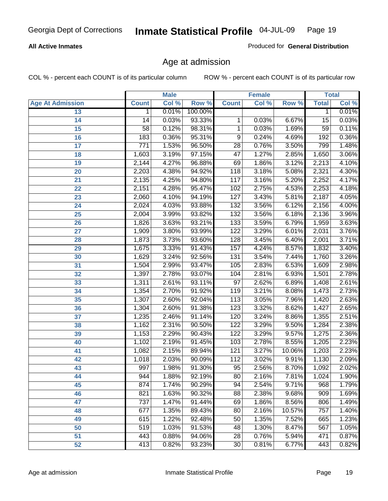### **All Active Inmates**

Produced for **General Distribution**

# Age at admission

|                         |                  | <b>Male</b> |         |                  | <b>Female</b> |        |                 | <b>Total</b> |
|-------------------------|------------------|-------------|---------|------------------|---------------|--------|-----------------|--------------|
| <b>Age At Admission</b> | <b>Count</b>     | Col %       | Row %   | <b>Count</b>     | Col %         | Row %  | <b>Total</b>    | Col %        |
| 13                      | 1                | 0.01%       | 100.00% |                  |               |        | 1               | 0.01%        |
| 14                      | 14               | 0.03%       | 93.33%  | 1                | 0.03%         | 6.67%  | $\overline{15}$ | 0.03%        |
| 15                      | 58               | 0.12%       | 98.31%  | 1                | 0.03%         | 1.69%  | $\overline{59}$ | 0.11%        |
| 16                      | $\overline{183}$ | 0.36%       | 95.31%  | $\overline{9}$   | 0.24%         | 4.69%  | 192             | 0.36%        |
| $\overline{17}$         | $\overline{771}$ | 1.53%       | 96.50%  | $\overline{28}$  | 0.76%         | 3.50%  | 799             | 1.48%        |
| 18                      | 1,603            | 3.19%       | 97.15%  | $\overline{47}$  | 1.27%         | 2.85%  | 1,650           | 3.06%        |
| 19                      | 2,144            | 4.27%       | 96.88%  | 69               | 1.86%         | 3.12%  | 2,213           | 4.10%        |
| 20                      | 2,203            | 4.38%       | 94.92%  | $\overline{118}$ | 3.18%         | 5.08%  | 2,321           | 4.30%        |
| 21                      | 2,135            | 4.25%       | 94.80%  | 117              | 3.16%         | 5.20%  | 2,252           | 4.17%        |
| 22                      | 2,151            | 4.28%       | 95.47%  | 102              | 2.75%         | 4.53%  | 2,253           | 4.18%        |
| 23                      | 2,060            | 4.10%       | 94.19%  | 127              | 3.43%         | 5.81%  | 2,187           | 4.05%        |
| 24                      | 2,024            | 4.03%       | 93.88%  | $\overline{132}$ | 3.56%         | 6.12%  | 2,156           | 4.00%        |
| $\overline{25}$         | 2,004            | 3.99%       | 93.82%  | 132              | 3.56%         | 6.18%  | 2,136           | 3.96%        |
| 26                      | 1,826            | 3.63%       | 93.21%  | $\overline{133}$ | 3.59%         | 6.79%  | 1,959           | 3.63%        |
| 27                      | 1,909            | 3.80%       | 93.99%  | $\overline{122}$ | 3.29%         | 6.01%  | 2,031           | 3.76%        |
| 28                      | 1,873            | 3.73%       | 93.60%  | 128              | 3.45%         | 6.40%  | 2,001           | 3.71%        |
| 29                      | 1,675            | 3.33%       | 91.43%  | 157              | 4.24%         | 8.57%  | 1,832           | 3.40%        |
| 30                      | 1,629            | 3.24%       | 92.56%  | $\overline{131}$ | 3.54%         | 7.44%  | 1,760           | 3.26%        |
| 31                      | 1,504            | 2.99%       | 93.47%  | 105              | 2.83%         | 6.53%  | 1,609           | 2.98%        |
| 32                      | 1,397            | 2.78%       | 93.07%  | 104              | 2.81%         | 6.93%  | 1,501           | 2.78%        |
| 33                      | 1,311            | 2.61%       | 93.11%  | $\overline{97}$  | 2.62%         | 6.89%  | 1,408           | 2.61%        |
| 34                      | 1,354            | 2.70%       | 91.92%  | $\overline{119}$ | 3.21%         | 8.08%  | 1,473           | 2.73%        |
| 35                      | 1,307            | 2.60%       | 92.04%  | 113              | 3.05%         | 7.96%  | 1,420           | 2.63%        |
| 36                      | 1,304            | 2.60%       | 91.38%  | $\overline{123}$ | 3.32%         | 8.62%  | 1,427           | 2.65%        |
| $\overline{37}$         | 1,235            | 2.46%       | 91.14%  | 120              | 3.24%         | 8.86%  | 1,355           | 2.51%        |
| 38                      | 1,162            | 2.31%       | 90.50%  | 122              | 3.29%         | 9.50%  | 1,284           | 2.38%        |
| 39                      | 1,153            | 2.29%       | 90.43%  | 122              | 3.29%         | 9.57%  | 1,275           | 2.36%        |
| 40                      | 1,102            | 2.19%       | 91.45%  | 103              | 2.78%         | 8.55%  | 1,205           | 2.23%        |
| 41                      | 1,082            | 2.15%       | 89.94%  | $\overline{121}$ | 3.27%         | 10.06% | 1,203           | 2.23%        |
| 42                      | 1,018            | 2.03%       | 90.09%  | $\overline{112}$ | 3.02%         | 9.91%  | 1,130           | 2.09%        |
| 43                      | 997              | 1.98%       | 91.30%  | $\overline{95}$  | 2.56%         | 8.70%  | 1,092           | 2.02%        |
| 44                      | 944              | 1.88%       | 92.19%  | 80               | 2.16%         | 7.81%  | 1,024           | 1.90%        |
| 45                      | 874              | 1.74%       | 90.29%  | 94               | 2.54%         | 9.71%  | 968             | 1.79%        |
| 46                      | 821              | 1.63%       | 90.32%  | $\overline{88}$  | 2.38%         | 9.68%  | 909             | 1.69%        |
| 47                      | 737              | 1.47%       | 91.44%  | 69               | 1.86%         | 8.56%  | 806             | 1.49%        |
| 48                      | 677              | 1.35%       | 89.43%  | 80               | 2.16%         | 10.57% | 757             | 1.40%        |
| 49                      | 615              | 1.22%       | 92.48%  | 50               | 1.35%         | 7.52%  | 665             | 1.23%        |
| 50                      | 519              | 1.03%       | 91.53%  | 48               | 1.30%         | 8.47%  | 567             | 1.05%        |
| 51                      | 443              | 0.88%       | 94.06%  | $\overline{28}$  | 0.76%         | 5.94%  | 471             | 0.87%        |
| 52                      | 413              | 0.82%       | 93.23%  | $\overline{30}$  | 0.81%         | 6.77%  | 443             | 0.82%        |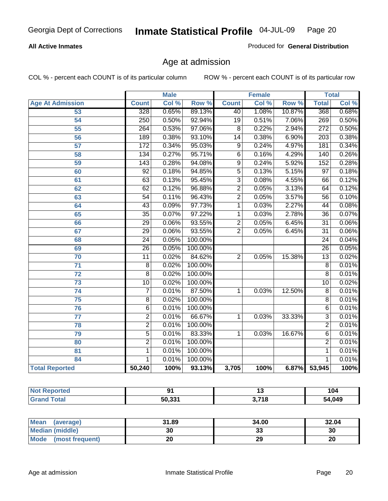### **All Active Inmates**

Produced for **General Distribution**

# Age at admission

|                         | <b>Male</b>      |       | <b>Female</b> |                 |       | <b>Total</b> |                  |       |
|-------------------------|------------------|-------|---------------|-----------------|-------|--------------|------------------|-------|
| <b>Age At Admission</b> | <b>Count</b>     | Col % | Row %         | <b>Count</b>    | Col % | Row %        | <b>Total</b>     | Col % |
| 53                      | $\overline{328}$ | 0.65% | 89.13%        | 40              | 1.08% | 10.87%       | 368              | 0.68% |
| 54                      | 250              | 0.50% | 92.94%        | $\overline{19}$ | 0.51% | 7.06%        | 269              | 0.50% |
| 55                      | 264              | 0.53% | 97.06%        | $\overline{8}$  | 0.22% | 2.94%        | $\overline{272}$ | 0.50% |
| $\overline{56}$         | 189              | 0.38% | 93.10%        | $\overline{14}$ | 0.38% | 6.90%        | $\overline{203}$ | 0.38% |
| 57                      | $\overline{172}$ | 0.34% | 95.03%        | $\overline{9}$  | 0.24% | 4.97%        | 181              | 0.34% |
| 58                      | 134              | 0.27% | 95.71%        | $\overline{6}$  | 0.16% | 4.29%        | 140              | 0.26% |
| 59                      | $\overline{143}$ | 0.28% | 94.08%        | $\overline{9}$  | 0.24% | 5.92%        | 152              | 0.28% |
| 60                      | $\overline{92}$  | 0.18% | 94.85%        | 5               | 0.13% | 5.15%        | $\overline{97}$  | 0.18% |
| 61                      | 63               | 0.13% | 95.45%        | $\overline{3}$  | 0.08% | 4.55%        | 66               | 0.12% |
| 62                      | 62               | 0.12% | 96.88%        | $\overline{2}$  | 0.05% | 3.13%        | 64               | 0.12% |
| 63                      | 54               | 0.11% | 96.43%        | $\overline{2}$  | 0.05% | 3.57%        | 56               | 0.10% |
| 64                      | $\overline{43}$  | 0.09% | 97.73%        | 1               | 0.03% | 2.27%        | 44               | 0.08% |
| 65                      | $\overline{35}$  | 0.07% | 97.22%        | 1               | 0.03% | 2.78%        | $\overline{36}$  | 0.07% |
| 66                      | 29               | 0.06% | 93.55%        | $\overline{2}$  | 0.05% | 6.45%        | $\overline{31}$  | 0.06% |
| 67                      | 29               | 0.06% | 93.55%        | $\overline{2}$  | 0.05% | 6.45%        | $\overline{31}$  | 0.06% |
| 68                      | $\overline{24}$  | 0.05% | 100.00%       |                 |       |              | $\overline{24}$  | 0.04% |
| 69                      | $\overline{26}$  | 0.05% | 100.00%       |                 |       |              | $\overline{26}$  | 0.05% |
| 70                      | 11               | 0.02% | 84.62%        | $\overline{2}$  | 0.05% | 15.38%       | $\overline{13}$  | 0.02% |
| 71                      | $\overline{8}$   | 0.02% | 100.00%       |                 |       |              | 8                | 0.01% |
| $\overline{72}$         | $\overline{8}$   | 0.02% | 100.00%       |                 |       |              | $\overline{8}$   | 0.01% |
| 73                      | 10               | 0.02% | 100.00%       |                 |       |              | $\overline{10}$  | 0.02% |
| 74                      | $\overline{7}$   | 0.01% | 87.50%        | 1               | 0.03% | 12.50%       | $\overline{8}$   | 0.01% |
| 75                      | 8                | 0.02% | 100.00%       |                 |       |              | 8                | 0.01% |
| 76                      | $\overline{6}$   | 0.01% | 100.00%       |                 |       |              | 6                | 0.01% |
| 77                      | $\overline{2}$   | 0.01% | 66.67%        | 1               | 0.03% | 33.33%       | $\overline{3}$   | 0.01% |
| 78                      | $\overline{2}$   | 0.01% | 100.00%       |                 |       |              | $\overline{2}$   | 0.01% |
| 79                      | $\overline{5}$   | 0.01% | 83.33%        | $\mathbf{1}$    | 0.03% | 16.67%       | 6                | 0.01% |
| 80                      | $\overline{2}$   | 0.01% | 100.00%       |                 |       |              | $\overline{2}$   | 0.01% |
| 81                      | $\mathbf{1}$     | 0.01% | 100.00%       |                 |       |              | 1                | 0.01% |
| 84                      | 1                | 0.01% | 100.00%       |                 |       |              | 1                | 0.01% |
| <b>Total Reported</b>   | 50,240           | 100%  | 93.13%        | 3,705           | 100%  | 6.87%        | 53,945           | 100%  |

| <b>Not Reported</b> |        | 1 v   | 104    |
|---------------------|--------|-------|--------|
| <b>Grand Total</b>  | 50,331 | 3,718 | 54,049 |

| <b>Mean</b><br>(average)       | 31.89 | 34.00   | 32.04 |
|--------------------------------|-------|---------|-------|
| <b>Median (middle)</b>         | 30    | ົ<br>აა | 30    |
| <b>Mode</b><br>(most frequent) | 20    | 29      | 20    |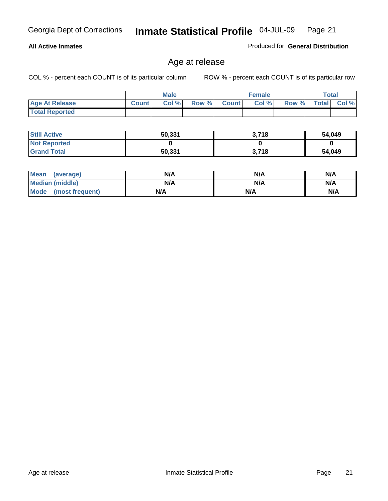### **All Active Inmates**

Produced for **General Distribution**

# Age at release

|                       | <b>Male</b>  |      |       | <b>Female</b>  |       |       | <b>Total</b> |       |
|-----------------------|--------------|------|-------|----------------|-------|-------|--------------|-------|
| <b>Age At Release</b> | <b>Count</b> | Col% | Row % | <b>Count</b> Ⅰ | Col % | Row % | <b>Total</b> | Col % |
| <b>Total Reported</b> |              |      |       |                |       |       |              |       |

| <b>Still Active</b> | 50,331 | 3,718 | 54,049 |
|---------------------|--------|-------|--------|
| <b>Not Reported</b> |        |       |        |
| <b>Grand Total</b>  | 50,331 | 3,718 | 54,049 |

| Mean (average)       | N/A | N/A | N/A |
|----------------------|-----|-----|-----|
| Median (middle)      | N/A | N/A | N/A |
| Mode (most frequent) | N/A | N/A | N/A |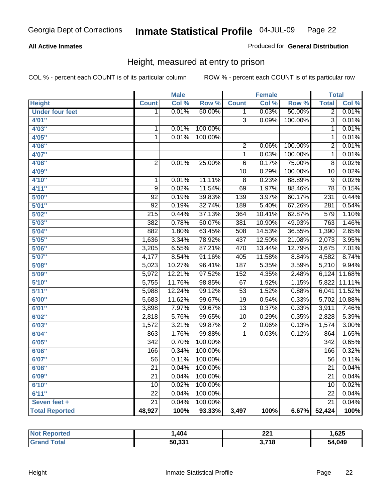### **All Active Inmates**

### Produced for **General Distribution**

# Height, measured at entry to prison

|                        |                  | <b>Male</b> |                  |                         | <b>Female</b> |         | <b>Total</b>     |        |
|------------------------|------------------|-------------|------------------|-------------------------|---------------|---------|------------------|--------|
| <b>Height</b>          | <b>Count</b>     | Col %       | Row <sup>%</sup> | <b>Count</b>            | Col %         | Row %   | <b>Total</b>     | Col %  |
| <b>Under four feet</b> | 1                | 0.01%       | 50.00%           | 1                       | 0.03%         | 50.00%  | $\overline{2}$   | 0.01%  |
| 4'01''                 |                  |             |                  | $\overline{3}$          | 0.09%         | 100.00% | $\overline{3}$   | 0.01%  |
| 4'03''                 | $\mathbf{1}$     | 0.01%       | 100.00%          |                         |               |         | 1                | 0.01%  |
| 4'05''                 | $\overline{1}$   | 0.01%       | 100.00%          |                         |               |         | $\overline{1}$   | 0.01%  |
| 4'06"                  |                  |             |                  | $\overline{2}$          | 0.06%         | 100.00% | $\overline{2}$   | 0.01%  |
| 4'07"                  |                  |             |                  | $\overline{1}$          | 0.03%         | 100.00% | $\overline{1}$   | 0.01%  |
| 4'08"                  | $\overline{2}$   | 0.01%       | 25.00%           | $\overline{6}$          | 0.17%         | 75.00%  | $\overline{8}$   | 0.02%  |
| 4'09"                  |                  |             |                  | $\overline{10}$         | 0.29%         | 100.00% | $\overline{10}$  | 0.02%  |
| 4'10''                 | 1                | 0.01%       | 11.11%           | 8                       | 0.23%         | 88.89%  | $\overline{9}$   | 0.02%  |
| 4'11''                 | 9                | 0.02%       | 11.54%           | $\overline{69}$         | 1.97%         | 88.46%  | $\overline{78}$  | 0.15%  |
| 5'00''                 | $\overline{92}$  | 0.19%       | 39.83%           | 139                     | 3.97%         | 60.17%  | 231              | 0.44%  |
| 5'01''                 | $\overline{92}$  | 0.19%       | 32.74%           | 189                     | 5.40%         | 67.26%  | $\overline{281}$ | 0.54%  |
| 5'02''                 | $\overline{215}$ | 0.44%       | 37.13%           | 364                     | 10.41%        | 62.87%  | 579              | 1.10%  |
| 5'03''                 | 382              | 0.78%       | 50.07%           | 381                     | 10.90%        | 49.93%  | 763              | 1.46%  |
| 5'04"                  | 882              | 1.80%       | 63.45%           | 508                     | 14.53%        | 36.55%  | 1,390            | 2.65%  |
| 5'05''                 | 1,636            | 3.34%       | 78.92%           | 437                     | 12.50%        | 21.08%  | 2,073            | 3.95%  |
| 5'06''                 | 3,205            | 6.55%       | 87.21%           | 470                     | 13.44%        | 12.79%  | 3,675            | 7.01%  |
| 5'07''                 | 4,177            | 8.54%       | 91.16%           | 405                     | 11.58%        | 8.84%   | 4,582            | 8.74%  |
| 5'08''                 | 5,023            | 10.27%      | 96.41%           | 187                     | 5.35%         | 3.59%   | 5,210            | 9.94%  |
| 5'09''                 | 5,972            | 12.21%      | 97.52%           | 152                     | 4.35%         | 2.48%   | 6,124            | 11.68% |
| 5'10''                 | 5,755            | 11.76%      | 98.85%           | $\overline{67}$         | 1.92%         | 1.15%   | 5,822            | 11.11% |
| 5'11''                 | 5,988            | 12.24%      | 99.12%           | $\overline{53}$         | 1.52%         | 0.88%   | 6,041            | 11.52% |
| 6'00''                 | 5,683            | 11.62%      | 99.67%           | $\overline{19}$         | 0.54%         | 0.33%   | 5,702            | 10.88% |
| 6'01''                 | 3,898            | 7.97%       | 99.67%           | $\overline{13}$         | 0.37%         | 0.33%   | 3,911            | 7.46%  |
| 6'02''                 | 2,818            | 5.76%       | 99.65%           | $\overline{10}$         | 0.29%         | 0.35%   | 2,828            | 5.39%  |
| 6'03''                 | 1,572            | 3.21%       | 99.87%           | $\overline{\mathbf{c}}$ | 0.06%         | 0.13%   | 1,574            | 3.00%  |
| 6'04''                 | 863              | 1.76%       | 99.88%           | $\overline{1}$          | 0.03%         | 0.12%   | 864              | 1.65%  |
| 6'05''                 | $\overline{342}$ | 0.70%       | 100.00%          |                         |               |         | 342              | 0.65%  |
| 6'06''                 | 166              | 0.34%       | 100.00%          |                         |               |         | 166              | 0.32%  |
| 6'07''                 | $\overline{56}$  | 0.11%       | 100.00%          |                         |               |         | $\overline{56}$  | 0.11%  |
| 6'08''                 | $\overline{21}$  | 0.04%       | 100.00%          |                         |               |         | $\overline{21}$  | 0.04%  |
| 6'09''                 | $\overline{21}$  | 0.04%       | 100.00%          |                         |               |         | $\overline{21}$  | 0.04%  |
| 6'10''                 | $\overline{10}$  | 0.02%       | 100.00%          |                         |               |         | $\overline{10}$  | 0.02%  |
| 6'11''                 | $\overline{22}$  | 0.04%       | 100.00%          |                         |               |         | $\overline{22}$  | 0.04%  |
| Seven feet +           | $\overline{21}$  | 0.04%       | 100.00%          |                         |               |         | $\overline{21}$  | 0.04%  |
| <b>Total Reported</b>  | 48,927           | 100%        | 93.33%           | 3,497                   | 100%          | 6.67%   | 52,424           | 100%   |

| orted                 | ,404   | nn/<br>.                  | ,625   |
|-----------------------|--------|---------------------------|--------|
| $\sim$ $\sim$<br>υιαι | 50,331 | <b>2740</b><br><b>I</b> Q | 54,049 |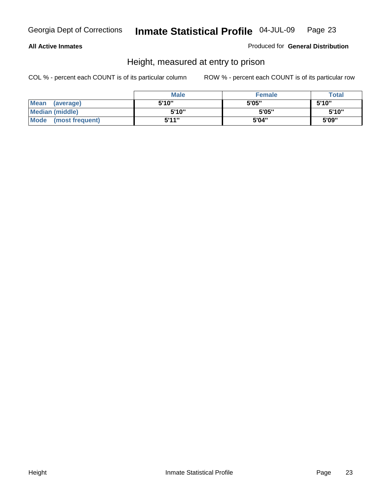### **All Active Inmates**

Produced for **General Distribution**

# Height, measured at entry to prison

|                        | <b>Male</b> | <b>Female</b> | <b>Total</b> |
|------------------------|-------------|---------------|--------------|
| Mean (average)         | 5'10"       | 5'05"         | 5'10''       |
| <b>Median (middle)</b> | 5'10''      | 5'05"         | 5'10''       |
| Mode (most frequent)   | 5'11"       | 5'04"         | 5'09"        |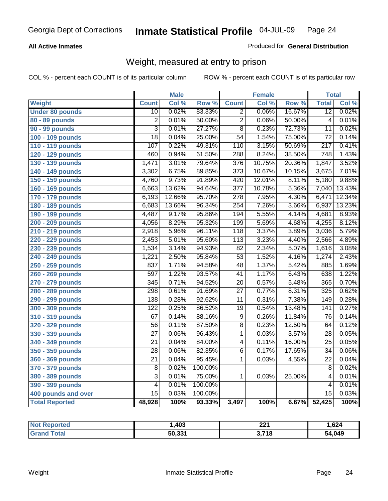### **All Active Inmates**

### Produced for **General Distribution**

# Weight, measured at entry to prison

|                        |                  | <b>Male</b> |         |                  | <b>Female</b> |                  | <b>Total</b>     |        |
|------------------------|------------------|-------------|---------|------------------|---------------|------------------|------------------|--------|
| Weight                 | <b>Count</b>     | Col %       | Row %   | <b>Count</b>     | Col %         | Row <sup>%</sup> | <b>Total</b>     | Col %  |
| <b>Under 80 pounds</b> | $\overline{10}$  | 0.02%       | 83.33%  | $\overline{2}$   | 0.06%         | 16.67%           | $\overline{12}$  | 0.02%  |
| 80 - 89 pounds         | $\overline{2}$   | 0.01%       | 50.00%  | $\overline{2}$   | 0.06%         | 50.00%           | $\overline{4}$   | 0.01%  |
| 90 - 99 pounds         | $\overline{3}$   | 0.01%       | 27.27%  | $\overline{8}$   | 0.23%         | 72.73%           | $\overline{11}$  | 0.02%  |
| 100 - 109 pounds       | $\overline{18}$  | 0.04%       | 25.00%  | $\overline{54}$  | 1.54%         | 75.00%           | $\overline{72}$  | 0.14%  |
| 110 - 119 pounds       | 107              | 0.22%       | 49.31%  | 110              | 3.15%         | 50.69%           | 217              | 0.41%  |
| 120 - 129 pounds       | 460              | 0.94%       | 61.50%  | 288              | 8.24%         | 38.50%           | $\overline{748}$ | 1.43%  |
| 130 - 139 pounds       | 1,471            | 3.01%       | 79.64%  | $\overline{376}$ | 10.75%        | 20.36%           | 1,847            | 3.52%  |
| 140 - 149 pounds       | 3,302            | 6.75%       | 89.85%  | $\overline{373}$ | 10.67%        | 10.15%           | 3,675            | 7.01%  |
| 150 - 159 pounds       | 4,760            | 9.73%       | 91.89%  | 420              | 12.01%        | 8.11%            | 5,180            | 9.88%  |
| 160 - 169 pounds       | 6,663            | 13.62%      | 94.64%  | $\overline{377}$ | 10.78%        | 5.36%            | 7,040            | 13.43% |
| 170 - 179 pounds       | 6,193            | 12.66%      | 95.70%  | $\overline{278}$ | 7.95%         | 4.30%            | 6,471            | 12.34% |
| 180 - 189 pounds       | 6,683            | 13.66%      | 96.34%  | 254              | 7.26%         | 3.66%            | 6,937            | 13.23% |
| 190 - 199 pounds       | 4,487            | 9.17%       | 95.86%  | 194              | 5.55%         | 4.14%            | 4,681            | 8.93%  |
| 200 - 209 pounds       | 4,056            | 8.29%       | 95.32%  | 199              | 5.69%         | 4.68%            | 4,255            | 8.12%  |
| 210 - 219 pounds       | 2,918            | 5.96%       | 96.11%  | 118              | 3.37%         | 3.89%            | 3,036            | 5.79%  |
| 220 - 229 pounds       | 2,453            | 5.01%       | 95.60%  | $\overline{113}$ | 3.23%         | 4.40%            | 2,566            | 4.89%  |
| 230 - 239 pounds       | 1,534            | 3.14%       | 94.93%  | $\overline{82}$  | 2.34%         | 5.07%            | 1,616            | 3.08%  |
| 240 - 249 pounds       | 1,221            | 2.50%       | 95.84%  | $\overline{53}$  | 1.52%         | 4.16%            | 1,274            | 2.43%  |
| 250 - 259 pounds       | 837              | 1.71%       | 94.58%  | $\overline{48}$  | 1.37%         | 5.42%            | 885              | 1.69%  |
| 260 - 269 pounds       | 597              | 1.22%       | 93.57%  | $\overline{41}$  | 1.17%         | 6.43%            | 638              | 1.22%  |
| 270 - 279 pounds       | 345              | 0.71%       | 94.52%  | 20               | 0.57%         | 5.48%            | 365              | 0.70%  |
| 280 - 289 pounds       | 298              | 0.61%       | 91.69%  | $\overline{27}$  | 0.77%         | 8.31%            | 325              | 0.62%  |
| 290 - 299 pounds       | 138              | 0.28%       | 92.62%  | $\overline{11}$  | 0.31%         | 7.38%            | 149              | 0.28%  |
| 300 - 309 pounds       | $\overline{122}$ | 0.25%       | 86.52%  | $\overline{19}$  | 0.54%         | 13.48%           | $\overline{141}$ | 0.27%  |
| 310 - 319 pounds       | 67               | 0.14%       | 88.16%  | $\overline{9}$   | 0.26%         | 11.84%           | $\overline{76}$  | 0.14%  |
| 320 - 329 pounds       | $\overline{56}$  | 0.11%       | 87.50%  | $\overline{8}$   | 0.23%         | 12.50%           | 64               | 0.12%  |
| 330 - 339 pounds       | $\overline{27}$  | 0.06%       | 96.43%  | 1                | 0.03%         | 3.57%            | $\overline{28}$  | 0.05%  |
| 340 - 349 pounds       | $\overline{21}$  | 0.04%       | 84.00%  | 4                | 0.11%         | 16.00%           | $\overline{25}$  | 0.05%  |
| 350 - 359 pounds       | $\overline{28}$  | 0.06%       | 82.35%  | $\overline{6}$   | 0.17%         | 17.65%           | $\overline{34}$  | 0.06%  |
| 360 - 369 pounds       | $\overline{21}$  | 0.04%       | 95.45%  | $\overline{1}$   | 0.03%         | 4.55%            | $\overline{22}$  | 0.04%  |
| 370 - 379 pounds       | 8                | 0.02%       | 100.00% |                  |               |                  | 8                | 0.02%  |
| 380 - 389 pounds       | 3                | 0.01%       | 75.00%  | 1                | 0.03%         | 25.00%           | $\overline{4}$   | 0.01%  |
| 390 - 399 pounds       | $\overline{4}$   | 0.01%       | 100.00% |                  |               |                  | 4                | 0.01%  |
| 400 pounds and over    | $\overline{15}$  | 0.03%       | 100.00% |                  |               |                  | $\overline{15}$  | 0.03%  |
| <b>Total Reported</b>  | 48,928           | 100%        | 93.33%  | 3,497            | 100%          | 6.67%            | 52,425           | 100%   |

| Reported<br>' Not | ,403   | ົດດ⊿<br>ZZ I          | 624. ا |
|-------------------|--------|-----------------------|--------|
| ⊺ota.<br>' Gra    | 50.331 | 3,718<br>$\mathbf{v}$ | 54,049 |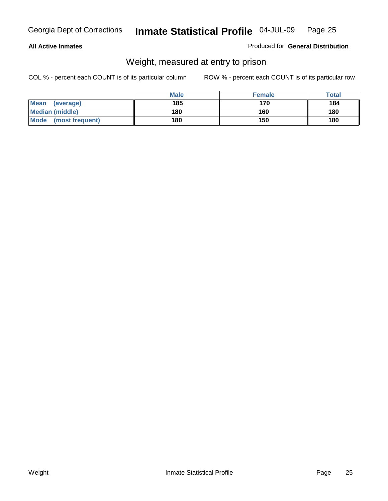### **All Active Inmates**

### Produced for **General Distribution**

# Weight, measured at entry to prison

|                                | <b>Male</b> | <b>Female</b> | Total |
|--------------------------------|-------------|---------------|-------|
| <b>Mean</b><br>(average)       | 185         | 170           | 184   |
| <b>Median (middle)</b>         | 180         | 160           | 180   |
| <b>Mode</b><br>(most frequent) | 180         | 150           | 180   |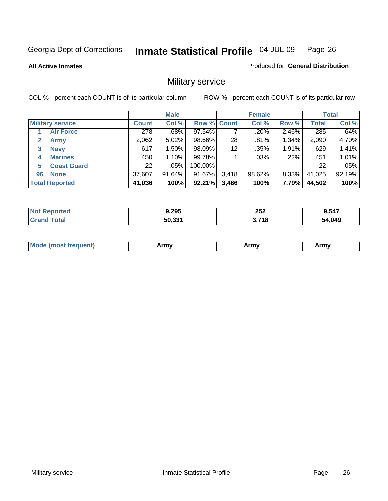**All Active Inmates**

### Produced for **General Distribution**

# Military service

|                         |              | <b>Male</b> |             |       | <b>Female</b> |          |              | <b>Total</b> |
|-------------------------|--------------|-------------|-------------|-------|---------------|----------|--------------|--------------|
| <b>Military service</b> | <b>Count</b> | Col %       | Row % Count |       | Col %         | Row %    | <b>Total</b> | Col %        |
| <b>Air Force</b>        | 278          | .68%        | 97.54%      |       | .20%          | 2.46%    | 285          | .64%         |
| 2<br><b>Army</b>        | 2,062        | 5.02%       | 98.66%      | 28    | .81%          | 1.34%    | 2,090        | 4.70%        |
| <b>Navy</b><br>3        | 617          | 1.50%       | 98.09%      | 12    | .35%          | 1.91%    | 629          | 1.41%        |
| <b>Marines</b><br>4     | 450          | 1.10%       | 99.78%      |       | $.03\%$       | .22%     | 451          | 1.01%        |
| <b>Coast Guard</b><br>5 | 22           | $.05\%$     | 100.00%     |       |               |          | 22           | .05%         |
| <b>None</b><br>96       | 37,607       | $91.64\%$   | 91.67%      | 3,418 | 98.62%        | $8.33\%$ | 41,025       | 92.19%       |
| <b>Total Reported</b>   | 41,036       | 100%        | 92.21%      | 3,466 | 100%          | 7.79%    | 44,502       | 100%         |

| <b>rted</b><br><b>NO1</b> | 9,295  | 252<br>$\sim$ $\sim$ | 9.547       |
|---------------------------|--------|----------------------|-------------|
| `otal                     | 50,331 | 3,718                | 4,049<br>54 |

| <b>Mou</b><br>.<br>Army<br>Army<br>$\cdot$ affiny $\cdot$ |
|-----------------------------------------------------------|
|-----------------------------------------------------------|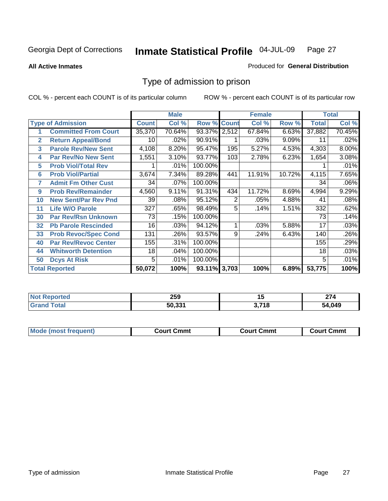### **All Active Inmates**

### Produced for **General Distribution**

# Type of admission to prison

|              |                             |              | <b>Male</b> |                    |                | <b>Female</b> |        |              | <b>Total</b> |
|--------------|-----------------------------|--------------|-------------|--------------------|----------------|---------------|--------|--------------|--------------|
|              | <b>Type of Admission</b>    | <b>Count</b> | Col %       | <b>Row % Count</b> |                | Col %         | Row %  | <b>Total</b> | Col %        |
| 1            | <b>Committed From Court</b> | 35,370       | 70.64%      | 93.37% 2,512       |                | 67.84%        | 6.63%  | 37,882       | 70.45%       |
| $\mathbf{2}$ | <b>Return Appeal/Bond</b>   | 10           | .02%        | 90.91%             |                | .03%          | 9.09%  | 11           | .02%         |
| 3            | <b>Parole Rev/New Sent</b>  | 4,108        | 8.20%       | 95.47%             | 195            | 5.27%         | 4.53%  | 4,303        | 8.00%        |
| 4            | <b>Par Rev/No New Sent</b>  | 1,551        | 3.10%       | 93.77%             | 103            | 2.78%         | 6.23%  | 1,654        | 3.08%        |
| 5            | <b>Prob Viol/Total Rev</b>  |              | .01%        | 100.00%            |                |               |        |              | .01%         |
| 6            | <b>Prob Viol/Partial</b>    | 3,674        | 7.34%       | 89.28%             | 441            | 11.91%        | 10.72% | 4,115        | 7.65%        |
| 7            | <b>Admit Fm Other Cust</b>  | 34           | $.07\%$     | 100.00%            |                |               |        | 34           | .06%         |
| 9            | <b>Prob Rev/Remainder</b>   | 4,560        | 9.11%       | 91.31%             | 434            | 11.72%        | 8.69%  | 4,994        | 9.29%        |
| 10           | <b>New Sent/Par Rev Pnd</b> | 39           | .08%        | 95.12%             | $\overline{2}$ | .05%          | 4.88%  | 41           | .08%         |
| 11           | <b>Life W/O Parole</b>      | 327          | .65%        | 98.49%             | 5              | .14%          | 1.51%  | 332          | .62%         |
| 30           | <b>Par Rev/Rsn Unknown</b>  | 73           | .15%        | 100.00%            |                |               |        | 73           | .14%         |
| 32           | <b>Pb Parole Rescinded</b>  | 16           | .03%        | 94.12%             | 1              | .03%          | 5.88%  | 17           | .03%         |
| 33           | <b>Prob Revoc/Spec Cond</b> | 131          | .26%        | 93.57%             | 9              | .24%          | 6.43%  | 140          | .26%         |
| 40           | <b>Par Rev/Revoc Center</b> | 155          | .31%        | 100.00%            |                |               |        | 155          | .29%         |
| 44           | <b>Whitworth Detention</b>  | 18           | .04%        | 100.00%            |                |               |        | 18           | .03%         |
| 50           | <b>Dcys At Risk</b>         | 5            | .01%        | 100.00%            |                |               |        | 5            | .01%         |
|              | <b>Total Reported</b>       | 50,072       | 100%        | 93.11% 3,703       |                | 100%          | 6.89%  | 53,775       | 100%         |

| Reported   | ---    | '~                 | $\sim$      |
|------------|--------|--------------------|-------------|
| <b>NOT</b> | ∠ວອ    |                    | <u> 214</u> |
|            | 50.33' | <b>74 G</b><br>. . | .049        |

| Mou.<br>uent)<br>most trea | Court Cmmt | Cmmt<br>COULLET. | Cmm<br>∶ourt |
|----------------------------|------------|------------------|--------------|
|                            |            |                  |              |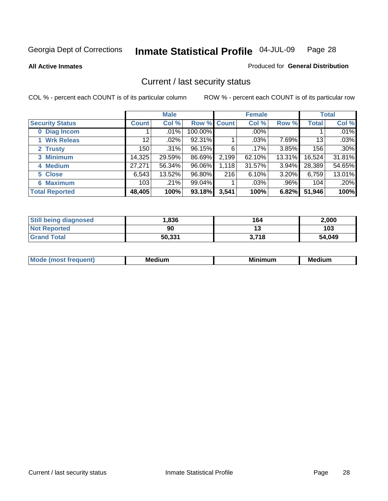**All Active Inmates**

### Produced for **General Distribution**

# Current / last security status

|                        |              | <b>Male</b> |                    |       | <b>Female</b> |         |              | <b>Total</b> |
|------------------------|--------------|-------------|--------------------|-------|---------------|---------|--------------|--------------|
| <b>Security Status</b> | <b>Count</b> | Col %       | <b>Row % Count</b> |       | Col %         | Row %   | <b>Total</b> | Col %        |
| 0 Diag Incom           |              | .01%        | 100.00%            |       | $.00\%$       |         |              | .01%         |
| 1 Wrk Releas           | 12           | $.02\%$     | 92.31%             |       | .03%          | 7.69%   | 13           | .03%         |
| 2 Trusty               | 150          | .31%        | 96.15%             | 6     | $.17\%$       | 3.85%   | 156          | .30%         |
| 3 Minimum              | 14,325       | 29.59%      | 86.69%             | 2,199 | 62.10%        | 13.31%  | 16,524       | 31.81%       |
| 4 Medium               | 27,271       | 56.34%      | 96.06%             | 1,118 | 31.57%        | 3.94%   | 28,389       | 54.65%       |
| 5 Close                | 6,543        | 13.52%      | 96.80%             | 216   | 6.10%         | 3.20%   | 6,759        | 13.01%       |
| <b>6 Maximum</b>       | 103          | .21%        | $99.04\%$          |       | .03%          | $.96\%$ | 104          | .20%         |
| <b>Total Reported</b>  | 48,405       | 100%        | 93.18%             | 3,541 | 100%          | 6.82%   | 51,946       | 100%         |

| <b>Still being diagnosed</b> | .836   | 164   | 2,000  |
|------------------------------|--------|-------|--------|
| <b>Not Reported</b>          | 90     |       | 103    |
| <b>Grand Total</b>           | 50,331 | 3,718 | 54,049 |

| M. | <b>Medium</b> | <b>BR</b><br>num | Me<br>. |
|----|---------------|------------------|---------|
|    |               |                  |         |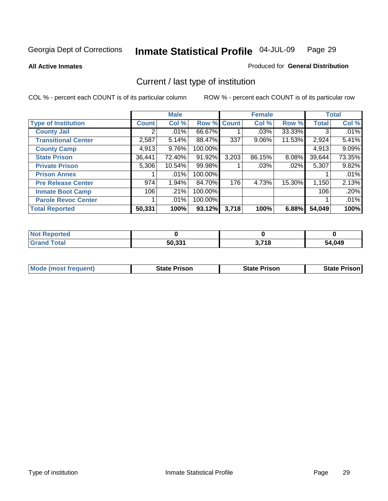**All Active Inmates**

### Produced for **General Distribution**

# Current / last type of institution

|                            |              | <b>Male</b> |         |             | <b>Female</b> |          |              | <b>Total</b> |
|----------------------------|--------------|-------------|---------|-------------|---------------|----------|--------------|--------------|
| <b>Type of Institution</b> | <b>Count</b> | Col %       |         | Row % Count | Col %         | Row %    | <b>Total</b> | Col %        |
| <b>County Jail</b>         |              | .01%        | 66.67%  |             | .03%          | 33.33%   | 3            | $.01\%$      |
| <b>Transitional Center</b> | 2,587        | 5.14%       | 88.47%  | 337         | $9.06\%$      | 11.53%   | 2,924        | 5.41%        |
| <b>County Camp</b>         | 4,913        | 9.76%       | 100.00% |             |               |          | 4,913        | 9.09%        |
| <b>State Prison</b>        | 36,441       | 72.40%      | 91.92%  | 3,203       | 86.15%        | $8.08\%$ | 39,644       | 73.35%       |
| <b>Private Prison</b>      | 5,306        | 10.54%      | 99.98%  |             | $.03\%$       | .02%     | 5,307        | 9.82%        |
| <b>Prison Annex</b>        |              | .01%        | 100.00% |             |               |          |              | .01%         |
| <b>Pre Release Center</b>  | 974          | 1.94%       | 84.70%  | 176         | 4.73%         | 15.30%   | 1,150        | 2.13%        |
| <b>Inmate Boot Camp</b>    | 106          | .21%        | 100.00% |             |               |          | 106          | .20%         |
| <b>Parole Revoc Center</b> |              | $.01\%$     | 100.00% |             |               |          |              | .01%         |
| <b>Total Reported</b>      | 50,331       | 100%        | 93.12%  | 3,718       | 100%          | 6.88%    | 54,049       | 100%         |

| <b>Not</b><br>Reported |        |       |        |
|------------------------|--------|-------|--------|
| <b>Total</b>           | 50,331 | 3,718 | 54,049 |

| <b>Mode (most frequent)</b> | <b>State Prison</b> | <b>State Prison</b> | <b>State Prison I</b> |
|-----------------------------|---------------------|---------------------|-----------------------|
|                             |                     |                     |                       |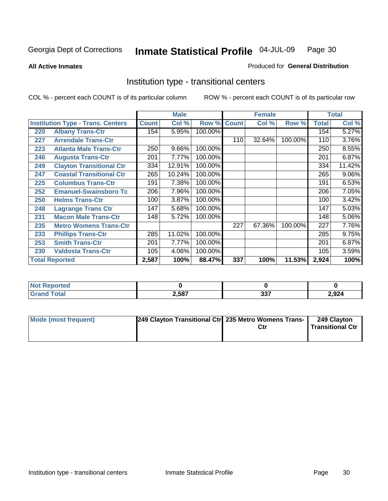**All Active Inmates**

### Produced for **General Distribution**

# Institution type - transitional centers

|     |                                          |              | <b>Male</b> |         |              | <b>Female</b> |         |              | <b>Total</b> |
|-----|------------------------------------------|--------------|-------------|---------|--------------|---------------|---------|--------------|--------------|
|     | <b>Institution Type - Trans. Centers</b> | <b>Count</b> | Col %       | Row %   | <b>Count</b> | Col %         | Row %   | <b>Total</b> | Col %        |
| 220 | <b>Albany Trans-Ctr</b>                  | 154          | 5.95%       | 100.00% |              |               |         | 154          | 5.27%        |
| 227 | <b>Arrendale Trans-Ctr</b>               |              |             |         | 110          | 32.64%        | 100.00% | 110          | 3.76%        |
| 223 | <b>Atlanta Male Trans-Ctr</b>            | 250          | 9.66%       | 100.00% |              |               |         | 250          | 8.55%        |
| 246 | <b>Augusta Trans-Ctr</b>                 | 201          | 7.77%       | 100.00% |              |               |         | 201          | 6.87%        |
| 249 | <b>Clayton Transitional Ctr</b>          | 334          | 12.91%      | 100.00% |              |               |         | 334          | 11.42%       |
| 247 | <b>Coastal Transitional Ctr</b>          | 265          | 10.24%      | 100.00% |              |               |         | 265          | 9.06%        |
| 225 | <b>Columbus Trans-Ctr</b>                | 191          | 7.38%       | 100.00% |              |               |         | 191          | 6.53%        |
| 252 | <b>Emanuel-Swainsboro Tc</b>             | 206          | 7.96%       | 100.00% |              |               |         | 206          | 7.05%        |
| 250 | <b>Helms Trans-Ctr</b>                   | 100          | 3.87%       | 100.00% |              |               |         | 100          | 3.42%        |
| 248 | <b>Lagrange Trans Ctr</b>                | 147          | 5.68%       | 100.00% |              |               |         | 147          | 5.03%        |
| 231 | <b>Macon Male Trans-Ctr</b>              | 148          | 5.72%       | 100.00% |              |               |         | 148          | 5.06%        |
| 235 | <b>Metro Womens Trans-Ctr</b>            |              |             |         | 227          | 67.36%        | 100.00% | 227          | 7.76%        |
| 233 | <b>Phillips Trans-Ctr</b>                | 285          | 11.02%      | 100.00% |              |               |         | 285          | 9.75%        |
| 253 | <b>Smith Trans-Ctr</b>                   | 201          | 7.77%       | 100.00% |              |               |         | 201          | 6.87%        |
| 230 | <b>Valdosta Trans-Ctr</b>                | 105          | 4.06%       | 100.00% |              |               |         | 105          | 3.59%        |
|     | <b>Total Reported</b>                    | 2,587        | 100%        | 88.47%  | 337          | 100%          | 11.53%  | 2,924        | 100%         |

| <b>Reported</b> |       |            |       |
|-----------------|-------|------------|-------|
| 'ota.           | 2,587 | へへつ<br>JJI | 2,924 |

| Mode (most frequent) | 249 Clayton Transitional Ctr 235 Metro Womens Trans- | Ctr | 249 Clayton<br><b>Transitional Ctr</b> |
|----------------------|------------------------------------------------------|-----|----------------------------------------|
|                      |                                                      |     |                                        |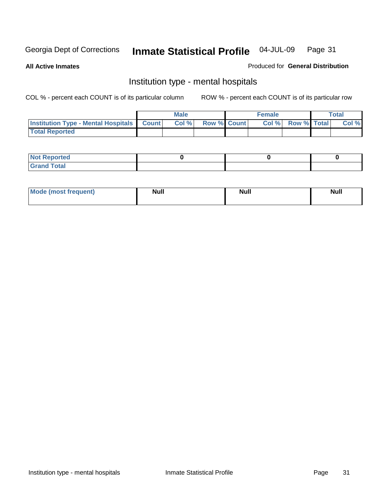**All Active Inmates**

### Produced for **General Distribution**

# Institution type - mental hospitals

|                                                  | Male  |                    | <b>Female</b> |                   | <b>Total</b> |
|--------------------------------------------------|-------|--------------------|---------------|-------------------|--------------|
| <b>Institution Type - Mental Hospitals Count</b> | Col % | <b>Row % Count</b> |               | Col % Row % Total | Col %        |
| <b>Total Reported</b>                            |       |                    |               |                   |              |

| <b>Not Reported</b>              |  |  |
|----------------------------------|--|--|
| <b>Total</b><br>C <sub>ucu</sub> |  |  |

| Mode (most frequent) | <b>Null</b> | <b>Null</b> | <b>Null</b> |
|----------------------|-------------|-------------|-------------|
|                      |             |             |             |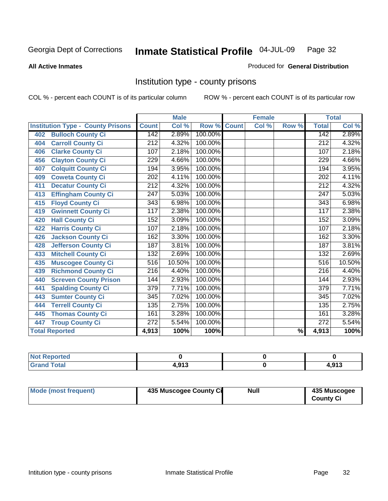#### **All Active Inmates**

### Produced for **General Distribution**

# Institution type - county prisons

|                                          |                  | <b>Male</b> |         |              | <b>Female</b> |                          |                  | <b>Total</b> |
|------------------------------------------|------------------|-------------|---------|--------------|---------------|--------------------------|------------------|--------------|
| <b>Institution Type - County Prisons</b> | <b>Count</b>     | Col %       | Row %   | <b>Count</b> | Col %         | Row %                    | <b>Total</b>     | Col %        |
| <b>Bulloch County Ci</b><br>402          | 142              | 2.89%       | 100.00% |              |               |                          | 142              | 2.89%        |
| <b>Carroll County Ci</b><br>404          | 212              | 4.32%       | 100.00% |              |               |                          | $\overline{212}$ | 4.32%        |
| <b>Clarke County Ci</b><br>406           | 107              | 2.18%       | 100.00% |              |               |                          | 107              | 2.18%        |
| <b>Clayton County Ci</b><br>456          | 229              | 4.66%       | 100.00% |              |               |                          | 229              | 4.66%        |
| <b>Colquitt County Ci</b><br>407         | 194              | 3.95%       | 100.00% |              |               |                          | 194              | 3.95%        |
| <b>Coweta County Ci</b><br>409           | 202              | 4.11%       | 100.00% |              |               |                          | 202              | 4.11%        |
| <b>Decatur County Ci</b><br>411          | 212              | 4.32%       | 100.00% |              |               |                          | 212              | 4.32%        |
| <b>Effingham County Ci</b><br>413        | $\overline{247}$ | 5.03%       | 100.00% |              |               |                          | 247              | 5.03%        |
| <b>Floyd County Ci</b><br>415            | 343              | 6.98%       | 100.00% |              |               |                          | 343              | 6.98%        |
| <b>Gwinnett County Ci</b><br>419         | 117              | 2.38%       | 100.00% |              |               |                          | 117              | 2.38%        |
| <b>Hall County Ci</b><br>420             | 152              | 3.09%       | 100.00% |              |               |                          | 152              | 3.09%        |
| <b>Harris County Ci</b><br>422           | 107              | 2.18%       | 100.00% |              |               |                          | 107              | 2.18%        |
| <b>Jackson County Ci</b><br>426          | 162              | 3.30%       | 100.00% |              |               |                          | 162              | 3.30%        |
| <b>Jefferson County Ci</b><br>428        | 187              | 3.81%       | 100.00% |              |               |                          | 187              | 3.81%        |
| <b>Mitchell County Ci</b><br>433         | 132              | 2.69%       | 100.00% |              |               |                          | 132              | 2.69%        |
| Muscogee County Ci<br>435                | $\overline{516}$ | 10.50%      | 100.00% |              |               |                          | 516              | 10.50%       |
| <b>Richmond County Ci</b><br>439         | $\overline{216}$ | 4.40%       | 100.00% |              |               |                          | $\overline{216}$ | 4.40%        |
| <b>Screven County Prison</b><br>440      | 144              | 2.93%       | 100.00% |              |               |                          | 144              | 2.93%        |
| <b>Spalding County Ci</b><br>441         | $\overline{379}$ | 7.71%       | 100.00% |              |               |                          | $\overline{379}$ | 7.71%        |
| <b>Sumter County Ci</b><br>443           | 345              | 7.02%       | 100.00% |              |               |                          | $\overline{345}$ | 7.02%        |
| <b>Terrell County Ci</b><br>444          | 135              | 2.75%       | 100.00% |              |               |                          | 135              | 2.75%        |
| <b>Thomas County Ci</b><br>445           | 161              | 3.28%       | 100.00% |              |               |                          | 161              | 3.28%        |
| <b>Troup County Ci</b><br>447            | 272              | 5.54%       | 100.00% |              |               |                          | 272              | 5.54%        |
| <b>Total Reported</b>                    | 4,913            | 100%        | 100%    |              |               | $\overline{\frac{9}{6}}$ | 4,913            | 100%         |

| <b>Not Reported</b>    |     |       |
|------------------------|-----|-------|
| <b>Total</b><br>∣Grand | 012 | 1.913 |

| Mode (most frequent)<br>435 Muscogee County Ci | Null | 435 Muscogee<br><b>County Ci</b> |
|------------------------------------------------|------|----------------------------------|
|------------------------------------------------|------|----------------------------------|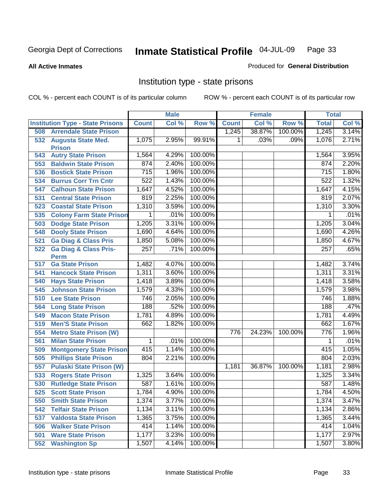### **All Active Inmates**

### Produced for **General Distribution**

# Institution type - state prisons

|     |                                            |              | <b>Male</b> |         |              | <b>Female</b> |         | <b>Total</b> |       |
|-----|--------------------------------------------|--------------|-------------|---------|--------------|---------------|---------|--------------|-------|
|     | <b>Institution Type - State Prisons</b>    | <b>Count</b> | Col %       | Row %   | <b>Count</b> | Col %         | Row %   | <b>Total</b> | Col % |
| 508 | <b>Arrendale State Prison</b>              |              |             |         | 1,245        | 38.87%        | 100.00% | 1,245        | 3.14% |
| 532 | <b>Augusta State Med.</b><br><b>Prison</b> | 1,075        | 2.95%       | 99.91%  | 1            | .03%          | .09%    | 1,076        | 2.71% |
| 543 | <b>Autry State Prison</b>                  | 1,564        | 4.29%       | 100.00% |              |               |         | 1,564        | 3.95% |
| 553 | <b>Baldwin State Prison</b>                | 874          | 2.40%       | 100.00% |              |               |         | 874          | 2.20% |
| 536 | <b>Bostick State Prison</b>                | 715          | 1.96%       | 100.00% |              |               |         | 715          | 1.80% |
| 534 | <b>Burrus Corr Trn Cntr</b>                | 522          | 1.43%       | 100.00% |              |               |         | 522          | 1.32% |
| 547 | <b>Calhoun State Prison</b>                | 1,647        | 4.52%       | 100.00% |              |               |         | 1,647        | 4.15% |
| 531 | <b>Central State Prison</b>                | 819          | 2.25%       | 100.00% |              |               |         | 819          | 2.07% |
| 523 | <b>Coastal State Prison</b>                | 1,310        | 3.59%       | 100.00% |              |               |         | 1,310        | 3.30% |
| 535 | <b>Colony Farm State Prison</b>            | 1            | .01%        | 100.00% |              |               |         | 1            | .01%  |
| 503 | <b>Dodge State Prison</b>                  | 1,205        | 3.31%       | 100.00% |              |               |         | 1,205        | 3.04% |
| 548 | <b>Dooly State Prison</b>                  | 1,690        | 4.64%       | 100.00% |              |               |         | 1,690        | 4.26% |
| 521 | <b>Ga Diag &amp; Class Pris</b>            | 1,850        | 5.08%       | 100.00% |              |               |         | 1,850        | 4.67% |
| 522 | <b>Ga Diag &amp; Class Pris-</b>           | 257          | .71%        | 100.00% |              |               |         | 257          | .65%  |
|     | <b>Perm</b>                                |              |             |         |              |               |         |              |       |
| 517 | <b>Ga State Prison</b>                     | 1,482        | 4.07%       | 100.00% |              |               |         | 1,482        | 3.74% |
| 541 | <b>Hancock State Prison</b>                | 1,311        | 3.60%       | 100.00% |              |               |         | 1,311        | 3.31% |
| 540 | <b>Hays State Prison</b>                   | 1,418        | 3.89%       | 100.00% |              |               |         | 1,418        | 3.58% |
| 545 | <b>Johnson State Prison</b>                | 1,579        | 4.33%       | 100.00% |              |               |         | 1,579        | 3.98% |
| 510 | <b>Lee State Prison</b>                    | 746          | 2.05%       | 100.00% |              |               |         | 746          | 1.88% |
| 564 | <b>Long State Prison</b>                   | 188          | .52%        | 100.00% |              |               |         | 188          | .47%  |
| 549 | <b>Macon State Prison</b>                  | 1,781        | 4.89%       | 100.00% |              |               |         | 1,781        | 4.49% |
| 519 | <b>Men'S State Prison</b>                  | 662          | 1.82%       | 100.00% |              |               |         | 662          | 1.67% |
| 554 | <b>Metro State Prison (W)</b>              |              |             |         | 776          | 24.23%        | 100.00% | 776          | 1.96% |
| 561 | <b>Milan State Prison</b>                  | 1            | .01%        | 100.00% |              |               |         | 1            | .01%  |
| 509 | <b>Montgomery State Prison</b>             | 415          | 1.14%       | 100.00% |              |               |         | 415          | 1.05% |
| 505 | <b>Phillips State Prison</b>               | 804          | 2.21%       | 100.00% |              |               |         | 804          | 2.03% |
| 557 | <b>Pulaski State Prison (W)</b>            |              |             |         | 1,181        | 36.87%        | 100.00% | 1,181        | 2.98% |
| 533 | <b>Rogers State Prison</b>                 | 1,325        | 3.64%       | 100.00% |              |               |         | 1,325        | 3.34% |
| 530 | <b>Rutledge State Prison</b>               | 587          | 1.61%       | 100.00% |              |               |         | 587          | 1.48% |
| 525 | <b>Scott State Prison</b>                  | 1,784        | 4.90%       | 100.00% |              |               |         | 1,784        | 4.50% |
| 550 | <b>Smith State Prison</b>                  | 1,374        | 3.77%       | 100.00% |              |               |         | 1,374        | 3.47% |
| 542 | <b>Telfair State Prison</b>                | 1,134        | 3.11%       | 100.00% |              |               |         | 1,134        | 2.86% |
| 537 | <b>Valdosta State Prison</b>               | 1,365        | 3.75%       | 100.00% |              |               |         | 1,365        | 3.44% |
| 506 | <b>Walker State Prison</b>                 | 414          | 1.14%       | 100.00% |              |               |         | 414          | 1.04% |
| 501 | <b>Ware State Prison</b>                   | 1,177        | 3.23%       | 100.00% |              |               |         | 1,177        | 2.97% |
| 552 | <b>Washington Sp</b>                       | 1,507        | 4.14%       | 100.00% |              |               |         | 1,507        | 3.80% |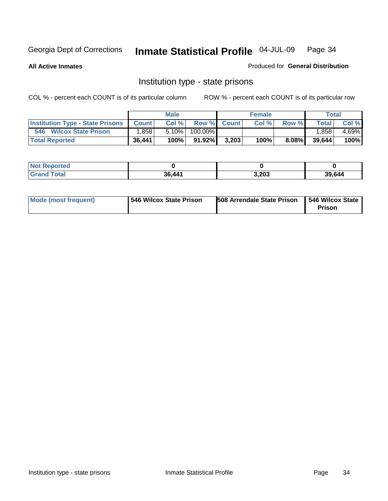**All Active Inmates**

Produced for **General Distribution**

# Institution type - state prisons

|                                         |              | <b>Male</b> |           |             | <b>Female</b> |          |              | Total |
|-----------------------------------------|--------------|-------------|-----------|-------------|---------------|----------|--------------|-------|
| <b>Institution Type - State Prisons</b> | <b>Count</b> | Col %       |           | Row % Count | Col %         | Row %    | <b>Total</b> | Col % |
| 546<br><b>Wilcox State Prison</b>       | ∃858.        | 5.10%       | 100.00%   |             |               |          | .858         | 4.69% |
| <b>Total Reported</b>                   | 36,441       | 100%        | $91.92\%$ | 3,203       | 100%          | $8.08\%$ | 39,644       | 100%  |

| <b>Not</b><br><b>Not Reported</b> |        |       |        |
|-----------------------------------|--------|-------|--------|
| Total                             | 36.441 | 3,203 | 39,644 |

| Mode (most frequent) | 546 Wilcox State Prison | <b>508 Arrendale State Prison</b> | 546 Wilcox State<br>Prison |
|----------------------|-------------------------|-----------------------------------|----------------------------|
|----------------------|-------------------------|-----------------------------------|----------------------------|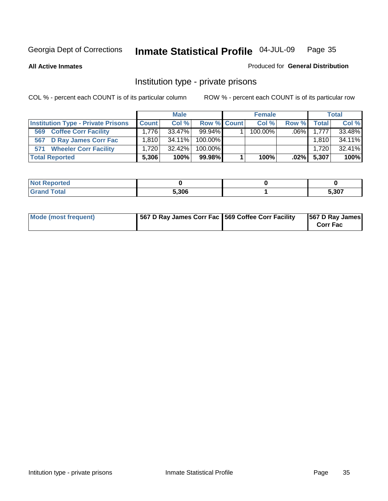**All Active Inmates**

### Produced for **General Distribution**

# Institution type - private prisons

|                                           | <b>Male</b>  |           | <b>Female</b> |  |            | <b>Total</b>        |              |        |
|-------------------------------------------|--------------|-----------|---------------|--|------------|---------------------|--------------|--------|
| <b>Institution Type - Private Prisons</b> | <b>Count</b> | Col %     | Row % Count   |  | Col %      | Row %               | <b>Total</b> | Col %  |
| <b>Coffee Corr Facility</b><br>569        | 1.776        | $33.47\%$ | $99.94\%$     |  | $100.00\%$ | .06% $\blacksquare$ | 1.777        | 33.48% |
| D Ray James Corr Fac<br>567               | 1.810        | $34.11\%$ | $100.00\%$    |  |            |                     | 1,810        | 34.11% |
| <b>Wheeler Corr Facility</b><br>571       | 1.720        | $32.42\%$ | $100.00\%$    |  |            |                     | 1,720        | 32.41% |
| <b>Total Reported</b>                     | 5,306        | 100%      | 99.98%        |  | 100%       | $.02\%$             | 5,307        | 100%   |

| <b>Reported</b><br><b>NOT</b> |       |      |
|-------------------------------|-------|------|
| <b>Grand Total</b>            | 5.306 | ,307 |

| Mode (most frequent) | 567 D Ray James Corr Fac 569 Coffee Corr Facility |  | 567 D Ray James<br><b>Corr Fac</b> |
|----------------------|---------------------------------------------------|--|------------------------------------|
|----------------------|---------------------------------------------------|--|------------------------------------|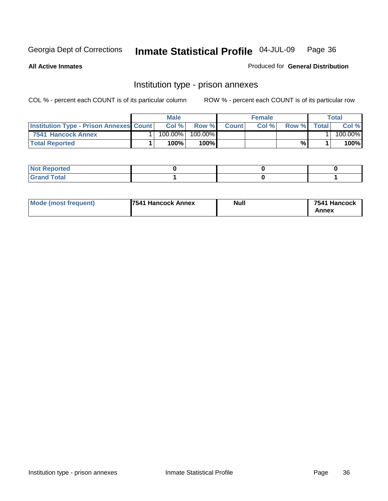**All Active Inmates**

Produced for **General Distribution**

# Institution type - prison annexes

|                                                | <b>Male</b> |            |         | <b>Female</b> |       |       | Total        |         |
|------------------------------------------------|-------------|------------|---------|---------------|-------|-------|--------------|---------|
| <b>Institution Type - Prison Annexes Count</b> |             | Col %      | Row %   | <b>Count</b>  | Col % | Row % | <b>Total</b> | Col %   |
| 7541 Hancock Annex                             |             | $100.00\%$ | 100.00% |               |       |       |              | 100.00% |
| <b>Total Reported</b>                          |             | 100%       | 100%    |               |       | %     |              | 100%    |

| <b>Not Reported</b><br>NOT. |  |  |
|-----------------------------|--|--|
| <b>Grand Total</b>          |  |  |

| <b>Mode (most frequent)</b> | <b>7541 Hancock Annex</b> | <b>Null</b> | 7541 Hancock |
|-----------------------------|---------------------------|-------------|--------------|
|                             |                           |             | Annex        |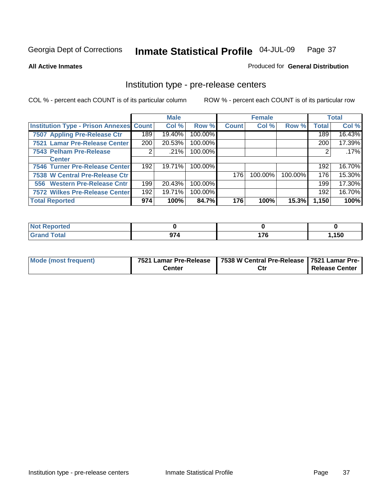**All Active Inmates**

Produced for **General Distribution**

## Institution type - pre-release centers

|                                                |     | <b>Male</b> |         |              | <b>Female</b> |         |              | <b>Total</b> |
|------------------------------------------------|-----|-------------|---------|--------------|---------------|---------|--------------|--------------|
| <b>Institution Type - Prison Annexes Count</b> |     | Col %       | Row %   | <b>Count</b> | Col %         | Row %   | <b>Total</b> | Col %        |
| 7507 Appling Pre-Release Ctr                   | 189 | 19.40%      | 100.00% |              |               |         | 189          | 16.43%       |
| 7521 Lamar Pre-Release Center                  | 200 | 20.53%      | 100.00% |              |               |         | 200          | 17.39%       |
| 7543 Pelham Pre-Release                        |     | .21%        | 100.00% |              |               |         |              | .17%         |
| <b>Center</b>                                  |     |             |         |              |               |         |              |              |
| 7546 Turner Pre-Release Center                 | 192 | 19.71%      | 100.00% |              |               |         | 192          | 16.70%       |
| 7538 W Central Pre-Release Ctr                 |     |             |         | 176          | 100.00%       | 100.00% | 176          | 15.30%       |
| 556 Western Pre-Release Cntr                   | 199 | 20.43%      | 100.00% |              |               |         | 199          | 17.30%       |
| 7572 Wilkes Pre-Release Center                 | 192 | 19.71%      | 100.00% |              |               |         | 192          | 16.70%       |
| <b>Total Reported</b>                          | 974 | 100%        | 84.7%   | 176          | 100%          | 15.3%   | 1,150        | 100%         |

| Reported<br>NOT        |     |                     |       |
|------------------------|-----|---------------------|-------|
| <b>Total</b><br>'Grand | 974 | ィラア<br>. <i>.</i> v | 1,150 |

| Mode (most frequent) | 7521 Lamar Pre-Release | 7538 W Central Pre-Release   7521 Lamar Pre- |                |
|----------------------|------------------------|----------------------------------------------|----------------|
|                      | Center                 | Ctı                                          | Release Center |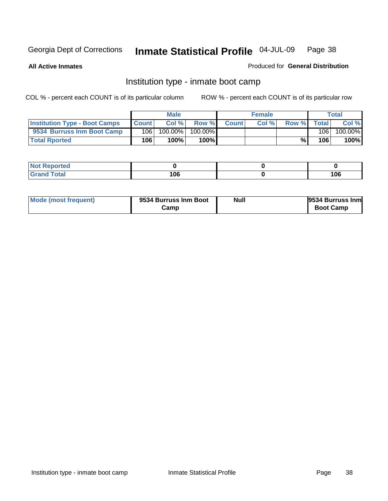**All Active Inmates**

#### Produced for **General Distribution**

# Institution type - inmate boot camp

|                                      |              | <b>Male</b> |         |              | <b>Female</b> |       |       | Total   |
|--------------------------------------|--------------|-------------|---------|--------------|---------------|-------|-------|---------|
| <b>Institution Type - Boot Camps</b> | <b>Count</b> | Col %       | Row %   | <b>Count</b> | Col%          | Row % | Total | Col %   |
| 9534 Burruss Inm Boot Camp           | 106          | 100.00%     | 100.00% |              |               |       | 106   | 100.00% |
| <b>Total Rported</b>                 | 106          | 100%        | 100%    |              |               | %⊾    | 106   | 100%    |

| rted<br>.       |            |     |
|-----------------|------------|-----|
| $\sim$ - $\sim$ | 106<br>- - | 106 |

| Mode (most frequent) | 9534 Burruss Inm Boot | <b>Null</b> | 9534 Burruss Inm |
|----------------------|-----------------------|-------------|------------------|
|                      | Camp                  |             | <b>Boot Camp</b> |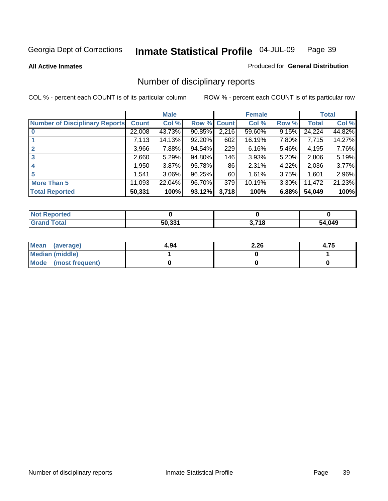#### **All Active Inmates**

#### Produced for **General Distribution**

# Number of disciplinary reports

|                                       |              | <b>Male</b> |             |       | <b>Female</b> |          |              | <b>Total</b> |
|---------------------------------------|--------------|-------------|-------------|-------|---------------|----------|--------------|--------------|
| <b>Number of Disciplinary Reports</b> | <b>Count</b> | Col %       | Row % Count |       | Col %         | Row %    | <b>Total</b> | Col %        |
|                                       | 22,008       | 43.73%      | 90.85%      | 2,216 | 59.60%        | $9.15\%$ | 24,224       | 44.82%       |
|                                       | 7,113        | 14.13%      | 92.20%      | 602   | 16.19%        | 7.80%    | 7,715        | 14.27%       |
|                                       | 3,966        | 7.88%       | 94.54%      | 229   | $6.16\%$      | 5.46%    | 4,195        | 7.76%        |
| 3                                     | 2,660        | 5.29%       | 94.80%      | 146   | 3.93%         | 5.20%    | 2,806        | 5.19%        |
|                                       | 950, ا       | 3.87%       | 95.78%      | 86    | 2.31%         | 4.22%    | 2,036        | 3.77%        |
| 5                                     | 1,541        | $3.06\%$    | 96.25%      | 60    | 1.61%         | 3.75%    | 1,601        | 2.96%        |
| <b>More Than 5</b>                    | 11,093       | 22.04%      | 96.70%      | 379   | 10.19%        | 3.30%    | 11,472       | 21.23%       |
| <b>Total Reported</b>                 | 50,331       | 100%        | 93.12%      | 3,718 | 100%          | 6.88%    | 54,049       | 100%         |

| N         |        |            |      |
|-----------|--------|------------|------|
| $\sim$ 10 | 50 331 | <b>740</b> | ,049 |
|           |        | . . U      | מי   |

| Mean (average)       | 4.94 | 2.26 | 4.75 |
|----------------------|------|------|------|
| Median (middle)      |      |      |      |
| Mode (most frequent) |      |      |      |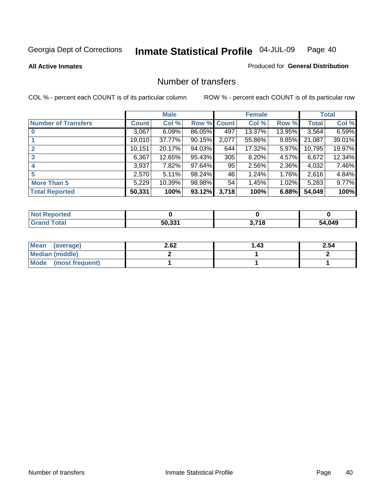**All Active Inmates**

#### Produced for **General Distribution**

## Number of transfers

|                            |         | <b>Male</b> |                    |       | <b>Female</b> |          |              | <b>Total</b> |
|----------------------------|---------|-------------|--------------------|-------|---------------|----------|--------------|--------------|
| <b>Number of Transfers</b> | Count l | Col %       | <b>Row % Count</b> |       | Col %         | Row %    | <b>Total</b> | Col %        |
|                            | 3,067   | 6.09%       | 86.05%             | 497   | 13.37%        | 13.95%   | 3,564        | 6.59%        |
|                            | 19,010  | 37.77%      | 90.15%             | 2,077 | 55.86%        | $9.85\%$ | 21,087       | 39.01%       |
|                            | 10,151  | 20.17%      | 94.03%             | 644   | 17.32%        | 5.97%    | 10,795       | 19.97%       |
| 3                          | 6,367   | 12.65%      | 95.43%             | 305   | 8.20%         | 4.57%    | 6,672        | 12.34%       |
|                            | 3,937   | 7.82%       | 97.64%             | 95    | 2.56%         | $2.36\%$ | 4,032        | 7.46%        |
| 5                          | 2,570   | 5.11%       | 98.24%             | 46    | 1.24%         | 1.76%    | 2,616        | 4.84%        |
| <b>More Than 5</b>         | 5,229   | 10.39%      | 98.98%             | 54    | 1.45%         | 1.02%    | 5,283        | 9.77%        |
| <b>Total Reported</b>      | 50,331  | 100%        | 93.12%             | 3,718 | 100%          | 6.88%    | 54,049       | 100%         |

| N         |        |            |      |
|-----------|--------|------------|------|
| $\sim$ 10 | 50 331 | <b>740</b> | ,049 |
|           |        | . . U      | מי   |

| Mean (average)       | 2.62 | 1.43 | 2.54 |
|----------------------|------|------|------|
| Median (middle)      |      |      |      |
| Mode (most frequent) |      |      |      |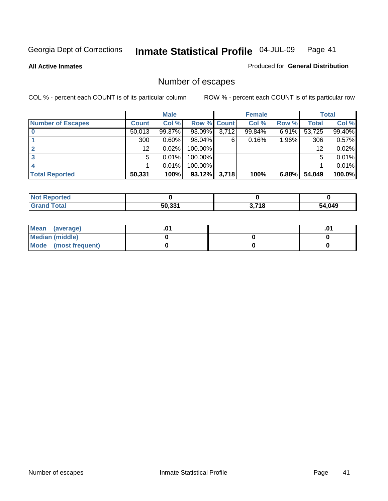**All Active Inmates**

#### Produced for **General Distribution**

# Number of escapes

|                          |         | <b>Male</b> |                    |       | <b>Female</b> |          |        | <b>Total</b> |
|--------------------------|---------|-------------|--------------------|-------|---------------|----------|--------|--------------|
| <b>Number of Escapes</b> | Count l | Col %       | <b>Row % Count</b> |       | Col %         | Row %    | Total  | Col %        |
|                          | 50,013  | 99.37%      | 93.09%             | 3,712 | 99.84%        | $6.91\%$ | 53,725 | 99.40%       |
|                          | 300     | $0.60\%$    | 98.04%             | 6     | 0.16%         | 1.96%    | 306    | 0.57%        |
|                          | 12      | 0.02%       | 100.00%            |       |               |          | 12     | 0.02%        |
|                          | 5.      | 0.01%       | 100.00%            |       |               |          | 5      | 0.01%        |
|                          |         | 0.01%       | 100.00%            |       |               |          |        | 0.01%        |
| <b>Total Reported</b>    | 50,331  | 100%        | 93.12%             | 3,718 | 100%          | 6.88%    | 54,049 | 100.0%       |

| теа   |        |             |        |
|-------|--------|-------------|--------|
| Total | 50 331 | <b>2740</b> | 64,049 |

| <b>Mean</b><br>(average) |  | .0 |
|--------------------------|--|----|
| Median (middle)          |  |    |
| Mode (most frequent)     |  |    |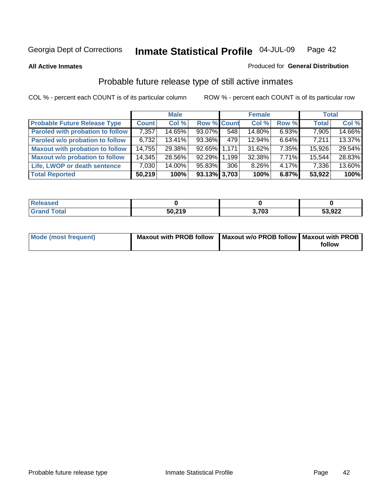**All Active Inmates**

#### Produced for **General Distribution**

# Probable future release type of still active inmates

|                                         |              | <b>Male</b> |                    |       | <b>Female</b> |          | <b>Total</b> |        |
|-----------------------------------------|--------------|-------------|--------------------|-------|---------------|----------|--------------|--------|
| <b>Probable Future Release Type</b>     | <b>Count</b> | Col %       | <b>Row % Count</b> |       | Col %         | Row %    | <b>Total</b> | Col %  |
| <b>Paroled with probation to follow</b> | 7,357        | 14.65%      | 93.07%             | 548   | 14.80%        | $6.93\%$ | 7,905        | 14.66% |
| Paroled w/o probation to follow         | 6,732        | $13.41\%$   | 93.36%             | 479   | 12.94%        | $6.64\%$ | 7.211        | 13.37% |
| <b>Maxout with probation to follow</b>  | 14,755       | 29.38%      | 92.65% 1,171       |       | 31.62%        | $7.35\%$ | 15,926       | 29.54% |
| <b>Maxout w/o probation to follow</b>   | 14,345       | 28.56%      | 92.29%             | 1.199 | 32.38%        | $7.71\%$ | 15,544       | 28.83% |
| Life, LWOP or death sentence            | 7,030        | 14.00%      | 95.83%             | 306   | 8.26%         | $4.17\%$ | 7,336        | 13.60% |
| <b>Total Reported</b>                   | 50,219       | 100%        | $93.13\%$ 3,703    |       | 100%          | 6.87%    | 53,922       | 100%   |

| .eleased                   |        |              |        |
|----------------------------|--------|--------------|--------|
| $\mathsf{Total}$<br>. Grar | 50,219 | בחדי<br>ני ו | 53,922 |

| Mode (most frequent) | Maxout with PROB follow   Maxout w/o PROB follow   Maxout with PROB |        |
|----------------------|---------------------------------------------------------------------|--------|
|                      |                                                                     | follow |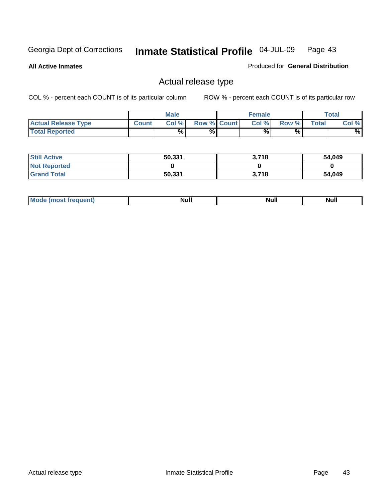**All Active Inmates**

Produced for **General Distribution**

# Actual release type

|                            |              | <b>Male</b> |                    | <b>Female</b> |        |       | Total |
|----------------------------|--------------|-------------|--------------------|---------------|--------|-------|-------|
| <b>Actual Release Type</b> | <b>Count</b> | Col %       | <b>Row % Count</b> | Col %         | Row %I | Total | Col % |
| <b>Total Reported</b>      |              | %           | %                  | %             | %      |       | %     |

| <b>Still Active</b> | 50,331 | 3,718 | 54,049 |
|---------------------|--------|-------|--------|
| <b>Not Reported</b> |        |       |        |
| <b>Grand Total</b>  | 50,331 | 3.718 | 54,049 |

| M<br>____ | Ah d <sup>u</sup><br>,,,,, | <b>Null</b> | <b>IVAII</b> |
|-----------|----------------------------|-------------|--------------|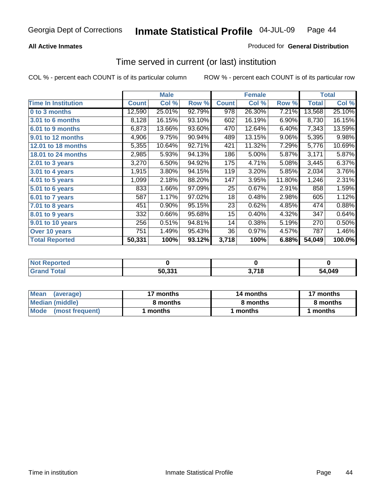### **All Active Inmates**

### Produced for **General Distribution**

## Time served in current (or last) institution

|                              |              | <b>Male</b> |        |              | <b>Female</b> |        |                    | <b>Total</b> |
|------------------------------|--------------|-------------|--------|--------------|---------------|--------|--------------------|--------------|
| <b>Time In Institution</b>   | <b>Count</b> | Col %       | Row %  | <b>Count</b> | Col %         | Row %  | <b>Total</b>       | Col %        |
| 0 to 3 months                | 12,590       | 25.01%      | 92.79% | 978          | 26.30%        | 7.21%  | 13,568             | 25.10%       |
| <b>3.01 to 6 months</b>      | 8,128        | 16.15%      | 93.10% | 602          | 16.19%        | 6.90%  | 8,730              | 16.15%       |
| 6.01 to 9 months             | 6,873        | 13.66%      | 93.60% | 470          | 12.64%        | 6.40%  | 7,343              | 13.59%       |
| 9.01 to 12 months            | 4,906        | 9.75%       | 90.94% | 489          | 13.15%        | 9.06%  | 5,395              | 9.98%        |
| <b>12.01 to 18 months</b>    | 5,355        | 10.64%      | 92.71% | 421          | 11.32%        | 7.29%  | 5,776              | 10.69%       |
| <b>18.01 to 24 months</b>    | 2,985        | 5.93%       | 94.13% | 186          | 5.00%         | 5.87%  | $\overline{3,171}$ | 5.87%        |
| 2.01 to 3 years              | 3,270        | 6.50%       | 94.92% | 175          | 4.71%         | 5.08%  | 3,445              | 6.37%        |
| 3.01 to 4 years              | 1,915        | 3.80%       | 94.15% | 119          | 3.20%         | 5.85%  | 2,034              | 3.76%        |
| $\overline{4.01}$ to 5 years | 1,099        | 2.18%       | 88.20% | 147          | 3.95%         | 11.80% | 1,246              | 2.31%        |
| 5.01 to 6 years              | 833          | 1.66%       | 97.09% | 25           | 0.67%         | 2.91%  | 858                | 1.59%        |
| 6.01 to 7 years              | 587          | 1.17%       | 97.02% | 18           | 0.48%         | 2.98%  | 605                | 1.12%        |
| 7.01 to 8 years              | 451          | 0.90%       | 95.15% | 23           | 0.62%         | 4.85%  | 474                | 0.88%        |
| 8.01 to 9 years              | 332          | 0.66%       | 95.68% | 15           | 0.40%         | 4.32%  | 347                | 0.64%        |
| 9.01 to 10 years             | 256          | 0.51%       | 94.81% | 14           | 0.38%         | 5.19%  | 270                | 0.50%        |
| Over 10 years                | 751          | 1.49%       | 95.43% | 36           | 0.97%         | 4.57%  | 787                | 1.46%        |
| <b>Total Reported</b>        | 50,331       | 100%        | 93.12% | 3,718        | 100%          | 6.88%  | 54,049             | 100.0%       |

| <b>Not Reported</b> |                    |       |        |
|---------------------|--------------------|-------|--------|
| <b>Total</b>        | 50.33 <sup>4</sup> | 3,718 | 54,049 |

| <b>Mean</b><br>(average) | 17 months | 14 months | 17 months |
|--------------------------|-----------|-----------|-----------|
| Median (middle)          | 8 months  | 8 months  | 8 months  |
| Mode<br>(most frequent)  | l months  | 1 months  | months    |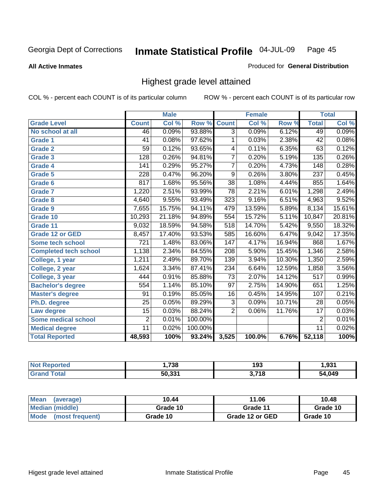**All Active Inmates**

#### Produced for **General Distribution**

# Highest grade level attained

|                              |                  | <b>Male</b> |         |                  | <b>Female</b> |        |                  | <b>Total</b> |
|------------------------------|------------------|-------------|---------|------------------|---------------|--------|------------------|--------------|
| <b>Grade Level</b>           | <b>Count</b>     | Col %       | Row %   | <b>Count</b>     | Col %         | Row %  | <b>Total</b>     | Col %        |
| No school at all             | 46               | 0.09%       | 93.88%  | $\overline{3}$   | 0.09%         | 6.12%  | 49               | 0.09%        |
| <b>Grade 1</b>               | 41               | 0.08%       | 97.62%  | 1                | 0.03%         | 2.38%  | 42               | 0.08%        |
| <b>Grade 2</b>               | 59               | 0.12%       | 93.65%  | 4                | 0.11%         | 6.35%  | 63               | 0.12%        |
| <b>Grade 3</b>               | 128              | 0.26%       | 94.81%  | $\overline{7}$   | 0.20%         | 5.19%  | 135              | 0.26%        |
| <b>Grade 4</b>               | 141              | 0.29%       | 95.27%  | $\overline{7}$   | 0.20%         | 4.73%  | 148              | 0.28%        |
| Grade 5                      | 228              | 0.47%       | 96.20%  | 9                | 0.26%         | 3.80%  | $\overline{237}$ | 0.45%        |
| Grade 6                      | 817              | 1.68%       | 95.56%  | $\overline{38}$  | 1.08%         | 4.44%  | 855              | 1.64%        |
| <b>Grade 7</b>               | 1,220            | 2.51%       | 93.99%  | $\overline{78}$  | 2.21%         | 6.01%  | 1,298            | 2.49%        |
| Grade 8                      | 4,640            | 9.55%       | 93.49%  | 323              | 9.16%         | 6.51%  | 4,963            | 9.52%        |
| Grade 9                      | 7,655            | 15.75%      | 94.11%  | 479              | 13.59%        | 5.89%  | 8,134            | 15.61%       |
| Grade 10                     | 10,293           | 21.18%      | 94.89%  | 554              | 15.72%        | 5.11%  | 10,847           | 20.81%       |
| Grade 11                     | 9,032            | 18.59%      | 94.58%  | 518              | 14.70%        | 5.42%  | 9,550            | 18.32%       |
| <b>Grade 12 or GED</b>       | 8,457            | 17.40%      | 93.53%  | 585              | 16.60%        | 6.47%  | 9,042            | 17.35%       |
| Some tech school             | $\overline{721}$ | 1.48%       | 83.06%  | $\overline{147}$ | 4.17%         | 16.94% | 868              | 1.67%        |
| <b>Completed tech school</b> | 1,138            | 2.34%       | 84.55%  | 208              | 5.90%         | 15.45% | 1,346            | 2.58%        |
| College, 1 year              | 1,211            | 2.49%       | 89.70%  | 139              | 3.94%         | 10.30% | 1,350            | 2.59%        |
| College, 2 year              | 1,624            | 3.34%       | 87.41%  | 234              | 6.64%         | 12.59% | 1,858            | 3.56%        |
| College, 3 year              | 444              | 0.91%       | 85.88%  | $\overline{73}$  | 2.07%         | 14.12% | 517              | 0.99%        |
| <b>Bachelor's degree</b>     | 554              | 1.14%       | 85.10%  | $\overline{97}$  | 2.75%         | 14.90% | 651              | 1.25%        |
| <b>Master's degree</b>       | 91               | 0.19%       | 85.05%  | 16               | 0.45%         | 14.95% | 107              | 0.21%        |
| Ph.D. degree                 | $\overline{25}$  | 0.05%       | 89.29%  | $\overline{3}$   | 0.09%         | 10.71% | 28               | 0.05%        |
| Law degree                   | $\overline{15}$  | 0.03%       | 88.24%  | $\overline{2}$   | 0.06%         | 11.76% | $\overline{17}$  | 0.03%        |
| <b>Some medical school</b>   | $\overline{2}$   | 0.01%       | 100.00% |                  |               |        | $\overline{2}$   | 0.01%        |
| <b>Medical degree</b>        | $\overline{11}$  | 0.02%       | 100.00% |                  |               |        | $\overline{11}$  | 0.02%        |
| <b>Total Reported</b>        | 48,593           | 100%        | 93.24%  | 3,525            | 100.0%        | 6.76%  | 52,118           | 100%         |

| .738       | 1 N.C<br>193      | .021        |
|------------|-------------------|-------------|
| EN OOA<br> | 1 אי<br>. .<br>J. | 4.049<br>٠л |

| <b>Mean</b><br>(average)       | 10.44    | 11.06           | 10.48    |
|--------------------------------|----------|-----------------|----------|
| Median (middle)                | Grade 10 | Grade 11        | Grade 10 |
| <b>Mode</b><br>(most frequent) | Grade 10 | Grade 12 or GED | Grade 10 |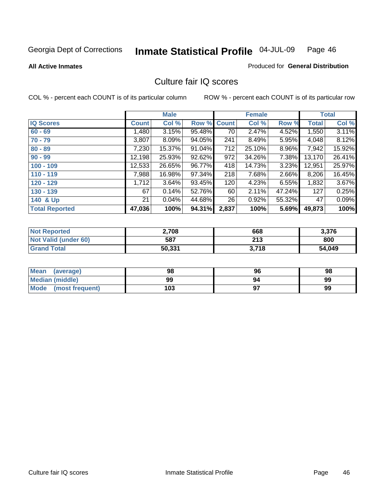Produced for **General Distribution**

#### **All Active Inmates**

# Culture fair IQ scores

|                       |              | <b>Male</b> |        |              | <b>Female</b> |        |              | <b>Total</b> |
|-----------------------|--------------|-------------|--------|--------------|---------------|--------|--------------|--------------|
| <b>IQ Scores</b>      | <b>Count</b> | Col %       | Row %  | <b>Count</b> | Col %         | Row %  | <b>Total</b> | Col %        |
| $60 - 69$             | 1,480        | 3.15%       | 95.48% | 70           | 2.47%         | 4.52%  | 1,550        | 3.11%        |
| $70 - 79$             | 3,807        | 8.09%       | 94.05% | 241          | 8.49%         | 5.95%  | 4,048        | 8.12%        |
| $80 - 89$             | 7,230        | 15.37%      | 91.04% | 712          | 25.10%        | 8.96%  | 7,942        | 15.92%       |
| $90 - 99$             | 12,198       | 25.93%      | 92.62% | 972          | 34.26%        | 7.38%  | 13,170       | 26.41%       |
| $100 - 109$           | 12,533       | 26.65%      | 96.77% | 418          | 14.73%        | 3.23%  | 12,951       | 25.97%       |
| $110 - 119$           | 7,988        | 16.98%      | 97.34% | 218          | 7.68%         | 2.66%  | 8,206        | 16.45%       |
| $120 - 129$           | 1,712        | 3.64%       | 93.45% | 120          | 4.23%         | 6.55%  | 1,832        | 3.67%        |
| $130 - 139$           | 67           | 0.14%       | 52.76% | 60           | 2.11%         | 47.24% | 127          | 0.25%        |
| 140 & Up              | 21           | 0.04%       | 44.68% | 26           | 0.92%         | 55.32% | 47           | 0.09%        |
| <b>Total Reported</b> | 47,036       | 100%        | 94.31% | 2,837        | 100%          | 5.69%  | 49,873       | 100%         |

| <b>Not Reported</b>  | 2,708  | 668   | 3,376  |
|----------------------|--------|-------|--------|
| Not Valid (under 60) | 587    | 213   | 800    |
| <b>Grand Total</b>   | 50,331 | 3,718 | 54,049 |

| <b>Mean</b><br>(average) | 98  | 96 | 98 |
|--------------------------|-----|----|----|
| Median (middle)          | 99  | 94 | 99 |
| Mode (most frequent)     | 103 |    | 99 |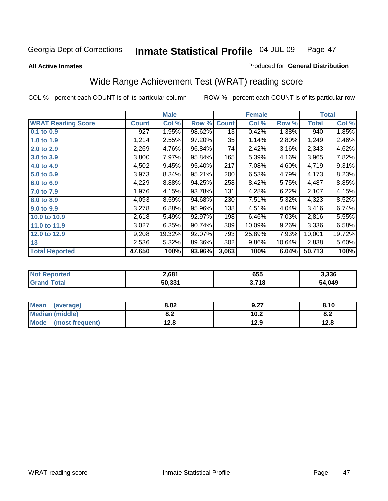#### **All Active Inmates**

#### Produced for **General Distribution**

# Wide Range Achievement Test (WRAT) reading score

|                           |              | <b>Male</b> |        |              | <b>Female</b> |          |              | <b>Total</b> |
|---------------------------|--------------|-------------|--------|--------------|---------------|----------|--------------|--------------|
| <b>WRAT Reading Score</b> | <b>Count</b> | Col %       | Row %  | <b>Count</b> | Col %         | Row %    | <b>Total</b> | Col %        |
| 0.1 to 0.9                | 927          | 1.95%       | 98.62% | 13           | 0.42%         | 1.38%    | 940          | 1.85%        |
| 1.0 to 1.9                | 1,214        | 2.55%       | 97.20% | 35           | 1.14%         | 2.80%    | 1,249        | 2.46%        |
| 2.0 to 2.9                | 2,269        | 4.76%       | 96.84% | 74           | 2.42%         | 3.16%    | 2,343        | 4.62%        |
| 3.0 to 3.9                | 3,800        | 7.97%       | 95.84% | 165          | 5.39%         | 4.16%    | 3,965        | 7.82%        |
| 4.0 to 4.9                | 4,502        | 9.45%       | 95.40% | 217          | 7.08%         | 4.60%    | 4,719        | 9.31%        |
| 5.0 to 5.9                | 3,973        | 8.34%       | 95.21% | 200          | 6.53%         | 4.79%    | 4,173        | 8.23%        |
| 6.0 to 6.9                | 4,229        | 8.88%       | 94.25% | 258          | 8.42%         | 5.75%    | 4,487        | 8.85%        |
| 7.0 to 7.9                | 1,976        | 4.15%       | 93.78% | 131          | 4.28%         | 6.22%    | 2,107        | 4.15%        |
| 8.0 to 8.9                | 4,093        | 8.59%       | 94.68% | 230          | 7.51%         | 5.32%    | 4,323        | 8.52%        |
| 9.0 to 9.9                | 3,278        | 6.88%       | 95.96% | 138          | 4.51%         | 4.04%    | 3,416        | 6.74%        |
| 10.0 to 10.9              | 2,618        | 5.49%       | 92.97% | 198          | 6.46%         | 7.03%    | 2,816        | 5.55%        |
| 11.0 to 11.9              | 3,027        | 6.35%       | 90.74% | 309          | 10.09%        | $9.26\%$ | 3,336        | 6.58%        |
| 12.0 to 12.9              | 9,208        | 19.32%      | 92.07% | 793          | 25.89%        | 7.93%    | 10,001       | 19.72%       |
| 13                        | 2,536        | 5.32%       | 89.36% | 302          | 9.86%         | 10.64%   | 2,838        | 5.60%        |
| <b>Total Reported</b>     | 47,650       | 100%        | 93.96% | 3,063        | 100%          | 6.04%    | 50,713       | 100%         |

| NO | 2,681  | 655          | 3.336  |
|----|--------|--------------|--------|
|    | 50,331 | 3,718<br>J.I | 54,049 |

| <b>Mean</b><br>(average) | 8.02       | 9.27 | 8.10 |
|--------------------------|------------|------|------|
| <b>Median (middle)</b>   | י ה<br>0.Z | 10.2 | O.A  |
| Mode<br>(most frequent)  | 12.8       | 12.9 | 12.8 |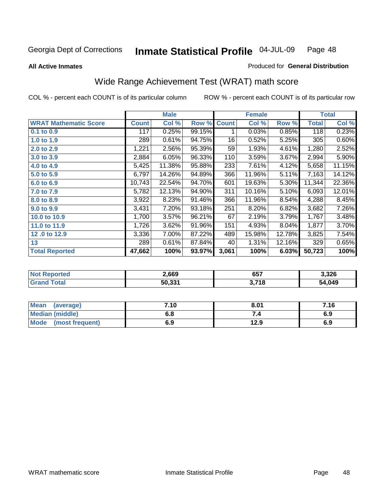**All Active Inmates**

#### Produced for **General Distribution**

# Wide Range Achievement Test (WRAT) math score

|                              |              | <b>Male</b> |        |              | <b>Female</b> |        |              | <b>Total</b> |
|------------------------------|--------------|-------------|--------|--------------|---------------|--------|--------------|--------------|
| <b>WRAT Mathematic Score</b> | <b>Count</b> | Col %       | Row %  | <b>Count</b> | Col %         | Row %  | <b>Total</b> | Col %        |
| 0.1 to 0.9                   | 117          | 0.25%       | 99.15% | 1            | 0.03%         | 0.85%  | 118          | 0.23%        |
| 1.0 to 1.9                   | 289          | 0.61%       | 94.75% | 16           | 0.52%         | 5.25%  | 305          | 0.60%        |
| 2.0 to 2.9                   | 1,221        | 2.56%       | 95.39% | 59           | 1.93%         | 4.61%  | 1,280        | 2.52%        |
| 3.0 to 3.9                   | 2,884        | 6.05%       | 96.33% | 110          | 3.59%         | 3.67%  | 2,994        | 5.90%        |
| 4.0 to 4.9                   | 5,425        | 11.38%      | 95.88% | 233          | 7.61%         | 4.12%  | 5,658        | 11.15%       |
| 5.0 to 5.9                   | 6,797        | 14.26%      | 94.89% | 366          | 11.96%        | 5.11%  | 7,163        | 14.12%       |
| 6.0 to 6.9                   | 10,743       | 22.54%      | 94.70% | 601          | 19.63%        | 5.30%  | 11,344       | 22.36%       |
| 7.0 to 7.9                   | 5,782        | 12.13%      | 94.90% | 311          | 10.16%        | 5.10%  | 6,093        | 12.01%       |
| 8.0 to 8.9                   | 3,922        | 8.23%       | 91.46% | 366          | 11.96%        | 8.54%  | 4,288        | 8.45%        |
| 9.0 to 9.9                   | 3,431        | 7.20%       | 93.18% | 251          | 8.20%         | 6.82%  | 3,682        | 7.26%        |
| 10.0 to 10.9                 | 1,700        | 3.57%       | 96.21% | 67           | 2.19%         | 3.79%  | 1,767        | 3.48%        |
| 11.0 to 11.9                 | 1,726        | 3.62%       | 91.96% | 151          | 4.93%         | 8.04%  | 1,877        | 3.70%        |
| 12.0 to 12.9                 | 3,336        | 7.00%       | 87.22% | 489          | 15.98%        | 12.78% | 3,825        | 7.54%        |
| 13                           | 289          | 0.61%       | 87.84% | 40           | 1.31%         | 12.16% | 329          | 0.65%        |
| <b>Total Reported</b>        | 47,662       | 100%        | 93.97% | 3,061        | 100%          | 6.03%  | 50,723       | 100%         |

| <b>orted</b><br>NO. | 2,669  | 657           | 3,326  |
|---------------------|--------|---------------|--------|
| `ota⊦<br>.Gr        | 50,331 | .718<br>. J.I | 54,049 |

| <b>Mean</b><br>(average) | 7.10 | 8.01 | 7.16 |
|--------------------------|------|------|------|
| <b>Median (middle)</b>   | 6.8  |      | 6.9  |
| Mode<br>(most frequent)  | 6.9  | 12.9 | 6.9  |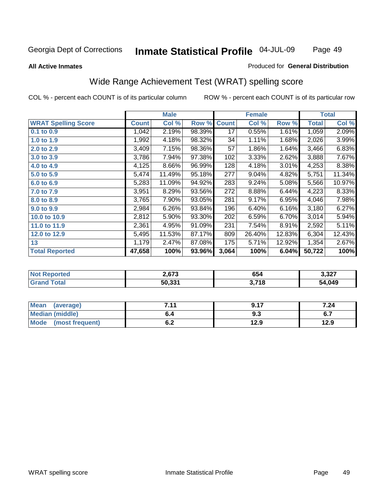#### **All Active Inmates**

#### Produced for **General Distribution**

# Wide Range Achievement Test (WRAT) spelling score

|                            |              | <b>Male</b> |        |              | <b>Female</b> |        |                    | <b>Total</b> |
|----------------------------|--------------|-------------|--------|--------------|---------------|--------|--------------------|--------------|
| <b>WRAT Spelling Score</b> | <b>Count</b> | Col %       | Row %  | <b>Count</b> | Col %         | Row %  | <b>Total</b>       | Col %        |
| $0.1$ to $0.9$             | 1,042        | 2.19%       | 98.39% | 17           | 0.55%         | 1.61%  | 1,059              | 2.09%        |
| 1.0 to 1.9                 | 1,992        | 4.18%       | 98.32% | 34           | 1.11%         | 1.68%  | 2,026              | 3.99%        |
| 2.0 to 2.9                 | 3,409        | 7.15%       | 98.36% | 57           | 1.86%         | 1.64%  | 3,466              | 6.83%        |
| 3.0 to 3.9                 | 3,786        | 7.94%       | 97.38% | 102          | 3.33%         | 2.62%  | 3,888              | 7.67%        |
| 4.0 to 4.9                 | 4,125        | 8.66%       | 96.99% | 128          | 4.18%         | 3.01%  | 4,253              | 8.38%        |
| 5.0 to 5.9                 | 5,474        | 11.49%      | 95.18% | 277          | 9.04%         | 4.82%  | 5,751              | 11.34%       |
| 6.0 to 6.9                 | 5,283        | 11.09%      | 94.92% | 283          | 9.24%         | 5.08%  | $\overline{5,566}$ | 10.97%       |
| 7.0 to 7.9                 | 3,951        | 8.29%       | 93.56% | 272          | 8.88%         | 6.44%  | 4,223              | 8.33%        |
| 8.0 to 8.9                 | 3,765        | 7.90%       | 93.05% | 281          | 9.17%         | 6.95%  | 4,046              | 7.98%        |
| 9.0 to 9.9                 | 2,984        | 6.26%       | 93.84% | 196          | 6.40%         | 6.16%  | 3,180              | 6.27%        |
| 10.0 to 10.9               | 2,812        | 5.90%       | 93.30% | 202          | 6.59%         | 6.70%  | 3,014              | 5.94%        |
| 11.0 to 11.9               | 2,361        | 4.95%       | 91.09% | 231          | 7.54%         | 8.91%  | 2,592              | 5.11%        |
| 12.0 to 12.9               | 5,495        | 11.53%      | 87.17% | 809          | 26.40%        | 12.83% | 6,304              | 12.43%       |
| 13                         | 1,179        | 2.47%       | 87.08% | 175          | 5.71%         | 12.92% | 1,354              | 2.67%        |
| <b>Total Reported</b>      | 47,658       | 100%        | 93.96% | 3,064        | 100%          | 6.04%  | 50,722             | 100%         |
|                            |              |             |        |              |               |        |                    |              |

| <b>Not Reported</b> | 2,673  | 654   | 3,327  |
|---------------------|--------|-------|--------|
| <b>Grand Total</b>  | 50,331 | 3,718 | 54,049 |

| <b>Mean</b><br>(average) | 744                | 0.47 | '.24 |
|--------------------------|--------------------|------|------|
| <b>Median (middle)</b>   | o.4                | ৬.১  | υ.,  |
| Mode<br>(most frequent)  | <u>. . </u><br>U.Z | 12.9 | 12.9 |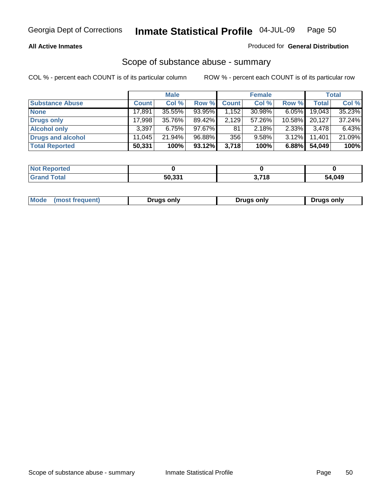#### **All Active Inmates**

#### Produced for **General Distribution**

## Scope of substance abuse - summary

|                        |              | <b>Male</b> |           |              | <b>Female</b> |           |              | <b>Total</b> |
|------------------------|--------------|-------------|-----------|--------------|---------------|-----------|--------------|--------------|
| <b>Substance Abuse</b> | <b>Count</b> | Col %       | Row %     | <b>Count</b> | Col %         | Row %     | <b>Total</b> | Col %        |
| <b>None</b>            | 17,891       | 35.55%      | 93.95%    | 1,152        | 30.98%        | $6.05\%$  | 19,043       | 35.23%       |
| Drugs only             | 17.998       | 35.76%      | 89.42%    | 2,129        | 57.26%        | $10.58\%$ | 20,127       | 37.24%       |
| <b>Alcohol only</b>    | 3,397        | 6.75%       | $97.67\%$ | 81           | $2.18\%$      | $2.33\%$  | 3,478        | 6.43%        |
| Drugs and alcohol      | 11.045       | $21.94\%$   | 96.88%    | 356          | 9.58%         | $3.12\%$  | 11.401       | 21.09%       |
| <b>Total Reported</b>  | 50,331       | 100%        | 93.12%    | 3,718        | 100%          | 6.88%     | 54,049       | 100%         |

| <b>Not Reported</b> |        |                |        |
|---------------------|--------|----------------|--------|
| <b>Grand Total</b>  | 50.331 | , 74 0<br>- 10 | 54,049 |

|  | Mode<br>(most frequent) | Drugs only | Drugs only | Drugs only |
|--|-------------------------|------------|------------|------------|
|--|-------------------------|------------|------------|------------|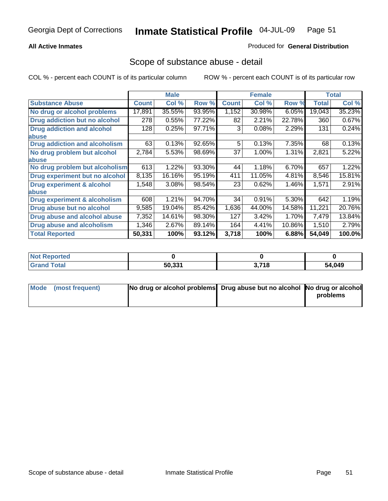#### **All Active Inmates**

#### Produced for **General Distribution**

## Scope of substance abuse - detail

|                                      |              | <b>Male</b> |        |              | <b>Female</b> |        |              | <b>Total</b> |
|--------------------------------------|--------------|-------------|--------|--------------|---------------|--------|--------------|--------------|
| <b>Substance Abuse</b>               | <b>Count</b> | Col %       | Row %  | <b>Count</b> | Col %         | Row %  | <b>Total</b> | Col %        |
| No drug or alcohol problems          | 17,891       | 35.55%      | 93.95% | 1,152        | 30.98%        | 6.05%  | 19,043       | 35.23%       |
| Drug addiction but no alcohol        | 278          | 0.55%       | 77.22% | 82           | 2.21%         | 22.78% | 360          | 0.67%        |
| <b>Drug addiction and alcohol</b>    | 128          | 0.25%       | 97.71% | 3            | 0.08%         | 2.29%  | 131          | 0.24%        |
| <b>labuse</b>                        |              |             |        |              |               |        |              |              |
| <b>Drug addiction and alcoholism</b> | 63           | 0.13%       | 92.65% | 5            | 0.13%         | 7.35%  | 68           | 0.13%        |
| No drug problem but alcohol          | 2,784        | 5.53%       | 98.69% | 37           | 1.00%         | 1.31%  | 2,821        | 5.22%        |
| <b>labuse</b>                        |              |             |        |              |               |        |              |              |
| No drug problem but alcoholism       | 613          | 1.22%       | 93.30% | 44           | 1.18%         | 6.70%  | 657          | 1.22%        |
| Drug experiment but no alcohol       | 8,135        | 16.16%      | 95.19% | 411          | 11.05%        | 4.81%  | 8,546        | 15.81%       |
| <b>Drug experiment &amp; alcohol</b> | 1,548        | 3.08%       | 98.54% | 23           | 0.62%         | 1.46%  | 1,571        | 2.91%        |
| <b>labuse</b>                        |              |             |        |              |               |        |              |              |
| Drug experiment & alcoholism         | 608          | 1.21%       | 94.70% | 34           | 0.91%         | 5.30%  | 642          | 1.19%        |
| Drug abuse but no alcohol            | 9,585        | 19.04%      | 85.42% | 1,636        | 44.00%        | 14.58% | 11,221       | 20.76%       |
| Drug abuse and alcohol abuse         | 7,352        | 14.61%      | 98.30% | 127          | 3.42%         | 1.70%  | 7,479        | 13.84%       |
| <b>Drug abuse and alcoholism</b>     | 1,346        | 2.67%       | 89.14% | 164          | 4.41%         | 10.86% | 1,510        | 2.79%        |
| <b>Total Reported</b>                | 50,331       | 100%        | 93.12% | 3,718        | 100%          | 6.88%  | 54,049       | 100.0%       |

| Reported<br><b>Not</b> |                 |              |       |
|------------------------|-----------------|--------------|-------|
| <b>Total</b>           | にへ つつイ<br>30.33 | 274 Q<br>. . | 4,049 |

| Mode (most frequent) | No drug or alcohol problems Drug abuse but no alcohol No drug or alcohol |          |
|----------------------|--------------------------------------------------------------------------|----------|
|                      |                                                                          | problems |
|                      |                                                                          |          |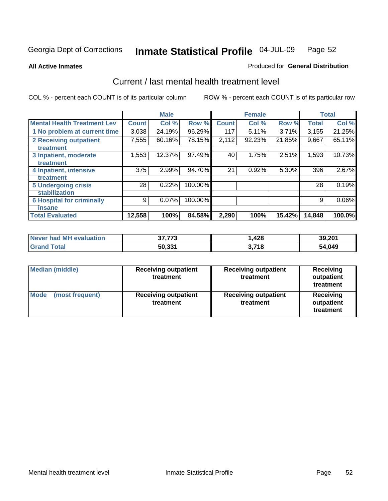**All Active Inmates**

#### Produced for **General Distribution**

## Current / last mental health treatment level

|                                    |              | <b>Male</b> |         |              | <b>Female</b> |          |              | <b>Total</b> |
|------------------------------------|--------------|-------------|---------|--------------|---------------|----------|--------------|--------------|
| <b>Mental Health Treatment Lev</b> | <b>Count</b> | Col%        | Row %   | <b>Count</b> | Col%          | Row %    | <b>Total</b> | Col %        |
| 1 No problem at current time       | 3,038        | 24.19%      | 96.29%  | 117          | 5.11%         | $3.71\%$ | 3,155        | 21.25%       |
| <b>2 Receiving outpatient</b>      | 7,555        | 60.16%      | 78.15%  | 2,112        | 92.23%        | 21.85%   | 9,667        | 65.11%       |
| treatment                          |              |             |         |              |               |          |              |              |
| 3 Inpatient, moderate              | 1,553        | 12.37%      | 97.49%  | 40           | 1.75%         | 2.51%    | 1,593        | 10.73%       |
| treatment                          |              |             |         |              |               |          |              |              |
| 4 Inpatient, intensive             | 375          | 2.99%       | 94.70%  | 21           | 0.92%         | 5.30%    | 396          | 2.67%        |
| treatment                          |              |             |         |              |               |          |              |              |
| <b>5 Undergoing crisis</b>         | 28           | 0.22%       | 100.00% |              |               |          | 28           | 0.19%        |
| stabilization                      |              |             |         |              |               |          |              |              |
| <b>6 Hospital for criminally</b>   | 9            | 0.07%       | 100.00% |              |               |          | 9            | $0.06\%$     |
| insane                             |              |             |         |              |               |          |              |              |
| <b>Total Evaluated</b>             | 12,558       | 100%        | 84.58%  | 2,290        | 100%          | 15.42%   | 14,848       | 100.0%       |

| Never had MH evaluation | 37,773 | . 428 | 39,201 |
|-------------------------|--------|-------|--------|
| <b>Grand Total</b>      | 50,331 | 3,718 | 54,049 |

| <b>Median (middle)</b>         | <b>Receiving outpatient</b><br>treatment | <b>Receiving outpatient</b><br>treatment | <b>Receiving</b><br>outpatient<br>treatment |  |
|--------------------------------|------------------------------------------|------------------------------------------|---------------------------------------------|--|
| <b>Mode</b><br>(most frequent) | <b>Receiving outpatient</b><br>treatment | <b>Receiving outpatient</b><br>treatment | <b>Receiving</b><br>outpatient<br>treatment |  |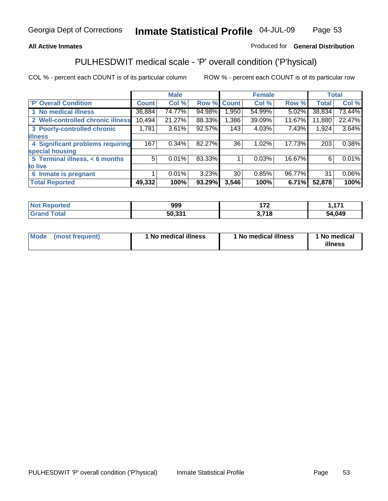### **All Active Inmates**

### Produced for **General Distribution**

# PULHESDWIT medical scale - 'P' overall condition ('P'hysical)

|                                   |              | <b>Male</b> |        |              | <b>Female</b> |        |              | <b>Total</b> |
|-----------------------------------|--------------|-------------|--------|--------------|---------------|--------|--------------|--------------|
| 'P' Overall Condition             | <b>Count</b> | Col %       | Row %  | <b>Count</b> | Col %         | Row %  | <b>Total</b> | Col %        |
| 1 No medical illness              | 36,884       | 74.77%      | 94.98% | 1,950        | 54.99%        | 5.02%  | 38,834       | 73.44%       |
| 2 Well-controlled chronic illness | 10,494       | 21.27%      | 88.33% | 1,386        | 39.09%        | 11.67% | 11,880       | 22.47%       |
| 3 Poorly-controlled chronic       | 1,781        | 3.61%       | 92.57% | 143          | 4.03%         | 7.43%  | 1,924        | 3.64%        |
| <b>illness</b>                    |              |             |        |              |               |        |              |              |
| 4 Significant problems requiring  | 167          | $0.34\%$    | 82.27% | 36           | 1.02%         | 17.73% | 203          | 0.38%        |
| special housing                   |              |             |        |              |               |        |              |              |
| 5 Terminal illness, $<$ 6 months  | 5            | 0.01%       | 83.33% |              | 0.03%         | 16.67% | 6            | 0.01%        |
| to live                           |              |             |        |              |               |        |              |              |
| Inmate is pregnant<br>6           |              | 0.01%       | 3.23%  | 30           | 0.85%         | 96.77% | 31           | $0.06\%$     |
| <b>Total Reported</b>             | 49,332       | 100%        | 93.29% | 3,546        | 100%          | 6.71%  | 52,878       | 100%         |

| <b>Not</b><br>Reported       | 999    | ィフヘ                     | 474    |
|------------------------------|--------|-------------------------|--------|
| <b>Total</b><br><b>Grand</b> | 50,331 | <b>740</b><br><b>IO</b> | 54,049 |

| Mode (most frequent) | 1 No medical illness | 1 No medical illness | 1 No medical |
|----------------------|----------------------|----------------------|--------------|
|                      |                      |                      | illness      |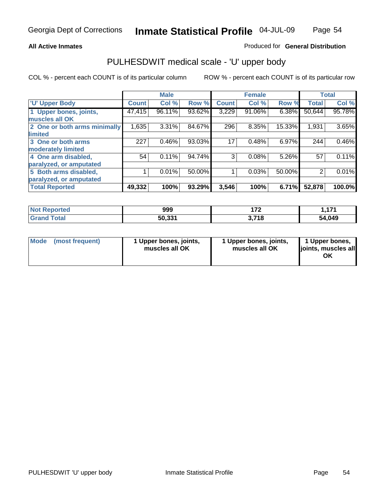#### **All Active Inmates**

#### Produced for **General Distribution**

## PULHESDWIT medical scale - 'U' upper body

|                              |              | <b>Male</b> |        |              | <b>Female</b> |        |              | <b>Total</b> |
|------------------------------|--------------|-------------|--------|--------------|---------------|--------|--------------|--------------|
| <b>U' Upper Body</b>         | <b>Count</b> | Col %       | Row %  | <b>Count</b> | Col %         | Row %  | <b>Total</b> | Col %        |
| 1 Upper bones, joints,       | 47,415       | 96.11%      | 93.62% | 3,229        | 91.06%        | 6.38%  | 50,644       | 95.78%       |
| muscles all OK               |              |             |        |              |               |        |              |              |
| 2 One or both arms minimally | 1,635        | 3.31%       | 84.67% | 296          | 8.35%         | 15.33% | 1,931        | 3.65%        |
| limited                      |              |             |        |              |               |        |              |              |
| 3 One or both arms           | 227          | 0.46%       | 93.03% | 17           | 0.48%         | 6.97%  | 244          | 0.46%        |
| moderately limited           |              |             |        |              |               |        |              |              |
| 4 One arm disabled,          | 54           | 0.11%       | 94.74% | 3            | 0.08%         | 5.26%  | 57           | 0.11%        |
| paralyzed, or amputated      |              |             |        |              |               |        |              |              |
| 5 Both arms disabled,        |              | 0.01%       | 50.00% |              | 0.03%         | 50.00% | 2            | 0.01%        |
| paralyzed, or amputated      |              |             |        |              |               |        |              |              |
| <b>Total Reported</b>        | 49,332       | 100%        | 93.29% | 3,546        | 100%          | 6.71%  | 52,878       | 100.0%       |

| <b>Not Reported</b>          | 999    | ィラヘ   | 474    |
|------------------------------|--------|-------|--------|
| <b>Total</b><br><b>Grand</b> | 50,331 | 3,718 | 54,049 |

| <b>Mode</b> | (most frequent) | 1 Upper bones, joints,<br>muscles all OK | 1 Upper bones, joints,<br>muscles all OK | 1 Upper bones,<br>joints, muscles all<br>ΟK |
|-------------|-----------------|------------------------------------------|------------------------------------------|---------------------------------------------|
|-------------|-----------------|------------------------------------------|------------------------------------------|---------------------------------------------|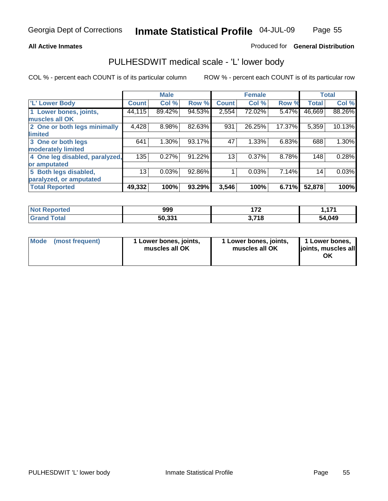#### **All Active Inmates**

#### Produced for **General Distribution**

## PULHESDWIT medical scale - 'L' lower body

|                                |        | <b>Male</b> |        |              | <b>Female</b> |        |              | <b>Total</b> |
|--------------------------------|--------|-------------|--------|--------------|---------------|--------|--------------|--------------|
| <b>L' Lower Body</b>           | Count! | Col %       | Row %  | <b>Count</b> | Col %         | Row %  | <b>Total</b> | Col %        |
| 1 Lower bones, joints,         | 44,115 | 89.42%      | 94.53% | 2,554        | 72.02%        | 5.47%  | 46,669       | 88.26%       |
| muscles all OK                 |        |             |        |              |               |        |              |              |
| 2 One or both legs minimally   | 4,428  | 8.98%       | 82.63% | 931          | 26.25%        | 17.37% | 5,359        | 10.13%       |
| limited                        |        |             |        |              |               |        |              |              |
| 3 One or both legs             | 641    | 1.30%       | 93.17% | 47           | 1.33%         | 6.83%  | 688          | 1.30%        |
| moderately limited             |        |             |        |              |               |        |              |              |
| 4 One leg disabled, paralyzed, | 135    | 0.27%       | 91.22% | 13           | 0.37%         | 8.78%  | 148          | 0.28%        |
| or amputated                   |        |             |        |              |               |        |              |              |
| 5 Both legs disabled,          | 13     | 0.03%       | 92.86% |              | 0.03%         | 7.14%  | 14           | 0.03%        |
| paralyzed, or amputated        |        |             |        |              |               |        |              |              |
| <b>Total Reported</b>          | 49,332 | 100%        | 93.29% | 3,546        | 100%          | 6.71%  | 52,878       | 100%         |

| <b>Not Reported</b>          | 999    | ィラヘ   | 474    |
|------------------------------|--------|-------|--------|
| <b>Total</b><br><b>Grand</b> | 50,331 | 3,718 | 54,049 |

|  | Mode (most frequent) | 1 Lower bones, joints,<br>muscles all OK | 1 Lower bones, joints,<br>muscles all OK | 1 Lower bones,<br>joints, muscles all<br>OK |
|--|----------------------|------------------------------------------|------------------------------------------|---------------------------------------------|
|--|----------------------|------------------------------------------|------------------------------------------|---------------------------------------------|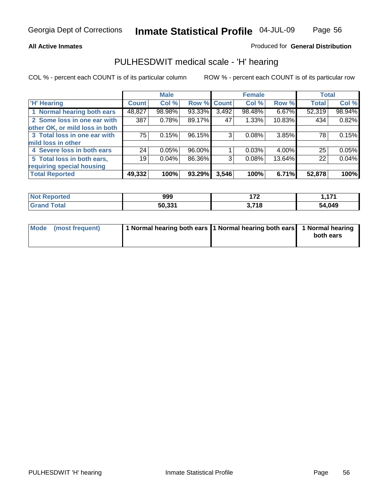#### **All Active Inmates**

#### Produced for **General Distribution**

## PULHESDWIT medical scale - 'H' hearing

COL % - percent each COUNT is of its particular column ROW % - percent each COUNT is of its particular row

|                                |              | <b>Male</b> |             |       | <b>Female</b> |        | <b>Total</b> |        |
|--------------------------------|--------------|-------------|-------------|-------|---------------|--------|--------------|--------|
| <b>H'</b> Hearing              | <b>Count</b> | Col %       | Row % Count |       | Col %         | Row %  | <b>Total</b> | Col %  |
| 1 Normal hearing both ears     | 48,827       | 98.98%      | 93.33%      | 3,492 | 98.48%        | 6.67%  | 52,319       | 98.94% |
| 2 Some loss in one ear with    | 387          | 0.78%       | 89.17%      | 47    | 1.33%         | 10.83% | 434          | 0.82%  |
| other OK, or mild loss in both |              |             |             |       |               |        |              |        |
| 3 Total loss in one ear with   | 75           | 0.15%       | 96.15%      | 3     | 0.08%         | 3.85%  | 78           | 0.15%  |
| mild loss in other             |              |             |             |       |               |        |              |        |
| 4 Severe loss in both ears     | 24           | 0.05%       | 96.00%      |       | 0.03%         | 4.00%  | 25           | 0.05%  |
| 5 Total loss in both ears,     | 19           | 0.04%       | 86.36%      | 3     | 0.08%         | 13.64% | 22           | 0.04%  |
| requiring special housing      |              |             |             |       |               |        |              |        |
| <b>Total Reported</b>          | 49,332       | 100%        | 93.29%      | 3,546 | 100%          | 6.71%  | 52,878       | 100%   |

| ported<br>N. | 999    | ---           | 474<br>. |
|--------------|--------|---------------|----------|
| <b>Total</b> | 50,331 | 2719<br>- 1 6 | 54,049   |

| Mode (most frequent) | 1 Normal hearing both ears 11 Normal hearing both ears 1 Normal hearing |           |
|----------------------|-------------------------------------------------------------------------|-----------|
|                      |                                                                         | both ears |
|                      |                                                                         |           |

Page 56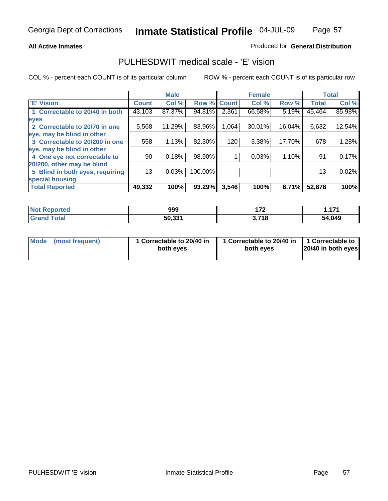### Produced for **General Distribution**

# PULHESDWIT medical scale - 'E' vision

|                                 |              | <b>Male</b> |             |       | <b>Female</b> |        |              | <b>Total</b> |
|---------------------------------|--------------|-------------|-------------|-------|---------------|--------|--------------|--------------|
| 'E' Vision                      | <b>Count</b> | Col %       | Row % Count |       | Col%          | Row %  | <b>Total</b> | Col %        |
| 1 Correctable to 20/40 in both  | 43,103       | 87.37%      | 94.81%      | 2,361 | 66.58%        | 5.19%  | 45,464       | 85.98%       |
| eyes                            |              |             |             |       |               |        |              |              |
| 2 Correctable to 20/70 in one   | 5,568        | 11.29%      | 83.96%      | 1,064 | 30.01%        | 16.04% | 6,632        | 12.54%       |
| eye, may be blind in other      |              |             |             |       |               |        |              |              |
| 3 Correctable to 20/200 in one  | 558          | 1.13%       | 82.30%      | 120   | 3.38%         | 17.70% | 678          | 1.28%        |
| eye, may be blind in other      |              |             |             |       |               |        |              |              |
| 4 One eye not correctable to    | 90           | 0.18%       | 98.90%      |       | 0.03%         | 1.10%  | 91           | 0.17%        |
| 20/200, other may be blind      |              |             |             |       |               |        |              |              |
| 5 Blind in both eyes, requiring | 13           | 0.03%       | 100.00%     |       |               |        | 13           | 0.02%        |
| special housing                 |              |             |             |       |               |        |              |              |
| <b>Total Reported</b>           | 49,332       | 100%        | 93.29%      | 3,546 | 100%          | 6.71%  | 52,878       | 100%         |

| <b>Not Reported</b> | 999    | יי    | 474    |
|---------------------|--------|-------|--------|
| Tota'<br>Grang      | 50.331 | 3,718 | 54,049 |

|  | Mode (most frequent) | 1 Correctable to 20/40 in<br>both eves | 1 Correctable to 20/40 in   1 Correctable to<br>both eves | 20/40 in both eyes |
|--|----------------------|----------------------------------------|-----------------------------------------------------------|--------------------|
|--|----------------------|----------------------------------------|-----------------------------------------------------------|--------------------|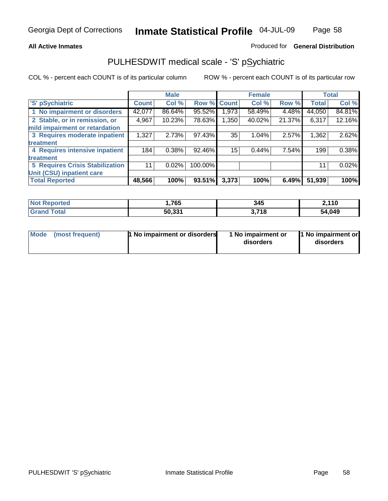#### **All Active Inmates**

#### Produced for **General Distribution**

# PULHESDWIT medical scale - 'S' pSychiatric

|                                        |              | <b>Male</b> |         |              | <b>Female</b> |        |              | <b>Total</b> |
|----------------------------------------|--------------|-------------|---------|--------------|---------------|--------|--------------|--------------|
| 'S' pSychiatric                        | <b>Count</b> | Col %       | Row %   | <b>Count</b> | Col %         | Row %  | <b>Total</b> | Col %        |
| 1 No impairment or disorders           | 42,077       | 86.64%      | 95.52%  | .973         | 58.49%        | 4.48%  | 44,050       | 84.81%       |
| 2 Stable, or in remission, or          | 4,967        | 10.23%      | 78.63%  | ,350         | 40.02%        | 21.37% | 6,317        | 12.16%       |
| mild impairment or retardation         |              |             |         |              |               |        |              |              |
| 3 Requires moderate inpatient          | 1,327        | 2.73%       | 97.43%  | 35           | 1.04%         | 2.57%  | 1,362        | 2.62%        |
| treatment                              |              |             |         |              |               |        |              |              |
| 4 Requires intensive inpatient         | 184          | 0.38%       | 92.46%  | 15           | 0.44%         | 7.54%  | 199          | 0.38%        |
| treatment                              |              |             |         |              |               |        |              |              |
| <b>5 Requires Crisis Stabilization</b> | 11           | 0.02%       | 100.00% |              |               |        | 11           | 0.02%        |
| Unit (CSU) inpatient care              |              |             |         |              |               |        |              |              |
| <b>Total Reported</b>                  | 48,566       | 100%        | 93.51%  | 3,373        | 100%          | 6.49%  | 51,939       | 100%         |

| <b>Not Reported</b>    | 765,،  | 345   | 2,110  |
|------------------------|--------|-------|--------|
| <b>Total</b><br>ˈGrand | 50,331 | 3,718 | 54,049 |

|  | Mode (most frequent) | <b>1</b> No impairment or disorders | 1 No impairment or<br>disorders | 1 No impairment or<br>disorders |
|--|----------------------|-------------------------------------|---------------------------------|---------------------------------|
|--|----------------------|-------------------------------------|---------------------------------|---------------------------------|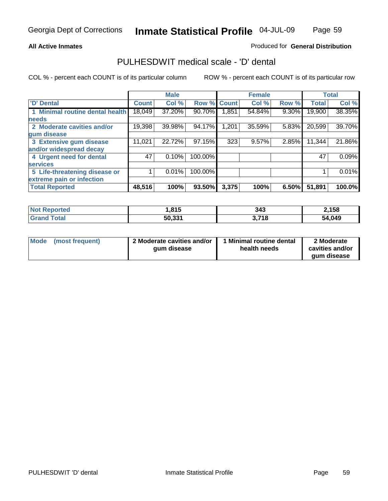**All Active Inmates**

#### Produced for **General Distribution**

## PULHESDWIT medical scale - 'D' dental

|                                 |              | <b>Male</b> |             |       | <b>Female</b> |          |              | <b>Total</b> |
|---------------------------------|--------------|-------------|-------------|-------|---------------|----------|--------------|--------------|
| 'D' Dental                      | <b>Count</b> | Col %       | Row % Count |       | Col %         | Row %    | <b>Total</b> | Col %        |
| 1 Minimal routine dental health | 18,049       | 37.20%      | 90.70%      | .851  | 54.84%        | 9.30%    | 19,900       | 38.35%       |
| <b>needs</b>                    |              |             |             |       |               |          |              |              |
| 2 Moderate cavities and/or      | 19,398       | 39.98%      | 94.17%      | .201  | 35.59%        | 5.83%    | 20,599       | 39.70%       |
| gum disease                     |              |             |             |       |               |          |              |              |
| 3 Extensive gum disease         | 11,021       | 22.72%      | 97.15%      | 323   | 9.57%         | 2.85%    | 11,344       | 21.86%       |
| and/or widespread decay         |              |             |             |       |               |          |              |              |
| 4 Urgent need for dental        | 47           | 0.10%       | 100.00%     |       |               |          | 47           | 0.09%        |
| <b>services</b>                 |              |             |             |       |               |          |              |              |
| 5 Life-threatening disease or   |              | 0.01%       | 100.00%     |       |               |          |              | 0.01%        |
| extreme pain or infection       |              |             |             |       |               |          |              |              |
| <b>Total Reported</b>           | 48,516       | 100%        | 93.50%      | 3,375 | 100%          | $6.50\%$ | 51,891       | 100.0%       |

| <b>Not Reported</b> | 15.∥   | 343   | 2,158  |
|---------------------|--------|-------|--------|
| <b>Grand Total</b>  | 50,331 | 3,718 | 54,049 |

| <b>Mode</b> | (most frequent) | 2 Moderate cavities and/or<br>qum disease | Minimal routine dental<br>health needs | 2 Moderate<br>cavities and/or |
|-------------|-----------------|-------------------------------------------|----------------------------------------|-------------------------------|
|             |                 |                                           |                                        | qum disease                   |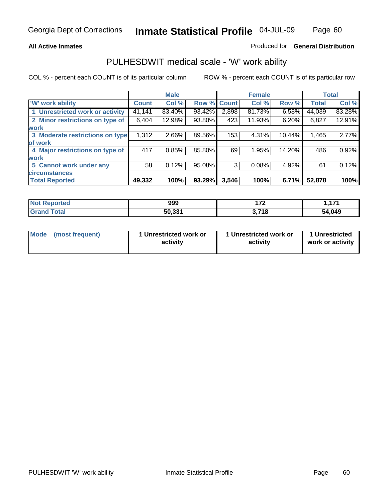#### **All Active Inmates**

#### Produced for **General Distribution**

## PULHESDWIT medical scale - 'W' work ability

|                                 |              | <b>Male</b> |        |              | <b>Female</b> |        |              | <b>Total</b> |
|---------------------------------|--------------|-------------|--------|--------------|---------------|--------|--------------|--------------|
| W' work ability                 | <b>Count</b> | Col %       | Row %  | <b>Count</b> | Col %         | Row %  | <b>Total</b> | Col %        |
| 1 Unrestricted work or activity | 41,141       | 83.40%      | 93.42% | 2,898        | 81.73%        | 6.58%  | 44,039       | 83.28%       |
| 2 Minor restrictions on type of | 6,404        | 12.98%      | 93.80% | 423          | 11.93%        | 6.20%  | 6,827        | 12.91%       |
| <b>work</b>                     |              |             |        |              |               |        |              |              |
| 3 Moderate restrictions on type | 1,312        | 2.66%       | 89.56% | 153          | 4.31%         | 10.44% | 1,465        | 2.77%        |
| of work                         |              |             |        |              |               |        |              |              |
| 4 Major restrictions on type of | 417          | 0.85%       | 85.80% | 69           | 1.95%         | 14.20% | 486          | 0.92%        |
| <b>work</b>                     |              |             |        |              |               |        |              |              |
| 5 Cannot work under any         | 58           | 0.12%       | 95.08% | 3            | 0.08%         | 4.92%  | 61           | 0.12%        |
| <b>circumstances</b>            |              |             |        |              |               |        |              |              |
| <b>Total Reported</b>           | 49,332       | 100%        | 93.29% | 3,546        | 100%          | 6.71%  | 52,878       | 100%         |

| <b>Not Reported</b>          | 999    | יי    | 474<br>. |
|------------------------------|--------|-------|----------|
| <b>Total</b><br><b>Grand</b> | 50,331 | 3,718 | 54,049   |

| Mode (most frequent) | 1 Unrestricted work or | 1 Unrestricted work or | 1 Unrestricted   |
|----------------------|------------------------|------------------------|------------------|
|                      | activity               | activity               | work or activity |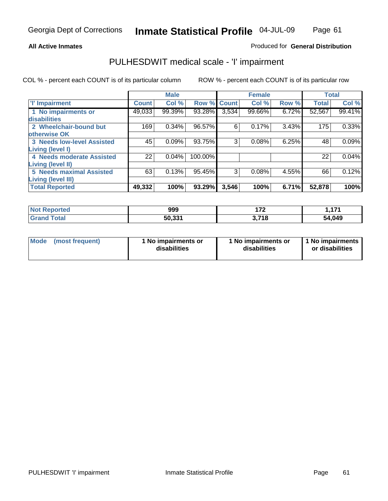### Page 61

#### **All Active Inmates**

### Produced for **General Distribution**

# PULHESDWIT medical scale - 'I' impairment

|                                   |              | <b>Male</b> |             |       | <b>Female</b> |       |              | <b>Total</b> |
|-----------------------------------|--------------|-------------|-------------|-------|---------------|-------|--------------|--------------|
| <b>T' Impairment</b>              | <b>Count</b> | Col %       | Row % Count |       | Col %         | Row % | <b>Total</b> | Col %        |
| 1 No impairments or               | 49,033       | 99.39%      | 93.28%      | 3,534 | 99.66%        | 6.72% | 52,567       | 99.41%       |
| <b>disabilities</b>               |              |             |             |       |               |       |              |              |
| 2 Wheelchair-bound but            | 169          | 0.34%       | 96.57%      | 6     | 0.17%         | 3.43% | 175          | 0.33%        |
| otherwise OK                      |              |             |             |       |               |       |              |              |
| <b>3 Needs low-level Assisted</b> | 45           | 0.09%       | 93.75%      | 3     | 0.08%         | 6.25% | 48           | 0.09%        |
| Living (level I)                  |              |             |             |       |               |       |              |              |
| 4 Needs moderate Assisted         | 22           | 0.04%       | 100.00%     |       |               |       | 22           | 0.04%        |
| <b>Living (level II)</b>          |              |             |             |       |               |       |              |              |
| <b>5 Needs maximal Assisted</b>   | 63           | 0.13%       | 95.45%      | 3     | 0.08%         | 4.55% | 66           | 0.12%        |
| <b>Living (level III)</b>         |              |             |             |       |               |       |              |              |
| <b>Total Reported</b>             | 49,332       | 100%        | 93.29%      | 3,546 | 100%          | 6.71% | 52,878       | 100%         |

| <b>Not</b><br>Reported       | 999    | ィラヘ<br>. . | 171<br>. |
|------------------------------|--------|------------|----------|
| <b>Total</b><br><b>Grand</b> | 50,331 | 718.<br>◡. | 54,049   |

| Mode | (most frequent) | 1 No impairments or<br>disabilities | 1 No impairments or<br>disabilities | 1 No impairments<br>or disabilities |
|------|-----------------|-------------------------------------|-------------------------------------|-------------------------------------|
|------|-----------------|-------------------------------------|-------------------------------------|-------------------------------------|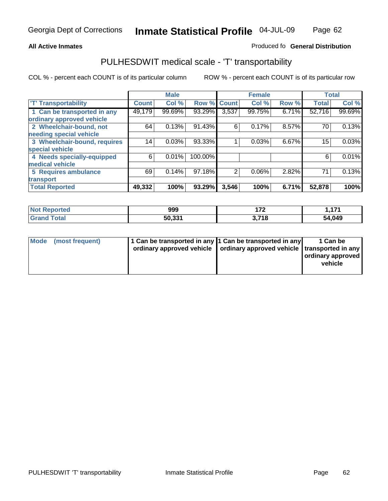#### **Inmate Statistical Profile** 04-JUL-09 Page Page 62

### All Active Inmates **All Active Inmates All Active Inmates Produced fo General Distribution**

# PULHESDWIT medical scale - 'T' transportability

|                              |              | <b>Male</b> |         |                | <b>Female</b> |       | <b>Total</b> |        |
|------------------------------|--------------|-------------|---------|----------------|---------------|-------|--------------|--------|
| <b>T' Transportability</b>   | <b>Count</b> | Col %       | Row %   | <b>Count</b>   | Col %         | Row % | <b>Total</b> | Col %  |
| 1 Can be transported in any  | 49,179       | 99.69%      | 93.29%  | 3,537          | 99.75%        | 6.71% | 52,716       | 99.69% |
| ordinary approved vehicle    |              |             |         |                |               |       |              |        |
| 2 Wheelchair-bound, not      | 64           | 0.13%       | 91.43%  | 6              | 0.17%         | 8.57% | 70           | 0.13%  |
| needing special vehicle      |              |             |         |                |               |       |              |        |
| 3 Wheelchair-bound, requires | 14           | 0.03%       | 93.33%  |                | 0.03%         | 6.67% | 15           | 0.03%  |
| special vehicle              |              |             |         |                |               |       |              |        |
| 4 Needs specially-equipped   | 6            | 0.01%       | 100.00% |                |               |       | 6            | 0.01%  |
| medical vehicle              |              |             |         |                |               |       |              |        |
| <b>5 Requires ambulance</b>  | 69           | 0.14%       | 97.18%  | $\overline{2}$ | 0.06%         | 2.82% | 71           | 0.13%  |
| transport                    |              |             |         |                |               |       |              |        |
| <b>Total Reported</b>        | 49,332       | 100%        | 93.29%  | 3,546          | 100%          | 6.71% | 52,878       | 100%   |

| Not F<br><b>Reported</b> | 999    | ィラヘ<br>. | 4.74<br>., |
|--------------------------|--------|----------|------------|
| <b>Grand Total</b>       | 50,331 | 3,718    | 54,049     |

| Mode (most frequent) | 1 Can be transported in any 1 Can be transported in any | ordinary approved vehicle   ordinary approved vehicle   transported in any | 1 Can be<br>ordinary approved<br>vehicle |
|----------------------|---------------------------------------------------------|----------------------------------------------------------------------------|------------------------------------------|
|                      |                                                         |                                                                            |                                          |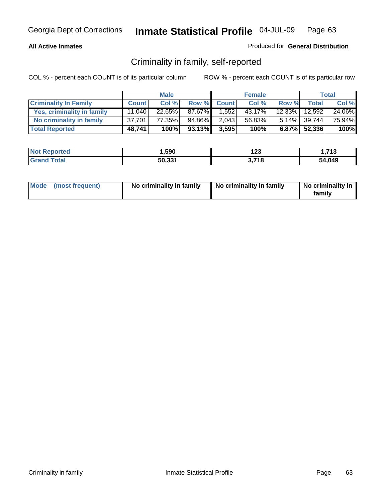### **All Active Inmates**

### Produced for **General Distribution**

# Criminality in family, self-reported

|                              |              | <b>Male</b> |        |             | <b>Female</b> |       |               | <b>Total</b> |
|------------------------------|--------------|-------------|--------|-------------|---------------|-------|---------------|--------------|
| <b>Criminality In Family</b> | <b>Count</b> | Col %       |        | Row % Count | Col %         | Row % | <b>Total</b>  | Col %        |
| Yes, criminality in family   | 11.040       | 22.65%      | 87.67% | 1.552       | 43.17%        |       | 12.33% 12,592 | 24.06%       |
| No criminality in family     | 37.701       | 77.35%      | 94.86% | 2,043       | 56.83%        |       | 5.14% 39,744  | 75.94%       |
| <b>Total Reported</b>        | 48,741       | 100%        | 93.13% | 3,595       | 100%          |       | 6.87% 52,336  | 100%         |

| <b>Not Reported</b>   | ,590   | י ה<br>נגו         | - 74 2<br>- 19 |
|-----------------------|--------|--------------------|----------------|
| Total<br><b>Grand</b> | 50,331 | <b>740</b><br>71 C | 54,049         |

|  | Mode (most frequent) | No criminality in family | No criminality in family | No criminality in<br>family |
|--|----------------------|--------------------------|--------------------------|-----------------------------|
|--|----------------------|--------------------------|--------------------------|-----------------------------|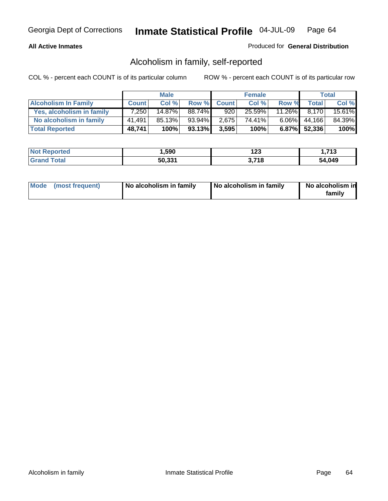#### **All Active Inmates**

#### Produced for **General Distribution**

# Alcoholism in family, self-reported

|                             |              | <b>Male</b> |        |              | <b>Female</b> |           |              | <b>Total</b> |
|-----------------------------|--------------|-------------|--------|--------------|---------------|-----------|--------------|--------------|
| <b>Alcoholism In Family</b> | <b>Count</b> | Col %       | Row %  | <b>Count</b> | Col %         | Row %     | <b>Total</b> | Col %        |
| Yes, alcoholism in family   | 7.250        | 14.87%      | 88.74% | 920          | 25.59%        | $11.26\%$ | 8.170        | 15.61%       |
| No alcoholism in family     | 41,491       | 85.13%      | 93.94% | 2,675        | 74.41%        | $6.06\%$  | 44,166       | 84.39%       |
| <b>Total Reported</b>       | 48,741       | 100%        | 93.13% | 3,595        | 100%          |           | 6.87% 52,336 | 100%         |

| <b>Not Reported</b>     | ,590   | י ה<br>ن 1 | - 74 2<br>- 19 |
|-------------------------|--------|------------|----------------|
| <b>Srand</b><br>∣ Total | 50,331 | .718       | 54.049         |

|  | Mode (most frequent) | No alcoholism in family | No alcoholism in family | No alcoholism in<br>family |
|--|----------------------|-------------------------|-------------------------|----------------------------|
|--|----------------------|-------------------------|-------------------------|----------------------------|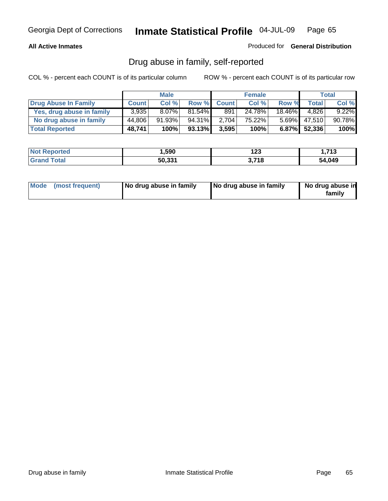#### **All Active Inmates**

#### Produced for **General Distribution**

# Drug abuse in family, self-reported

|                           |              | <b>Male</b> |           |              | <b>Female</b> |           |              | <b>Total</b> |
|---------------------------|--------------|-------------|-----------|--------------|---------------|-----------|--------------|--------------|
| Drug Abuse In Family      | <b>Count</b> | Col %       | Row %     | <b>Count</b> | Col %         | Row %     | <b>Total</b> | Col %        |
| Yes, drug abuse in family | 3.935        | $8.07\%$    | $81.54\%$ | 891          | 24.78%        | $18.46\%$ | 4.826        | $9.22\%$     |
| No drug abuse in family   | 44.806       | $91.93\%$   | 94.31%    | 2,704        | 75.22%        | $5.69\%$  | 47.510       | 90.78%       |
| <b>Total Reported</b>     | 48,741       | 100%        | 93.13%    | 3,595        | 100%          |           | 6.87% 52,336 | 100%         |

| <b>Not Reported</b>   | ,590   | י ה<br>נגו         | - 74 2<br>- 19 |
|-----------------------|--------|--------------------|----------------|
| Total<br><b>Grand</b> | 50,331 | <b>740</b><br>71 C | 54,049         |

|  | Mode (most frequent) | No drug abuse in family | No drug abuse in family | No drug abuse in<br>family |
|--|----------------------|-------------------------|-------------------------|----------------------------|
|--|----------------------|-------------------------|-------------------------|----------------------------|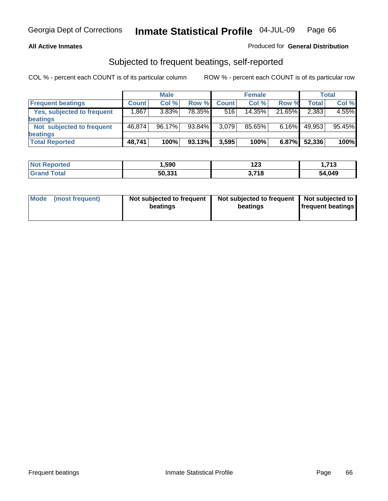#### **All Active Inmates**

### Produced for **General Distribution**

## Subjected to frequent beatings, self-reported

|                            |              | <b>Male</b> |        |              | <b>Female</b> |          |        | <b>Total</b> |
|----------------------------|--------------|-------------|--------|--------------|---------------|----------|--------|--------------|
| <b>Frequent beatings</b>   | <b>Count</b> | Col%        | Row %  | <b>Count</b> | Col%          | Row %    | Total  | Col %        |
| Yes, subjected to frequent | .867         | 3.83%       | 78.35% | 516          | 14.35%        | 21.65%   | 2,383  | 4.55%        |
| beatings                   |              |             |        |              |               |          |        |              |
| Not subjected to frequent  | 46.874       | $96.17\%$   | 93.84% | 3,079        | 85.65%        | $6.16\%$ | 49,953 | 95.45%       |
| <b>beatings</b>            |              |             |        |              |               |          |        |              |
| <b>Total Reported</b>      | 48,741       | 100%        | 93.13% | 3,595        | 100%          | 6.87%    | 52,336 | 100%         |

| <b>Not F</b><br>Reported | 590,   | 123        | - 74 2<br>- 19 |
|--------------------------|--------|------------|----------------|
| <b>Total</b><br>⊩Grar    | 50,331 | <b>740</b> | 54,049         |

| Mode            | Not subjected to frequent | Not subjected to frequent | Not subjected to  |
|-----------------|---------------------------|---------------------------|-------------------|
| (most frequent) | beatings                  | beatings                  | frequent beatings |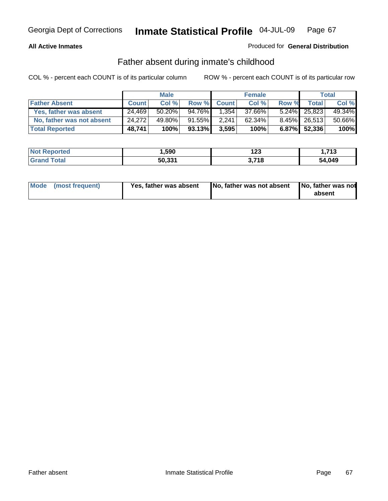#### **All Active Inmates**

### Produced for **General Distribution**

## Father absent during inmate's childhood

|                           |              | <b>Male</b> |           |              | <b>Female</b> |       |              | Total  |
|---------------------------|--------------|-------------|-----------|--------------|---------------|-------|--------------|--------|
| <b>Father Absent</b>      | <b>Count</b> | Col %       | Row %     | <b>Count</b> | Col %         | Row % | <b>Total</b> | Col %  |
| Yes, father was absent    | 24,469       | 50.20%      | 94.76%    | 1,354        | 37.66%        |       | 5.24% 25,823 | 49.34% |
| No, father was not absent | 24,272       | 49.80%      | $91.55\%$ | 2.241        | 62.34%        |       | 8.45% 26,513 | 50.66% |
| <b>Total Reported</b>     | 48,741       | 100%        | 93.13%    | 3,595        | 100%          |       | 6.87% 52,336 | 100%   |

| <b>Not Reported</b> | 590,   | י ה<br>נגו | - 74 2<br>- 19 |
|---------------------|--------|------------|----------------|
| <b>Grand Total</b>  | 50,331 | 3.718      | 54.049         |

| Mode (most frequent) | Yes, father was absent | No, father was not absent No, father was not | absent |
|----------------------|------------------------|----------------------------------------------|--------|
|                      |                        |                                              |        |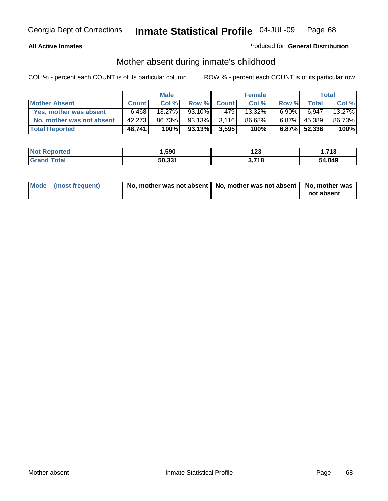### **All Active Inmates**

### Produced for **General Distribution**

# Mother absent during inmate's childhood

|                           |              | <b>Male</b> |        |              | <b>Female</b> |          |              | Total  |
|---------------------------|--------------|-------------|--------|--------------|---------------|----------|--------------|--------|
| <b>Mother Absent</b>      | <b>Count</b> | Col %       | Row %  | <b>Count</b> | Col %         | Row %    | <b>Total</b> | Col %  |
| Yes, mother was absent    | 6.468        | $13.27\%$   | 93.10% | 4791         | 13.32%        | $6.90\%$ | 6,947        | 13.27% |
| No, mother was not absent | 42,273       | 86.73%      | 93.13% | 3,116        | 86.68%        | $6.87\%$ | 45,389       | 86.73% |
| <b>Total Reported</b>     | 48,741       | 100%        | 93.13% | 3,595        | 100%          |          | 6.87% 52,336 | 100%   |

| <b>Not Reported</b> | 590,   | י ה<br>נגו | - 74 2<br>- 19 |
|---------------------|--------|------------|----------------|
| <b>Grand Total</b>  | 50,331 | 3.718      | 54.049         |

| Mode (most frequent) | No, mother was not absent   No, mother was not absent   No, mother was | not absent |
|----------------------|------------------------------------------------------------------------|------------|
|----------------------|------------------------------------------------------------------------|------------|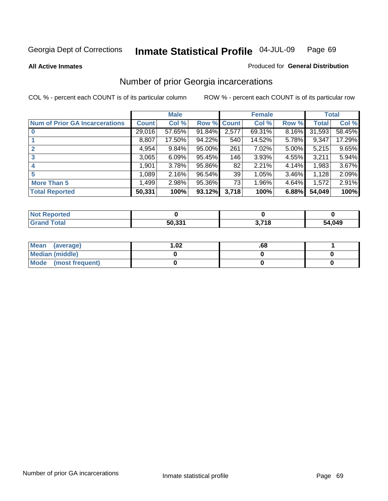**All Active Inmates**

#### Produced for **General Distribution**

# Number of prior Georgia incarcerations

|                                       |              | <b>Male</b> |                    |       | <b>Female</b> |          |        | <b>Total</b> |
|---------------------------------------|--------------|-------------|--------------------|-------|---------------|----------|--------|--------------|
| <b>Num of Prior GA Incarcerations</b> | <b>Count</b> | Col %       | <b>Row % Count</b> |       | Col %         | Row %    | Total  | Col %        |
| $\bf{0}$                              | 29,016       | 57.65%      | 91.84%             | 2,577 | 69.31%        | 8.16%    | 31,593 | 58.45%       |
|                                       | 8,807        | 17.50%      | 94.22%             | 540   | 14.52%        | 5.78%    | 9,347  | 17.29%       |
|                                       | 4,954        | 9.84%       | 95.00%             | 261   | 7.02%         | 5.00%    | 5,215  | 9.65%        |
| 3                                     | 3,065        | 6.09%       | 95.45%             | 146   | 3.93%         | 4.55%    | 3,211  | 5.94%        |
|                                       | 1,901        | 3.78%       | 95.86%             | 82    | 2.21%         | 4.14%    | 1,983  | 3.67%        |
| 5                                     | 1,089        | 2.16%       | 96.54%             | 39    | 1.05%         | $3.46\%$ | 1,128  | 2.09%        |
| <b>More Than 5</b>                    | 1,499        | 2.98%       | 95.36%             | 73    | 1.96%         | 4.64%    | 1,572  | 2.91%        |
| <b>Total Reported</b>                 | 50,331       | 100%        | 93.12%             | 3,718 | 100%          | 6.88%    | 54,049 | 100%         |

| <b>Not</b><br>orted |        |             |        |
|---------------------|--------|-------------|--------|
| <b>cotal</b>        | 50,33' | 7740<br>l d | 54,049 |

| Mean (average)       | l.O2 | .oo |  |
|----------------------|------|-----|--|
| Median (middle)      |      |     |  |
| Mode (most frequent) |      |     |  |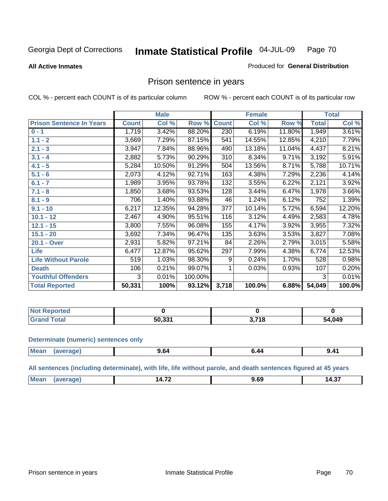#### **All Active Inmates**

#### Produced for **General Distribution**

## Prison sentence in years

COL % - percent each COUNT is of its particular column ROW % - percent each COUNT is of its particular row

|                                 |              | <b>Male</b> |         |              | <b>Female</b> |        |              | <b>Total</b> |
|---------------------------------|--------------|-------------|---------|--------------|---------------|--------|--------------|--------------|
| <b>Prison Sentence In Years</b> | <b>Count</b> | Col %       | Row %   | <b>Count</b> | Col %         | Row %  | <b>Total</b> | Col %        |
| $0 - 1$                         | 1,719        | 3.42%       | 88.20%  | 230          | 6.19%         | 11.80% | 1,949        | 3.61%        |
| $1.1 - 2$                       | 3,669        | 7.29%       | 87.15%  | 541          | 14.55%        | 12.85% | 4,210        | 7.79%        |
| $2.1 - 3$                       | 3,947        | 7.84%       | 88.96%  | 490          | 13.18%        | 11.04% | 4,437        | 8.21%        |
| $3.1 - 4$                       | 2,882        | 5.73%       | 90.29%  | 310          | 8.34%         | 9.71%  | 3,192        | 5.91%        |
| $4.1 - 5$                       | 5,284        | 10.50%      | 91.29%  | 504          | 13.56%        | 8.71%  | 5,788        | 10.71%       |
| $5.1 - 6$                       | 2,073        | 4.12%       | 92.71%  | 163          | 4.38%         | 7.29%  | 2,236        | 4.14%        |
| $6.1 - 7$                       | 1,989        | 3.95%       | 93.78%  | 132          | 3.55%         | 6.22%  | 2,121        | 3.92%        |
| $7.1 - 8$                       | 1,850        | 3.68%       | 93.53%  | 128          | 3.44%         | 6.47%  | 1,978        | 3.66%        |
| $8.1 - 9$                       | 706          | 1.40%       | 93.88%  | 46           | 1.24%         | 6.12%  | 752          | 1.39%        |
| $9.1 - 10$                      | 6,217        | 12.35%      | 94.28%  | 377          | 10.14%        | 5.72%  | 6,594        | 12.20%       |
| $10.1 - 12$                     | 2,467        | 4.90%       | 95.51%  | 116          | 3.12%         | 4.49%  | 2,583        | 4.78%        |
| $12.1 - 15$                     | 3,800        | 7.55%       | 96.08%  | 155          | 4.17%         | 3.92%  | 3,955        | 7.32%        |
| $15.1 - 20$                     | 3,692        | 7.34%       | 96.47%  | 135          | 3.63%         | 3.53%  | 3,827        | 7.08%        |
| 20.1 - Over                     | 2,931        | 5.82%       | 97.21%  | 84           | 2.26%         | 2.79%  | 3,015        | 5.58%        |
| <b>Life</b>                     | 6,477        | 12.87%      | 95.62%  | 297          | 7.99%         | 4.38%  | 6,774        | 12.53%       |
| <b>Life Without Parole</b>      | 519          | 1.03%       | 98.30%  | 9            | 0.24%         | 1.70%  | 528          | 0.98%        |
| <b>Death</b>                    | 106          | 0.21%       | 99.07%  |              | 0.03%         | 0.93%  | 107          | 0.20%        |
| <b>Youthful Offenders</b>       | 3            | 0.01%       | 100.00% |              |               |        | 3            | 0.01%        |
| <b>Total Reported</b>           | 50,331       | 100%        | 93.12%  | 3,718        | 100.0%        | 6.88%  | 54,049       | 100.0%       |

| <b>Not Reported</b>    |        |                   |        |
|------------------------|--------|-------------------|--------|
| <b>cotal</b><br>-Grati | 50.331 | <b>740</b><br>. . | 54,049 |

#### **Determinate (numeric) sentences only**

| Mear | 'апе | 9.04 | 41.د |
|------|------|------|------|
|      |      |      |      |

**All sentences (including determinate), with life, life without parole, and death sentences figured at 45 years**

| $\sim$<br>'NЛ<br>,,,<br>. .<br>ט.,<br>.<br>. |  |  |
|----------------------------------------------|--|--|
|                                              |  |  |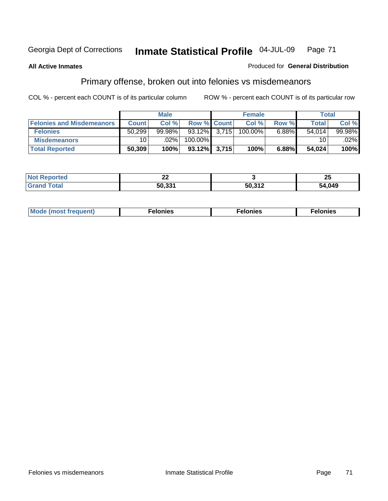#### **All Active Inmates**

#### Produced for **General Distribution**

# Primary offense, broken out into felonies vs misdemeanors

|                                  |              | <b>Male</b> |                    | <b>Female</b> |       | Total        |        |
|----------------------------------|--------------|-------------|--------------------|---------------|-------|--------------|--------|
| <b>Felonies and Misdemeanors</b> | <b>Count</b> | Col %       | <b>Row % Count</b> | Col%          | Row % | <b>Total</b> | Col %  |
| <b>Felonies</b>                  | 50,299       | $99.98\%$   | $93.12\%$ 3,715    | 100.00%       | 6.88% | 54.014       | 99.98% |
| <b>Misdemeanors</b>              | 10 I         | $.02\%$     | 100.00%            |               |       | 10           | .02%   |
| <b>Total Reported</b>            | 50,309       | 100%        | $93.12\%$ 3.715    | 100%          | 6.88% | 54,024       | 100%   |

| <b>Not Reported</b> | ^^<br>-- |        | ሳሪ<br>∠J |
|---------------------|----------|--------|----------|
| Gran.<br>⊺otal      | 50.331   | 50.312 | 54.049   |

| M | . | . | . |
|---|---|---|---|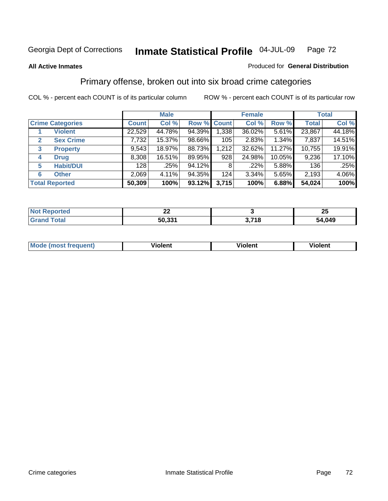#### **All Active Inmates**

#### Produced for **General Distribution**

# Primary offense, broken out into six broad crime categories

|                         |                       |              | <b>Male</b> |             |       | <b>Female</b> |          |              | <b>Total</b> |
|-------------------------|-----------------------|--------------|-------------|-------------|-------|---------------|----------|--------------|--------------|
| <b>Crime Categories</b> |                       | <b>Count</b> | Col %       | Row % Count |       | Col %         | Row %    | <b>Total</b> | Col %        |
|                         | <b>Violent</b>        | 22,529       | 44.78%      | 94.39%      | 1,338 | 36.02%        | $5.61\%$ | 23,867       | 44.18%       |
| 2                       | <b>Sex Crime</b>      | 7,732        | 15.37%      | 98.66%      | 105   | 2.83%         | 1.34%    | 7,837        | 14.51%       |
| 3                       | <b>Property</b>       | 9,543        | 18.97%      | 88.73%      | 1,212 | 32.62%        | 11.27%   | 10,755       | 19.91%       |
| 4                       | <b>Drug</b>           | 8,308        | 16.51%      | 89.95%      | 928   | 24.98%        | 10.05%   | 9,236        | 17.10%       |
| 5                       | <b>Habit/DUI</b>      | 128          | $.25\%$     | 94.12%      | 8     | .22%          | 5.88%    | 136          | $.25\%$      |
| 6                       | <b>Other</b>          | 2,069        | 4.11%       | 94.35%      | 124   | 3.34%         | 5.65%    | 2,193        | 4.06%        |
|                         | <b>Total Reported</b> | 50,309       | 100%        | 93.12%      | 3,715 | 100%          | 6.88%    | 54,024       | 100%         |

| N | ~<br>-- |               | - -<br>Zυ |  |
|---|---------|---------------|-----------|--|
|   | 50.331  | 74 O<br>- 1 C | 54,049    |  |

| <b>Mo</b><br>uenti | .<br>วlent | $- -$<br>Violent | --<br>Violent |
|--------------------|------------|------------------|---------------|
|                    |            |                  |               |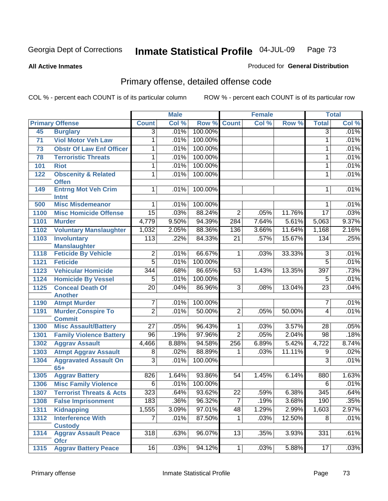**All Active Inmates**

#### Produced for **General Distribution**

## Primary offense, detailed offense code

| Col %<br>Col %<br><b>Primary Offense</b><br><b>Count</b><br>Col %<br>Row %<br><b>Count</b><br>Row %<br><b>Total</b><br>100.00%<br>.01%<br>$\overline{3}$<br>.01%<br>$\overline{3}$<br>45<br><b>Burglary</b><br><b>Viol Motor Veh Law</b><br>100.00%<br>$\mathbf{1}$<br>.01%<br>71<br>1<br>.01%<br>100.00%<br>.01%<br><b>Obstr Of Law Enf Officer</b><br>.01%<br>73<br>1<br>1<br>.01%<br>100.00%<br>.01%<br><b>Terroristic Threats</b><br>1<br>78<br>1<br>.01%<br>.01%<br>100.00%<br>$\overline{1}$<br>$\mathbf{1}$<br>101<br><b>Riot</b><br>100.00%<br>.01%<br>1<br>.01%<br>122<br><b>Obscenity &amp; Related</b><br>1<br><b>Offen</b><br><b>Entrng Mot Veh Crim</b><br>100.00%<br>.01%<br>149<br>1<br>.01%<br>1<br><b>Intnt</b><br>100.00%<br><b>Misc Misdemeanor</b><br>.01%<br>500<br>.01%<br>1<br>1<br>.03%<br>88.24%<br>.03%<br>$\overline{15}$<br>$\overline{2}$<br>11.76%<br>$\overline{17}$<br>1100<br><b>Misc Homicide Offense</b><br>.05%<br>9.50%<br>9.37%<br>4,779<br>94.39%<br>7.64%<br>5.61%<br>5,063<br>1101<br><b>Murder</b><br>284<br>88.36%<br>11.64%<br>2.16%<br>1102<br><b>Voluntary Manslaughter</b><br>1,032<br>2.05%<br>136<br>3.66%<br>1,168<br>84.33%<br>.25%<br><b>Involuntary</b><br>113<br>$.22\%$<br>.57%<br>15.67%<br>1103<br>21<br>134<br><b>Manslaughter</b><br>66.67%<br>33.33%<br>.01%<br><b>Feticide By Vehicle</b><br>$\overline{2}$<br>.01%<br>$\overline{3}$<br>1118<br>.03%<br>$\mathbf 1$<br>$\overline{5}$<br>100.00%<br>$\overline{5}$<br>.01%<br>.01%<br>1121<br><b>Feticide</b><br>86.65%<br>.73%<br><b>Vehicular Homicide</b><br>$\overline{344}$<br>.68%<br>397<br>1123<br>53<br>1.43%<br>13.35%<br>100.00%<br>.01%<br>1124<br><b>Homicide By Vessel</b><br>$\overline{5}$<br>.01%<br>$\overline{5}$<br><b>Conceal Death Of</b><br>86.96%<br>.04%<br>$\overline{20}$<br>.04%<br>$\overline{3}$<br>13.04%<br>$\overline{23}$<br>1125<br>.08%<br><b>Another</b><br>100.00%<br>.01%<br>$\overline{7}$<br>.01%<br>1190<br><b>Atmpt Murder</b><br>7 |
|----------------------------------------------------------------------------------------------------------------------------------------------------------------------------------------------------------------------------------------------------------------------------------------------------------------------------------------------------------------------------------------------------------------------------------------------------------------------------------------------------------------------------------------------------------------------------------------------------------------------------------------------------------------------------------------------------------------------------------------------------------------------------------------------------------------------------------------------------------------------------------------------------------------------------------------------------------------------------------------------------------------------------------------------------------------------------------------------------------------------------------------------------------------------------------------------------------------------------------------------------------------------------------------------------------------------------------------------------------------------------------------------------------------------------------------------------------------------------------------------------------------------------------------------------------------------------------------------------------------------------------------------------------------------------------------------------------------------------------------------------------------------------------------------------------------------------------------------------------------------------------------------------------------------------------------------------------------------------------------------|
|                                                                                                                                                                                                                                                                                                                                                                                                                                                                                                                                                                                                                                                                                                                                                                                                                                                                                                                                                                                                                                                                                                                                                                                                                                                                                                                                                                                                                                                                                                                                                                                                                                                                                                                                                                                                                                                                                                                                                                                              |
|                                                                                                                                                                                                                                                                                                                                                                                                                                                                                                                                                                                                                                                                                                                                                                                                                                                                                                                                                                                                                                                                                                                                                                                                                                                                                                                                                                                                                                                                                                                                                                                                                                                                                                                                                                                                                                                                                                                                                                                              |
|                                                                                                                                                                                                                                                                                                                                                                                                                                                                                                                                                                                                                                                                                                                                                                                                                                                                                                                                                                                                                                                                                                                                                                                                                                                                                                                                                                                                                                                                                                                                                                                                                                                                                                                                                                                                                                                                                                                                                                                              |
|                                                                                                                                                                                                                                                                                                                                                                                                                                                                                                                                                                                                                                                                                                                                                                                                                                                                                                                                                                                                                                                                                                                                                                                                                                                                                                                                                                                                                                                                                                                                                                                                                                                                                                                                                                                                                                                                                                                                                                                              |
|                                                                                                                                                                                                                                                                                                                                                                                                                                                                                                                                                                                                                                                                                                                                                                                                                                                                                                                                                                                                                                                                                                                                                                                                                                                                                                                                                                                                                                                                                                                                                                                                                                                                                                                                                                                                                                                                                                                                                                                              |
|                                                                                                                                                                                                                                                                                                                                                                                                                                                                                                                                                                                                                                                                                                                                                                                                                                                                                                                                                                                                                                                                                                                                                                                                                                                                                                                                                                                                                                                                                                                                                                                                                                                                                                                                                                                                                                                                                                                                                                                              |
|                                                                                                                                                                                                                                                                                                                                                                                                                                                                                                                                                                                                                                                                                                                                                                                                                                                                                                                                                                                                                                                                                                                                                                                                                                                                                                                                                                                                                                                                                                                                                                                                                                                                                                                                                                                                                                                                                                                                                                                              |
|                                                                                                                                                                                                                                                                                                                                                                                                                                                                                                                                                                                                                                                                                                                                                                                                                                                                                                                                                                                                                                                                                                                                                                                                                                                                                                                                                                                                                                                                                                                                                                                                                                                                                                                                                                                                                                                                                                                                                                                              |
|                                                                                                                                                                                                                                                                                                                                                                                                                                                                                                                                                                                                                                                                                                                                                                                                                                                                                                                                                                                                                                                                                                                                                                                                                                                                                                                                                                                                                                                                                                                                                                                                                                                                                                                                                                                                                                                                                                                                                                                              |
|                                                                                                                                                                                                                                                                                                                                                                                                                                                                                                                                                                                                                                                                                                                                                                                                                                                                                                                                                                                                                                                                                                                                                                                                                                                                                                                                                                                                                                                                                                                                                                                                                                                                                                                                                                                                                                                                                                                                                                                              |
|                                                                                                                                                                                                                                                                                                                                                                                                                                                                                                                                                                                                                                                                                                                                                                                                                                                                                                                                                                                                                                                                                                                                                                                                                                                                                                                                                                                                                                                                                                                                                                                                                                                                                                                                                                                                                                                                                                                                                                                              |
|                                                                                                                                                                                                                                                                                                                                                                                                                                                                                                                                                                                                                                                                                                                                                                                                                                                                                                                                                                                                                                                                                                                                                                                                                                                                                                                                                                                                                                                                                                                                                                                                                                                                                                                                                                                                                                                                                                                                                                                              |
|                                                                                                                                                                                                                                                                                                                                                                                                                                                                                                                                                                                                                                                                                                                                                                                                                                                                                                                                                                                                                                                                                                                                                                                                                                                                                                                                                                                                                                                                                                                                                                                                                                                                                                                                                                                                                                                                                                                                                                                              |
|                                                                                                                                                                                                                                                                                                                                                                                                                                                                                                                                                                                                                                                                                                                                                                                                                                                                                                                                                                                                                                                                                                                                                                                                                                                                                                                                                                                                                                                                                                                                                                                                                                                                                                                                                                                                                                                                                                                                                                                              |
|                                                                                                                                                                                                                                                                                                                                                                                                                                                                                                                                                                                                                                                                                                                                                                                                                                                                                                                                                                                                                                                                                                                                                                                                                                                                                                                                                                                                                                                                                                                                                                                                                                                                                                                                                                                                                                                                                                                                                                                              |
|                                                                                                                                                                                                                                                                                                                                                                                                                                                                                                                                                                                                                                                                                                                                                                                                                                                                                                                                                                                                                                                                                                                                                                                                                                                                                                                                                                                                                                                                                                                                                                                                                                                                                                                                                                                                                                                                                                                                                                                              |
|                                                                                                                                                                                                                                                                                                                                                                                                                                                                                                                                                                                                                                                                                                                                                                                                                                                                                                                                                                                                                                                                                                                                                                                                                                                                                                                                                                                                                                                                                                                                                                                                                                                                                                                                                                                                                                                                                                                                                                                              |
|                                                                                                                                                                                                                                                                                                                                                                                                                                                                                                                                                                                                                                                                                                                                                                                                                                                                                                                                                                                                                                                                                                                                                                                                                                                                                                                                                                                                                                                                                                                                                                                                                                                                                                                                                                                                                                                                                                                                                                                              |
|                                                                                                                                                                                                                                                                                                                                                                                                                                                                                                                                                                                                                                                                                                                                                                                                                                                                                                                                                                                                                                                                                                                                                                                                                                                                                                                                                                                                                                                                                                                                                                                                                                                                                                                                                                                                                                                                                                                                                                                              |
|                                                                                                                                                                                                                                                                                                                                                                                                                                                                                                                                                                                                                                                                                                                                                                                                                                                                                                                                                                                                                                                                                                                                                                                                                                                                                                                                                                                                                                                                                                                                                                                                                                                                                                                                                                                                                                                                                                                                                                                              |
|                                                                                                                                                                                                                                                                                                                                                                                                                                                                                                                                                                                                                                                                                                                                                                                                                                                                                                                                                                                                                                                                                                                                                                                                                                                                                                                                                                                                                                                                                                                                                                                                                                                                                                                                                                                                                                                                                                                                                                                              |
|                                                                                                                                                                                                                                                                                                                                                                                                                                                                                                                                                                                                                                                                                                                                                                                                                                                                                                                                                                                                                                                                                                                                                                                                                                                                                                                                                                                                                                                                                                                                                                                                                                                                                                                                                                                                                                                                                                                                                                                              |
| $\overline{2}$<br>.01%<br>50.00%<br>$\overline{2}$<br>.01%<br>.05%<br>50.00%<br>4<br>1191<br><b>Murder, Conspire To</b>                                                                                                                                                                                                                                                                                                                                                                                                                                                                                                                                                                                                                                                                                                                                                                                                                                                                                                                                                                                                                                                                                                                                                                                                                                                                                                                                                                                                                                                                                                                                                                                                                                                                                                                                                                                                                                                                      |
| <b>Commit</b><br>96.43%<br>$\overline{27}$<br>3.57%<br>.05%<br>1300<br><b>Misc Assault/Battery</b><br>.05%<br>.03%<br>28<br>$\mathbf 1$                                                                                                                                                                                                                                                                                                                                                                                                                                                                                                                                                                                                                                                                                                                                                                                                                                                                                                                                                                                                                                                                                                                                                                                                                                                                                                                                                                                                                                                                                                                                                                                                                                                                                                                                                                                                                                                      |
| $\overline{96}$<br>$\overline{2}$<br>.19%<br>97.96%<br>.05%<br>.18%<br><b>Family Violence Battery</b><br>2.04%<br>$\overline{98}$<br>1301                                                                                                                                                                                                                                                                                                                                                                                                                                                                                                                                                                                                                                                                                                                                                                                                                                                                                                                                                                                                                                                                                                                                                                                                                                                                                                                                                                                                                                                                                                                                                                                                                                                                                                                                                                                                                                                    |
| 5.42%<br>8.74%<br>1302<br><b>Aggrav Assault</b><br>8.88%<br>94.58%<br>256<br>6.89%<br>4,722<br>4,466                                                                                                                                                                                                                                                                                                                                                                                                                                                                                                                                                                                                                                                                                                                                                                                                                                                                                                                                                                                                                                                                                                                                                                                                                                                                                                                                                                                                                                                                                                                                                                                                                                                                                                                                                                                                                                                                                         |
| 88.89%<br>.03%<br>11.11%<br>.02%<br>1303<br><b>Atmpt Aggrav Assault</b><br>.02%<br>9<br>8<br>1                                                                                                                                                                                                                                                                                                                                                                                                                                                                                                                                                                                                                                                                                                                                                                                                                                                                                                                                                                                                                                                                                                                                                                                                                                                                                                                                                                                                                                                                                                                                                                                                                                                                                                                                                                                                                                                                                               |
| $\overline{3}$<br>100.00%<br>3<br>.01%<br>1304<br><b>Aggravated Assault On</b><br>.01%                                                                                                                                                                                                                                                                                                                                                                                                                                                                                                                                                                                                                                                                                                                                                                                                                                                                                                                                                                                                                                                                                                                                                                                                                                                                                                                                                                                                                                                                                                                                                                                                                                                                                                                                                                                                                                                                                                       |
| $65+$                                                                                                                                                                                                                                                                                                                                                                                                                                                                                                                                                                                                                                                                                                                                                                                                                                                                                                                                                                                                                                                                                                                                                                                                                                                                                                                                                                                                                                                                                                                                                                                                                                                                                                                                                                                                                                                                                                                                                                                        |
| 93.86%<br>1.63%<br>1305<br>826<br>1.64%<br>1.45%<br>6.14%<br>880<br><b>Aggrav Battery</b><br>54                                                                                                                                                                                                                                                                                                                                                                                                                                                                                                                                                                                                                                                                                                                                                                                                                                                                                                                                                                                                                                                                                                                                                                                                                                                                                                                                                                                                                                                                                                                                                                                                                                                                                                                                                                                                                                                                                              |
| .01%<br><b>Misc Family Violence</b><br>$\overline{6}$<br>.01%<br>100.00%<br>1306<br>$\overline{6}$                                                                                                                                                                                                                                                                                                                                                                                                                                                                                                                                                                                                                                                                                                                                                                                                                                                                                                                                                                                                                                                                                                                                                                                                                                                                                                                                                                                                                                                                                                                                                                                                                                                                                                                                                                                                                                                                                           |
| 323<br>93.62%<br>.64%<br>$\overline{22}$<br>.59%<br>6.38%<br>$\overline{345}$<br>.64%<br>1307<br><b>Terrorist Threats &amp; Acts</b>                                                                                                                                                                                                                                                                                                                                                                                                                                                                                                                                                                                                                                                                                                                                                                                                                                                                                                                                                                                                                                                                                                                                                                                                                                                                                                                                                                                                                                                                                                                                                                                                                                                                                                                                                                                                                                                         |
| $\overline{7}$<br>.35%<br>$\overline{183}$<br>.36%<br>96.32%<br><b>False Imprisonment</b><br>.19%<br>3.68%<br>190<br>1308                                                                                                                                                                                                                                                                                                                                                                                                                                                                                                                                                                                                                                                                                                                                                                                                                                                                                                                                                                                                                                                                                                                                                                                                                                                                                                                                                                                                                                                                                                                                                                                                                                                                                                                                                                                                                                                                    |
| 2.97%<br><b>Kidnapping</b><br>1,555<br>3.09%<br>97.01%<br>48<br>1.29%<br>2.99%<br>1,603<br>1311                                                                                                                                                                                                                                                                                                                                                                                                                                                                                                                                                                                                                                                                                                                                                                                                                                                                                                                                                                                                                                                                                                                                                                                                                                                                                                                                                                                                                                                                                                                                                                                                                                                                                                                                                                                                                                                                                              |
| <b>Interference With</b><br>$\overline{7}$<br>.01%<br>87.50%<br>$\overline{1}$<br>.03%<br>12.50%<br>$\overline{8}$<br>.01%<br>1312                                                                                                                                                                                                                                                                                                                                                                                                                                                                                                                                                                                                                                                                                                                                                                                                                                                                                                                                                                                                                                                                                                                                                                                                                                                                                                                                                                                                                                                                                                                                                                                                                                                                                                                                                                                                                                                           |
| <b>Custody</b>                                                                                                                                                                                                                                                                                                                                                                                                                                                                                                                                                                                                                                                                                                                                                                                                                                                                                                                                                                                                                                                                                                                                                                                                                                                                                                                                                                                                                                                                                                                                                                                                                                                                                                                                                                                                                                                                                                                                                                               |
| <b>Aggrav Assault Peace</b><br>331<br>.61%<br>318<br>.63%<br>96.07%<br>13<br>.35%<br>3.93%<br>1314<br><b>Ofcr</b>                                                                                                                                                                                                                                                                                                                                                                                                                                                                                                                                                                                                                                                                                                                                                                                                                                                                                                                                                                                                                                                                                                                                                                                                                                                                                                                                                                                                                                                                                                                                                                                                                                                                                                                                                                                                                                                                            |
| .03%<br><b>Aggrav Battery Peace</b><br>16<br>.03%<br>94.12%<br>.03%<br>5.88%<br>1315<br>1 <br>17                                                                                                                                                                                                                                                                                                                                                                                                                                                                                                                                                                                                                                                                                                                                                                                                                                                                                                                                                                                                                                                                                                                                                                                                                                                                                                                                                                                                                                                                                                                                                                                                                                                                                                                                                                                                                                                                                             |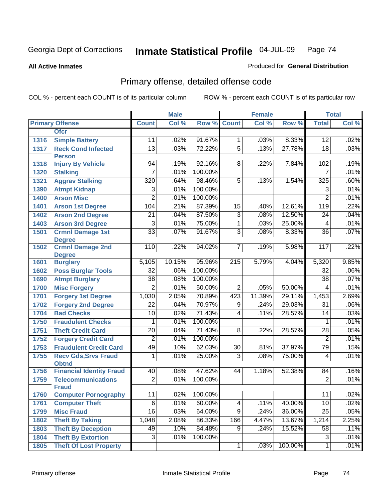#### **All Active Inmates**

#### Produced for **General Distribution**

## Primary offense, detailed offense code

|      |                                  |                 | <b>Male</b> |                 |                 | <b>Female</b> |         |                          | <b>Total</b> |
|------|----------------------------------|-----------------|-------------|-----------------|-----------------|---------------|---------|--------------------------|--------------|
|      | <b>Primary Offense</b>           | <b>Count</b>    | Col %       | Row %           | <b>Count</b>    | Col %         | Row %   | <b>Total</b>             | Col %        |
|      | <b>Ofcr</b>                      |                 |             |                 |                 |               |         |                          |              |
| 1316 | <b>Simple Battery</b>            | 11              | .02%        | 91.67%          | $\mathbf 1$     | .03%          | 8.33%   | 12                       | .02%         |
| 1317 | <b>Reck Cond Infected</b>        | $\overline{13}$ | .03%        | 72.22%          | $\overline{5}$  | .13%          | 27.78%  | $\overline{18}$          | .03%         |
|      | <b>Person</b>                    |                 |             |                 |                 |               |         |                          |              |
| 1318 | <b>Injury By Vehicle</b>         | 94              | .19%        | 92.16%          | 8               | .22%          | 7.84%   | 102                      | .19%         |
| 1320 | <b>Stalking</b>                  | 7               | .01%        | 100.00%         |                 |               |         | 7                        | .01%         |
| 1321 | <b>Aggrav Stalking</b>           | 320             | .64%        | 98.46%          | 5               | .13%          | 1.54%   | 325                      | .60%         |
| 1390 | <b>Atmpt Kidnap</b>              | 3               | .01%        | 100.00%         |                 |               |         | $\overline{3}$           | .01%         |
| 1400 | <b>Arson Misc</b>                | $\overline{2}$  | .01%        | 100.00%         |                 |               |         | $\overline{2}$           | .01%         |
| 1401 | <b>Arson 1st Degree</b>          | 104             | .21%        | 87.39%          | 15              | .40%          | 12.61%  | 119                      | .22%         |
| 1402 | <b>Arson 2nd Degree</b>          | $\overline{21}$ | .04%        | 87.50%          | $\overline{3}$  | .08%          | 12.50%  | 24                       | .04%         |
| 1403 | <b>Arson 3rd Degree</b>          | 3               | .01%        | 75.00%          | $\overline{1}$  | .03%          | 25.00%  | $\overline{\mathcal{A}}$ | .01%         |
| 1501 | <b>Crmnl Damage 1st</b>          | $\overline{33}$ | .07%        | 91.67%          | $\overline{3}$  | .08%          | 8.33%   | $\overline{36}$          | .07%         |
|      | <b>Degree</b>                    |                 |             |                 |                 |               |         |                          |              |
| 1502 | <b>Crmnl Damage 2nd</b>          | 110             | .22%        | 94.02%          | $\overline{7}$  | .19%          | 5.98%   | 117                      | .22%         |
| 1601 | <b>Degree</b><br><b>Burglary</b> | 5,105           | 10.15%      | 95.96%          | 215             | 5.79%         | 4.04%   | 5,320                    | 9.85%        |
| 1602 | <b>Poss Burglar Tools</b>        | $\overline{32}$ | .06%        | 100.00%         |                 |               |         | 32                       | $.06\%$      |
| 1690 | <b>Atmpt Burglary</b>            | $\overline{38}$ | .08%        | 100.00%         |                 |               |         | $\overline{38}$          | .07%         |
| 1700 | <b>Misc Forgery</b>              | $\overline{2}$  | .01%        | 50.00%          | $\overline{2}$  | .05%          | 50.00%  | 4                        | .01%         |
| 1701 | <b>Forgery 1st Degree</b>        | 1,030           | 2.05%       | 70.89%          | 423             | 11.39%        | 29.11%  | 1,453                    | 2.69%        |
| 1702 | <b>Forgery 2nd Degree</b>        | $\overline{22}$ | .04%        | 70.97%          | 9               | .24%          | 29.03%  | 31                       | .06%         |
| 1704 | <b>Bad Checks</b>                | $\overline{10}$ | .02%        | 71.43%          | $\overline{4}$  | .11%          | 28.57%  | 14                       | .03%         |
| 1750 | <b>Fraudulent Checks</b>         | 1               | .01%        | 100.00%         |                 |               |         | 1                        | .01%         |
| 1751 | <b>Theft Credit Card</b>         | $\overline{20}$ | .04%        | 71.43%          | $\overline{8}$  | .22%          | 28.57%  | $\overline{28}$          | .05%         |
| 1752 | <b>Forgery Credit Card</b>       | $\overline{2}$  | .01%        | 100.00%         |                 |               |         | $\overline{2}$           | .01%         |
| 1753 | <b>Fraudulent Credit Card</b>    | 49              | .10%        | 62.03%          | $\overline{30}$ | .81%          | 37.97%  | 79                       | .15%         |
| 1755 | <b>Recv Gds, Srvs Fraud</b>      | 1               | .01%        | 25.00%          | $\overline{3}$  | .08%          | 75.00%  | 4                        | .01%         |
|      | <b>Obtnd</b>                     |                 |             |                 |                 |               |         |                          |              |
| 1756 | <b>Financial Identity Fraud</b>  | 40              | .08%        | 47.62%          | 44              | 1.18%         | 52.38%  | 84                       | .16%         |
| 1759 | <b>Telecommunications</b>        | $\overline{2}$  | .01%        | 100.00%         |                 |               |         | $\overline{2}$           | .01%         |
|      | <b>Fraud</b>                     |                 |             |                 |                 |               |         |                          |              |
| 1760 | <b>Computer Pornography</b>      | 11              |             | $.02\%$ 100.00% |                 |               |         | 11                       | .02%         |
| 1761 | <b>Computer Theft</b>            | 6               | .01%        | 60.00%          | 4               | .11%          | 40.00%  | $\overline{10}$          | .02%         |
| 1799 | <b>Misc Fraud</b>                | $\overline{16}$ | .03%        | 64.00%          | $\overline{9}$  | .24%          | 36.00%  | $\overline{25}$          | .05%         |
| 1802 | <b>Theft By Taking</b>           | 1,048           | 2.08%       | 86.33%          | 166             | 4.47%         | 13.67%  | 1,214                    | 2.25%        |
| 1803 | <b>Theft By Deception</b>        | 49              | .10%        | 84.48%          | $\overline{9}$  | .24%          | 15.52%  | $\overline{58}$          | .11%         |
| 1804 | <b>Theft By Extortion</b>        | 3               | .01%        | 100.00%         |                 |               |         | 3                        | .01%         |
| 1805 | <b>Theft Of Lost Property</b>    |                 |             |                 | $\mathbf{1}$    | .03%          | 100.00% | $\mathbf{1}$             | .01%         |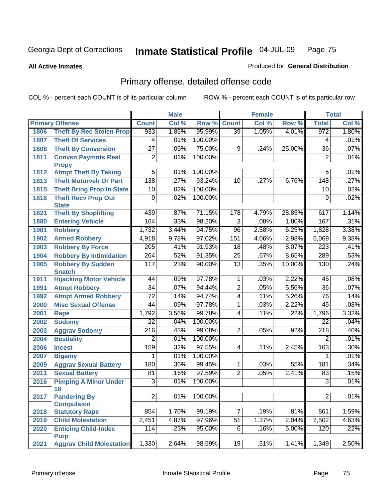**All Active Inmates**

#### Produced for **General Distribution**

## Primary offense, detailed offense code

|      |                                            |                  | <b>Male</b> |         |                 | <b>Female</b>              |        |                  | <b>Total</b> |
|------|--------------------------------------------|------------------|-------------|---------|-----------------|----------------------------|--------|------------------|--------------|
|      | <b>Primary Offense</b>                     | <b>Count</b>     | Col %       | Row %   | <b>Count</b>    | $\overline{\text{Col }^9}$ | Row %  | <b>Total</b>     | Col %        |
| 1806 | <b>Theft By Rec Stolen Prop</b>            | 933              | 1.85%       | 95.99%  | $\overline{39}$ | 1.05%                      | 4.01%  | 972              | 1.80%        |
| 1807 | <b>Theft Of Services</b>                   | 4                | .01%        | 100.00% |                 |                            |        | 4                | .01%         |
| 1808 | <b>Theft By Conversion</b>                 | $\overline{27}$  | .05%        | 75.00%  | 9               | .24%                       | 25.00% | $\overline{36}$  | .07%         |
| 1811 | <b>Convsn Paymnts Real</b>                 | $\overline{2}$   | .01%        | 100.00% |                 |                            |        | $\overline{2}$   | .01%         |
|      | <b>Propy</b>                               |                  |             |         |                 |                            |        |                  |              |
| 1812 | <b>Atmpt Theft By Taking</b>               | $\overline{5}$   | .01%        | 100.00% |                 |                            |        | 5                | .01%         |
| 1813 | <b>Theft Motorveh Or Part</b>              | 138              | .27%        | 93.24%  | 10              | .27%                       | 6.76%  | 148              | .27%         |
| 1815 | <b>Theft Bring Prop In State</b>           | 10               | .02%        | 100.00% |                 |                            |        | 10               | .02%         |
| 1816 | <b>Theft Recv Prop Out</b>                 | 9                | .02%        | 100.00% |                 |                            |        | 9                | .02%         |
|      | <b>State</b>                               |                  |             |         |                 |                            |        |                  |              |
| 1821 | <b>Theft By Shoplifting</b>                | 439              | .87%        | 71.15%  | 178             | 4.79%                      | 28.85% | 617              | 1.14%        |
| 1880 | <b>Entering Vehicle</b>                    | 164              | .33%        | 98.20%  | $\overline{3}$  | .08%                       | 1.80%  | 167              | .31%         |
| 1901 | <b>Robbery</b>                             | 1,732            | 3.44%       | 94.75%  | $\overline{96}$ | 2.58%                      | 5.25%  | 1,828            | 3.38%        |
| 1902 | <b>Armed Robbery</b>                       | 4,918            | 9.78%       | 97.02%  | 151             | 4.06%                      | 2.98%  | 5,069            | 9.38%        |
| 1903 | <b>Robbery By Force</b>                    | $\overline{205}$ | .41%        | 91.93%  | $\overline{18}$ | .48%                       | 8.07%  | $\overline{223}$ | .41%         |
| 1904 | <b>Robbery By Intimidation</b>             | 264              | .52%        | 91.35%  | $\overline{25}$ | .67%                       | 8.65%  | 289              | .53%         |
| 1905 | <b>Robbery By Sudden</b>                   | 117              | .23%        | 90.00%  | $\overline{13}$ | .35%                       | 10.00% | 130              | .24%         |
|      | <b>Snatch</b>                              |                  |             |         |                 |                            |        |                  |              |
| 1911 | <b>Hijacking Motor Vehicle</b>             | 44               | .09%        | 97.78%  | $\overline{1}$  | .03%                       | 2.22%  | 45               | .08%         |
| 1991 | <b>Atmpt Robbery</b>                       | $\overline{34}$  | .07%        | 94.44%  | $\overline{2}$  | .05%                       | 5.56%  | $\overline{36}$  | .07%         |
| 1992 | <b>Atmpt Armed Robbery</b>                 | $\overline{72}$  | .14%        | 94.74%  | $\overline{4}$  | .11%                       | 5.26%  | 76               | .14%         |
| 2000 | <b>Misc Sexual Offense</b>                 | $\overline{44}$  | .09%        | 97.78%  | $\overline{1}$  | .03%                       | 2.22%  | $\overline{45}$  | .08%         |
| 2001 | <b>Rape</b>                                | 1,792            | 3.56%       | 99.78%  | $\overline{4}$  | .11%                       | .22%   | 1,796            | 3.32%        |
| 2002 | <b>Sodomy</b>                              | $\overline{22}$  | .04%        | 100.00% |                 |                            |        | $\overline{22}$  | .04%         |
| 2003 | <b>Aggrav Sodomy</b>                       | 216              | .43%        | 99.08%  | $\overline{2}$  | .05%                       | .92%   | $\overline{218}$ | .40%         |
| 2004 | <b>Bestiality</b>                          | $\overline{2}$   | .01%        | 100.00% |                 |                            |        | $\overline{2}$   | .01%         |
| 2006 | <b>Incest</b>                              | 159              | .32%        | 97.55%  | $\overline{4}$  | .11%                       | 2.45%  | 163              | .30%         |
| 2007 | <b>Bigamy</b>                              | 1                | .01%        | 100.00% |                 |                            |        | 1                | .01%         |
| 2009 | <b>Aggrav Sexual Battery</b>               | 180              | .36%        | 99.45%  | $\mathbf 1$     | .03%                       | .55%   | 181              | .34%         |
| 2011 | <b>Sexual Battery</b>                      | $\overline{81}$  | .16%        | 97.59%  | $\overline{2}$  | .05%                       | 2.41%  | 83               | .15%         |
| 2016 | <b>Pimping A Minor Under</b>               | $\overline{3}$   | .01%        | 100.00% |                 |                            |        | $\overline{3}$   | .01%         |
|      | 18                                         |                  |             |         |                 |                            |        |                  |              |
| 2017 | <b>Pandering By</b>                        | $\overline{2}$   | .01%        | 100.00% |                 |                            |        | $\overline{2}$   | .01%         |
|      | <b>Compulsion</b>                          |                  |             |         |                 |                            |        |                  |              |
| 2018 | <b>Statutory Rape</b>                      | 854              | 1.70%       | 99.19%  | $\overline{7}$  | .19%                       | .81%   | 861              | 1.59%        |
| 2019 | <b>Child Molestation</b>                   | 2,451            | 4.87%       | 97.96%  | 51              | 1.37%                      | 2.04%  | 2,502            | 4.63%        |
| 2020 | <b>Enticing Child-Indec</b><br><b>Purp</b> | 114              | .23%        | 95.00%  | $\overline{6}$  | .16%                       | 5.00%  | 120              | .22%         |
| 2021 | <b>Aggrav Child Molestation</b>            | 1,330            | 2.64%       | 98.59%  | 19              | .51%                       | 1.41%  | 1,349            | 2.50%        |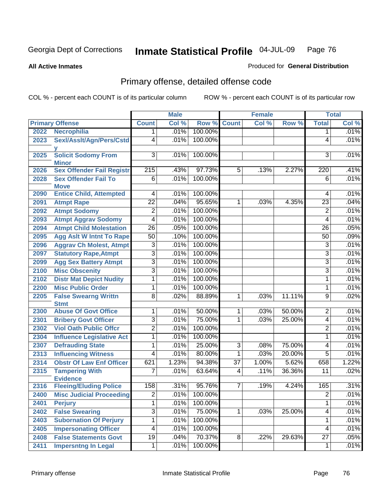**All Active Inmates**

#### Produced for **General Distribution**

## Primary offense, detailed offense code

|      |                                            |                  | <b>Male</b> |              |                 | <b>Female</b> |        |                 | <b>Total</b> |
|------|--------------------------------------------|------------------|-------------|--------------|-----------------|---------------|--------|-----------------|--------------|
|      | <b>Primary Offense</b>                     | <b>Count</b>     | Col %       | Row %        | <b>Count</b>    | Col %         | Row %  | <b>Total</b>    | Col %        |
| 2022 | <b>Necrophilia</b>                         | 1                | .01%        | 100.00%      |                 |               |        | 1               | .01%         |
| 2023 | Sexl/Asslt/Agn/Pers/Cstd                   | 4                | .01%        | 100.00%      |                 |               |        | 4               | .01%         |
| 2025 | <b>Solicit Sodomy From</b><br><b>Minor</b> | 3                | .01%        | 100.00%      |                 |               |        | 3               | .01%         |
| 2026 | <b>Sex Offender Fail Registr</b>           | $\overline{215}$ | .43%        | 97.73%       | $\overline{5}$  | .13%          | 2.27%  | 220             | .41%         |
| 2028 | <b>Sex Offender Fail To</b><br><b>Move</b> | $\overline{6}$   | .01%        | 100.00%      |                 |               |        | $\overline{6}$  | .01%         |
| 2090 | <b>Entice Child, Attempted</b>             | 4                | .01%        | 100.00%      |                 |               |        | 4               | .01%         |
| 2091 | <b>Atmpt Rape</b>                          | $\overline{22}$  | .04%        | 95.65%       | $\mathbf{1}$    | .03%          | 4.35%  | $\overline{23}$ | .04%         |
| 2092 | <b>Atmpt Sodomy</b>                        | $\overline{2}$   | .01%        | 100.00%      |                 |               |        | $\overline{2}$  | .01%         |
| 2093 | <b>Atmpt Aggrav Sodomy</b>                 | $\overline{4}$   | .01%        | 100.00%      |                 |               |        | 4               | .01%         |
| 2094 | <b>Atmpt Child Molestation</b>             | $\overline{26}$  | .05%        | 100.00%      |                 |               |        | $\overline{26}$ | .05%         |
| 2095 | <b>Agg Aslt W Intnt To Rape</b>            | $\overline{50}$  | .10%        | 100.00%      |                 |               |        | 50              | .09%         |
| 2096 | <b>Aggrav Ch Molest, Atmpt</b>             | $\overline{3}$   | .01%        | 100.00%      |                 |               |        | 3               | .01%         |
| 2097 | <b>Statutory Rape, Atmpt</b>               | $\overline{3}$   | .01%        | 100.00%      |                 |               |        | $\overline{3}$  | .01%         |
| 2099 | <b>Agg Sex Battery Atmpt</b>               | $\overline{3}$   | .01%        | 100.00%      |                 |               |        | $\overline{3}$  | .01%         |
| 2100 | <b>Misc Obscenity</b>                      | $\overline{3}$   | .01%        | 100.00%      |                 |               |        | $\overline{3}$  | .01%         |
| 2102 | <b>Distr Mat Depict Nudity</b>             | 1                | .01%        | 100.00%      |                 |               |        | 1               | .01%         |
| 2200 | <b>Misc Public Order</b>                   | 1                | .01%        | 100.00%      |                 |               |        | $\mathbf{1}$    | .01%         |
| 2205 | <b>False Swearng Writtn</b><br><b>Stmt</b> | $\overline{8}$   | .02%        | 88.89%       | $\mathbf 1$     | .03%          | 11.11% | $\overline{9}$  | .02%         |
| 2300 | <b>Abuse Of Govt Office</b>                | 1                | .01%        | 50.00%       | $\mathbf 1$     | .03%          | 50.00% | $\overline{2}$  | .01%         |
| 2301 | <b>Bribery Govt Officer</b>                | $\overline{3}$   | .01%        | 75.00%       | 1               | .03%          | 25.00% | 4               | .01%         |
| 2302 | <b>Viol Oath Public Offcr</b>              | 2                | .01%        | 100.00%      |                 |               |        | 2               | .01%         |
| 2304 | <b>Influence Legislative Act</b>           | 1                | .01%        | 100.00%      |                 |               |        | 1               | .01%         |
| 2307 | <b>Defrauding State</b>                    | 1                | .01%        | 25.00%       | 3               | .08%          | 75.00% | 4               | .01%         |
| 2313 | <b>Influencing Witness</b>                 | 4                | .01%        | 80.00%       | 1               | .03%          | 20.00% | $\overline{5}$  | .01%         |
| 2314 | <b>Obstr Of Law Enf Officer</b>            | 621              | 1.23%       | 94.38%       | $\overline{37}$ | 1.00%         | 5.62%  | 658             | 1.22%        |
| 2315 | <b>Tampering With</b><br><b>Evidence</b>   | 7                | .01%        | 63.64%       | 4               | .11%          | 36.36% | 11              | .02%         |
| 2316 | <b>Fleeing/Eluding Police</b>              | 158              | .31%        | 95.76%       | $\overline{7}$  | .19%          | 4.24%  | 165             | .31%         |
| 2400 | <b>Misc Judicial Proceeding</b>            | $\overline{2}$   |             | .01% 100.00% |                 |               |        | $\overline{2}$  | .01%         |
| 2401 | <b>Perjury</b>                             | $\overline{1}$   | .01%        | 100.00%      |                 |               |        | $\mathbf{1}$    | .01%         |
| 2402 | <b>False Swearing</b>                      | $\overline{3}$   | .01%        | 75.00%       | $\overline{1}$  | .03%          | 25.00% | $\overline{4}$  | .01%         |
| 2403 | <b>Subornation Of Perjury</b>              | 1                | .01%        | 100.00%      |                 |               |        | 1               | .01%         |
| 2405 | <b>Impersonating Officer</b>               | 4                | .01%        | 100.00%      |                 |               |        | 4               | .01%         |
| 2408 | <b>False Statements Govt</b>               | 19               | .04%        | 70.37%       | 8               | .22%          | 29.63% | $\overline{27}$ | .05%         |
| 2411 | <b>Impersntng In Legal</b>                 | 1                | .01%        | 100.00%      |                 |               |        | 1               | .01%         |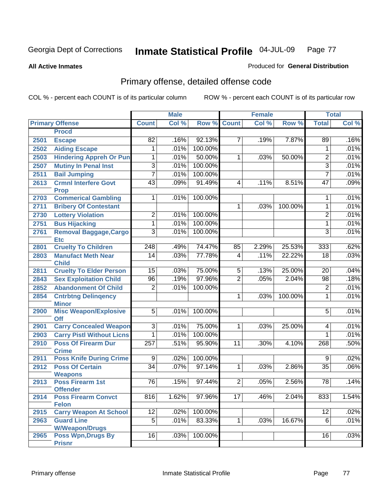**All Active Inmates**

#### Produced for **General Distribution**

## Primary offense, detailed offense code

|      |                                             |                 | <b>Male</b> |         |                 | <b>Female</b> |         |                 | <b>Total</b> |
|------|---------------------------------------------|-----------------|-------------|---------|-----------------|---------------|---------|-----------------|--------------|
|      | <b>Primary Offense</b>                      | <b>Count</b>    | Col %       | Row %   | <b>Count</b>    | Col %         | Row %   | <b>Total</b>    | Col %        |
|      | <b>Procd</b>                                |                 |             |         |                 |               |         |                 |              |
| 2501 | <b>Escape</b>                               | 82              | .16%        | 92.13%  | $\overline{7}$  | .19%          | 7.87%   | 89              | .16%         |
| 2502 | <b>Aiding Escape</b>                        | 1               | .01%        | 100.00% |                 |               |         | 1               | .01%         |
| 2503 | <b>Hindering Appreh Or Pun</b>              | 1               | .01%        | 50.00%  | 1               | .03%          | 50.00%  | $\overline{2}$  | .01%         |
| 2507 | <b>Mutiny In Penal Inst</b>                 | $\overline{3}$  | .01%        | 100.00% |                 |               |         | $\overline{3}$  | .01%         |
| 2511 | <b>Bail Jumping</b>                         | 7               | .01%        | 100.00% |                 |               |         | $\overline{7}$  | .01%         |
| 2613 | <b>Crmnl Interfere Govt</b><br><b>Prop</b>  | 43              | .09%        | 91.49%  | $\overline{4}$  | .11%          | 8.51%   | $\overline{47}$ | .09%         |
| 2703 | <b>Commerical Gambling</b>                  | 1               | .01%        | 100.00% |                 |               |         | 1               | .01%         |
| 2711 | <b>Bribery Of Contestant</b>                |                 |             |         | 1               | .03%          | 100.00% | 1               | .01%         |
| 2730 | <b>Lottery Violation</b>                    | $\overline{2}$  | .01%        | 100.00% |                 |               |         | $\overline{2}$  | .01%         |
| 2751 | <b>Bus Hijacking</b>                        | 1               | .01%        | 100.00% |                 |               |         | 1               | .01%         |
| 2761 | <b>Removal Baggage, Cargo</b><br><b>Etc</b> | $\overline{3}$  | .01%        | 100.00% |                 |               |         | 3               | .01%         |
| 2801 | <b>Cruelty To Children</b>                  | 248             | .49%        | 74.47%  | 85              | 2.29%         | 25.53%  | 333             | .62%         |
| 2803 | <b>Manufact Meth Near</b><br><b>Child</b>   | $\overline{14}$ | .03%        | 77.78%  | $\overline{4}$  | .11%          | 22.22%  | $\overline{18}$ | .03%         |
| 2811 | <b>Cruelty To Elder Person</b>              | 15              | .03%        | 75.00%  | 5               | .13%          | 25.00%  | 20              | .04%         |
| 2843 | <b>Sex Exploitation Child</b>               | $\overline{96}$ | .19%        | 97.96%  | $\overline{2}$  | .05%          | 2.04%   | $\overline{98}$ | .18%         |
| 2852 | <b>Abandonment Of Child</b>                 | $\overline{2}$  | .01%        | 100.00% |                 |               |         | $\overline{2}$  | .01%         |
| 2854 | <b>Cntrbtng Delingency</b><br><b>Minor</b>  |                 |             |         | 1               | .03%          | 100.00% | 1               | .01%         |
| 2900 | <b>Misc Weapon/Explosive</b><br><b>Off</b>  | $\overline{5}$  | .01%        | 100.00% |                 |               |         | 5               | .01%         |
| 2901 | <b>Carry Concealed Weapon</b>               | $\overline{3}$  | .01%        | 75.00%  | $\mathbf{1}$    | .03%          | 25.00%  | 4               | .01%         |
| 2903 | <b>Carry Pistl Without Licns</b>            | 1               | .01%        | 100.00% |                 |               |         | 1               | .01%         |
| 2910 | <b>Poss Of Firearm Dur</b><br><b>Crime</b>  | 257             | .51%        | 95.90%  | $\overline{11}$ | .30%          | 4.10%   | 268             | .50%         |
| 2911 | <b>Poss Knife During Crime</b>              | $\overline{9}$  | .02%        | 100.00% |                 |               |         | $\overline{9}$  | .02%         |
| 2912 | <b>Poss Of Certain</b><br><b>Weapons</b>    | $\overline{34}$ | .07%        | 97.14%  | $\overline{1}$  | .03%          | 2.86%   | $\overline{35}$ | .06%         |
| 2913 | <b>Poss Firearm 1st</b><br><b>Offender</b>  | $\overline{76}$ | .15%        | 97.44%  | $\overline{2}$  | .05%          | 2.56%   | $\overline{78}$ | .14%         |
| 2914 | <b>Poss Firearm Convct</b><br><b>Felon</b>  | 816             | 1.62%       | 97.96%  | 17 <sup>1</sup> | .46%          | 2.04%   | 833             | 1.54%        |
| 2915 | <b>Carry Weapon At School</b>               | 12              | .02%        | 100.00% |                 |               |         | 12              | .02%         |
| 2963 | <b>Guard Line</b><br><b>W/Weapon/Drugs</b>  | $\overline{5}$  | .01%        | 83.33%  | $\mathbf{1}$    | .03%          | 16.67%  | $\overline{6}$  | .01%         |
| 2965 | <b>Poss Wpn, Drugs By</b><br><b>Prisnr</b>  | 16              | .03%        | 100.00% |                 |               |         | $\overline{16}$ | .03%         |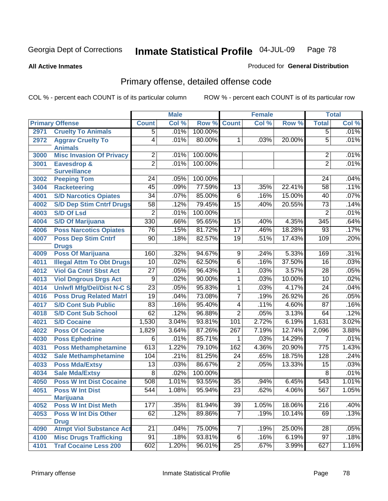**All Active Inmates**

#### Produced for **General Distribution**

## Primary offense, detailed offense code

|      |                                                |                  | <b>Male</b> |         |                 | <b>Female</b> |        |                  | <b>Total</b> |
|------|------------------------------------------------|------------------|-------------|---------|-----------------|---------------|--------|------------------|--------------|
|      | <b>Primary Offense</b>                         | <b>Count</b>     | Col %       | Row %   | <b>Count</b>    | Col %         | Row %  | <b>Total</b>     | Col %        |
| 2971 | <b>Cruelty To Animals</b>                      | $\overline{5}$   | .01%        | 100.00% |                 |               |        | $\overline{5}$   | .01%         |
| 2972 | <b>Aggrav Cruelty To</b><br><b>Animals</b>     | $\overline{4}$   | .01%        | 80.00%  | 1               | .03%          | 20.00% | $\overline{5}$   | .01%         |
| 3000 | <b>Misc Invasion Of Privacy</b>                | $\overline{2}$   | .01%        | 100.00% |                 |               |        | $\overline{2}$   | .01%         |
| 3001 | <b>Eavesdrop &amp;</b>                         | $\overline{2}$   | .01%        | 100.00% |                 |               |        | $\overline{2}$   | .01%         |
|      | <b>Surveillance</b>                            |                  |             |         |                 |               |        |                  |              |
| 3002 | <b>Peeping Tom</b>                             | 24               | .05%        | 100.00% |                 |               |        | 24               | .04%         |
| 3404 | <b>Racketeering</b>                            | 45               | .09%        | 77.59%  | 13              | .35%          | 22.41% | 58               | .11%         |
| 4001 | <b>S/D Narcotics Opiates</b>                   | $\overline{34}$  | .07%        | 85.00%  | $\overline{6}$  | .16%          | 15.00% | 40               | .07%         |
| 4002 | <b>S/D Dep Stim Cntrf Drugs</b>                | $\overline{58}$  | .12%        | 79.45%  | $\overline{15}$ | .40%          | 20.55% | $\overline{73}$  | .14%         |
| 4003 | <b>S/D Of Lsd</b>                              | $\overline{2}$   | .01%        | 100.00% |                 |               |        | $\overline{2}$   | .01%         |
| 4004 | <b>S/D Of Marijuana</b>                        | 330              | .66%        | 95.65%  | 15              | .40%          | 4.35%  | 345              | .64%         |
| 4006 | <b>Poss Narcotics Opiates</b>                  | 76               | .15%        | 81.72%  | 17              | .46%          | 18.28% | 93               | .17%         |
| 4007 | <b>Poss Dep Stim Cntrf</b>                     | 90               | .18%        | 82.57%  | 19              | .51%          | 17.43% | 109              | .20%         |
|      | <b>Drugs</b>                                   |                  |             |         |                 |               |        |                  |              |
| 4009 | <b>Poss Of Marijuana</b>                       | 160              | .32%        | 94.67%  | $\overline{9}$  | .24%          | 5.33%  | 169              | .31%         |
| 4011 | <b>Illegal Attm To Obt Drugs</b>               | 10               | .02%        | 62.50%  | $\overline{6}$  | .16%          | 37.50% | 16               | .03%         |
| 4012 | <b>Viol Ga Cntrl Sbst Act</b>                  | $\overline{27}$  | .05%        | 96.43%  | 1               | .03%          | 3.57%  | 28               | .05%         |
| 4013 | <b>Viol Dngrous Drgs Act</b>                   | $\overline{9}$   | .02%        | 90.00%  | 1               | .03%          | 10.00% | 10               | .02%         |
| 4014 | <b>Uniwfl Mfg/Del/Dist N-C S</b>               | $\overline{23}$  | .05%        | 95.83%  | $\overline{1}$  | .03%          | 4.17%  | $\overline{24}$  | .04%         |
| 4016 | <b>Poss Drug Related Matri</b>                 | 19               | .04%        | 73.08%  | $\overline{7}$  | .19%          | 26.92% | $\overline{26}$  | .05%         |
| 4017 | <b>S/D Cont Sub Public</b>                     | 83               | .16%        | 95.40%  | $\overline{4}$  | .11%          | 4.60%  | $\overline{87}$  | .16%         |
| 4018 | <b>S/D Cont Sub School</b>                     | 62               | .12%        | 96.88%  | $\overline{2}$  | .05%          | 3.13%  | 64               | .12%         |
| 4021 | <b>S/D Cocaine</b>                             | 1,530            | 3.04%       | 93.81%  | 101             | 2.72%         | 6.19%  | 1,631            | 3.02%        |
| 4022 | <b>Poss Of Cocaine</b>                         | 1,829            | 3.64%       | 87.26%  | 267             | 7.19%         | 12.74% | 2,096            | 3.88%        |
| 4030 | <b>Poss Ephedrine</b>                          | 6                | .01%        | 85.71%  | 1               | .03%          | 14.29% | 7                | .01%         |
| 4031 | <b>Poss Methamphetamine</b>                    | 613              | 1.22%       | 79.10%  | 162             | 4.36%         | 20.90% | $\overline{775}$ | 1.43%        |
| 4032 | <b>Sale Methamphetamine</b>                    | 104              | .21%        | 81.25%  | $\overline{24}$ | .65%          | 18.75% | 128              | .24%         |
| 4033 | <b>Poss Mda/Extsy</b>                          | $\overline{13}$  | .03%        | 86.67%  | $\overline{2}$  | .05%          | 13.33% | 15               | .03%         |
| 4034 | <b>Sale Mda/Extsy</b>                          | 8                | .02%        | 100.00% |                 |               |        | 8                | .01%         |
| 4050 | <b>Poss W Int Dist Cocaine</b>                 | 508              | 1.01%       | 93.55%  | $\overline{35}$ | .94%          | 6.45%  | 543              | 1.01%        |
| 4051 | <b>Poss W Int Dist</b>                         | $\overline{544}$ | 1.08%       | 95.94%  | $\overline{23}$ | .62%          | 4.06%  | 567              | 1.05%        |
|      | <b>Marijuana</b>                               |                  |             |         |                 |               |        |                  |              |
| 4052 | <b>Poss W Int Dist Meth</b>                    | 177              | .35%        | 81.94%  | 39              | 1.05%         | 18.06% | $\overline{216}$ | .40%         |
| 4053 | <b>Poss W Int Dis Other</b>                    | 62               | .12%        | 89.86%  | $\overline{7}$  | .19%          | 10.14% | 69               | .13%         |
| 4090 | <b>Drug</b><br><b>Atmpt Viol Substance Act</b> | $\overline{21}$  | .04%        | 75.00%  | $\overline{7}$  | .19%          | 25.00% | $\overline{28}$  | .05%         |
| 4100 | <b>Misc Drugs Trafficking</b>                  | $\overline{91}$  | .18%        | 93.81%  | $\overline{6}$  | .16%          | 6.19%  | $\overline{97}$  | .18%         |
| 4101 | <b>Traf Cocaine Less 200</b>                   | 602              | 1.20%       | 96.01%  | 25              | .67%          | 3.99%  | 627              |              |
|      |                                                |                  |             |         |                 |               |        |                  | 1.16%        |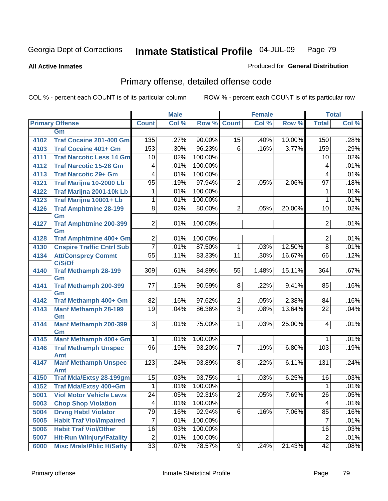**All Active Inmates**

#### Produced for **General Distribution**

## Primary offense, detailed offense code

|      |                                     | <b>Male</b>              |       |         | <b>Female</b>  |         |        | <b>Total</b>    |       |
|------|-------------------------------------|--------------------------|-------|---------|----------------|---------|--------|-----------------|-------|
|      | <b>Primary Offense</b>              | <b>Count</b>             | Col % | Row %   | <b>Count</b>   | Col %   | Row %  | <b>Total</b>    | Col % |
|      | Gm                                  |                          |       |         |                |         |        |                 |       |
| 4102 | <b>Traf Cocaine 201-400 Gm</b>      | 135                      | .27%  | 90.00%  | 15             | .40%    | 10.00% | 150             | .28%  |
| 4103 | <b>Traf Cocaine 401+ Gm</b>         | 153                      | .30%  | 96.23%  | 6              | .16%    | 3.77%  | 159             | .29%  |
| 4111 | <b>Traf Narcotic Less 14 Gm</b>     | 10                       | .02%  | 100.00% |                |         |        | 10              | .02%  |
| 4112 | <b>Traf Narcotic 15-28 Gm</b>       | 4                        | .01%  | 100.00% |                |         |        | 4               | .01%  |
| 4113 | <b>Traf Narcotic 29+ Gm</b>         | $\overline{4}$           | .01%  | 100.00% |                |         |        | 4               | .01%  |
| 4121 | Traf Marijna 10-2000 Lb             | $\overline{95}$          | .19%  | 97.94%  | $\overline{2}$ | .05%    | 2.06%  | $\overline{97}$ | .18%  |
| 4122 | Traf Marijna 2001-10k Lb            | $\mathbf{1}$             | .01%  | 100.00% |                |         |        | 1               | .01%  |
| 4123 | Traf Marijna 10001+ Lb              | $\mathbf{1}$             | .01%  | 100.00% |                |         |        | 1               | .01%  |
| 4126 | <b>Traf Amphtmine 28-199</b>        | $\overline{8}$           | .02%  | 80.00%  | $\overline{2}$ | .05%    | 20.00% | 10              | .02%  |
|      | Gm                                  |                          |       |         |                |         |        |                 |       |
| 4127 | <b>Traf Amphtmine 200-399</b>       | $\overline{2}$           | .01%  | 100.00% |                |         |        | 2               | .01%  |
| 4128 | Gm<br><b>Traf Amphtmine 400+ Gm</b> | $\overline{2}$           | .01%  | 100.00% |                |         |        | 2               | .01%  |
| 4130 | <b>Cnspire Traffic Cntrl Sub</b>    | $\overline{7}$           | .01%  | 87.50%  | 1              | .03%    | 12.50% | $\overline{8}$  | .01%  |
| 4134 | <b>Att/Consprcy Commt</b>           | $\overline{55}$          | .11%  | 83.33%  | 11             | .30%    | 16.67% | 66              | .12%  |
|      | C/S/Of                              |                          |       |         |                |         |        |                 |       |
| 4140 | <b>Traf Methamph 28-199</b>         | 309                      | .61%  | 84.89%  | 55             | 1.48%   | 15.11% | 364             | .67%  |
|      | Gm                                  |                          |       |         |                |         |        |                 |       |
| 4141 | <b>Traf Methamph 200-399</b>        | 77                       | .15%  | 90.59%  | 8              | .22%    | 9.41%  | 85              | .16%  |
|      | Gm                                  |                          |       |         |                |         |        |                 |       |
| 4142 | Traf Methamph 400+ Gm               | $\overline{82}$          | .16%  | 97.62%  | $\overline{c}$ | $.05\%$ | 2.38%  | 84              | .16%  |
| 4143 | <b>Manf Methamph 28-199</b>         | $\overline{19}$          | .04%  | 86.36%  | $\overline{3}$ | .08%    | 13.64% | 22              | .04%  |
| 4144 | Gm<br><b>Manf Methamph 200-399</b>  | $\overline{3}$           | .01%  | 75.00%  | $\overline{1}$ | .03%    | 25.00% | 4               | .01%  |
|      | Gm                                  |                          |       |         |                |         |        |                 |       |
| 4145 | Manf Methamph 400+ Gm               | $\mathbf{1}$             | .01%  | 100.00% |                |         |        |                 | .01%  |
| 4146 | <b>Traf Methamph Unspec</b>         | 96                       | .19%  | 93.20%  | $\overline{7}$ | .19%    | 6.80%  | 103             | .19%  |
|      | Amt                                 |                          |       |         |                |         |        |                 |       |
| 4147 | <b>Manf Methamph Unspec</b>         | 123                      | .24%  | 93.89%  | 8              | .22%    | 6.11%  | 131             | .24%  |
|      | Amt                                 |                          |       |         |                |         |        |                 |       |
| 4150 | <b>Traf Mda/Extsy 28-199gm</b>      | 15                       | .03%  | 93.75%  | $\mathbf{1}$   | .03%    | 6.25%  | 16              | .03%  |
| 4152 | Traf Mda/Extsy 400+Gm               | $\mathbf 1$              | .01%  | 100.00% |                |         |        | 1               | .01%  |
| 5001 | <b>Viol Motor Vehicle Laws</b>      | $\overline{24}$          | .05%  | 92.31%  | $\overline{2}$ | .05%    | 7.69%  | $\overline{26}$ | .05%  |
| 5003 | <b>Chop Shop Violation</b>          | $\overline{\mathcal{A}}$ | .01%  | 100.00% |                |         |        | 4               | .01%  |
| 5004 | <b>Drvng Habtl Violator</b>         | 79                       | .16%  | 92.94%  | 6              | .16%    | 7.06%  | 85              | .16%  |
| 5005 | <b>Habit Traf Viol/Impaired</b>     | $\overline{7}$           | .01%  | 100.00% |                |         |        | $\overline{7}$  | .01%  |
| 5006 | <b>Habit Traf Viol/Other</b>        | 16                       | .03%  | 100.00% |                |         |        | 16              | .03%  |
| 5007 | <b>Hit-Run W/Injury/Fatality</b>    | $\overline{2}$           | .01%  | 100.00% |                |         |        | $\overline{2}$  | .01%  |
| 6000 | <b>Misc Mrals/Pblic H/Safty</b>     | 33                       | .07%  | 78.57%  | 9 <sub>o</sub> | .24%    | 21.43% | 42              | .08%  |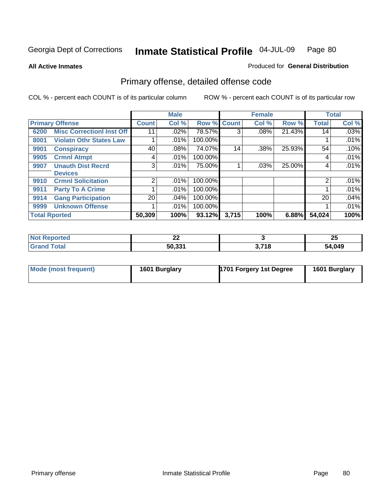Produced for **General Distribution**

**All Active Inmates**

## Primary offense, detailed offense code

|      |                                  |              | <b>Male</b> |             |       | <b>Female</b> |        |              | <b>Total</b> |
|------|----------------------------------|--------------|-------------|-------------|-------|---------------|--------|--------------|--------------|
|      | <b>Primary Offense</b>           | <b>Count</b> | Col %       | Row % Count |       | Col %         | Row %  | <b>Total</b> | Col %        |
| 6200 | <b>Misc Correctionl Inst Off</b> | 11           | .02%        | 78.57%      | 3     | $.08\%$       | 21.43% | 14           | .03%         |
| 8001 | <b>Violatn Othr States Law</b>   |              | .01%        | 100.00%     |       |               |        |              | .01%         |
| 9901 | <b>Conspiracy</b>                | 40           | .08%        | 74.07%      | 14    | .38%          | 25.93% | 54           | .10%         |
| 9905 | <b>Crmnl Atmpt</b>               | 4            | .01%        | 100.00%     |       |               |        | 4            | .01%         |
| 9907 | <b>Unauth Dist Recrd</b>         | 3            | .01%        | 75.00%      |       | .03%          | 25.00% | 4            | .01%         |
|      | <b>Devices</b>                   |              |             |             |       |               |        |              |              |
| 9910 | <b>Crmnl Solicitation</b>        | 2            | $.01\%$     | 100.00%     |       |               |        | 2            | .01%         |
| 9911 | <b>Party To A Crime</b>          |              | .01%        | 100.00%     |       |               |        |              | .01%         |
| 9914 | <b>Gang Participation</b>        | 20           | .04%        | 100.00%     |       |               |        | 20           | .04%         |
| 9999 | <b>Unknown Offense</b>           |              | .01%        | 100.00%     |       |               |        |              | .01%         |
|      | <b>Total Rported</b>             | 50,309       | 100%        | 93.12%      | 3,715 | 100%          | 6.88%  | 54,024       | 100%         |

| <b>eported</b>        | $\overline{\phantom{a}}$<br>-- |       | ז ה<br>ZJ |
|-----------------------|--------------------------------|-------|-----------|
| <b>Total</b><br>Grand | 50,331                         | 3,718 | 54,049    |

| Mode (most frequent) | 1601 Burglary | 1701 Forgery 1st Degree | 1601 Burglary |
|----------------------|---------------|-------------------------|---------------|
|----------------------|---------------|-------------------------|---------------|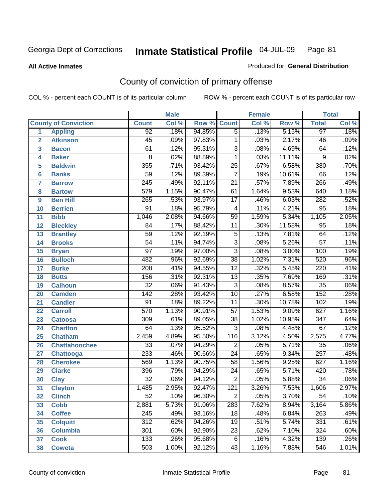#### **All Active Inmates**

#### Produced for **General Distribution**

## County of conviction of primary offense

|                         |                             |                  | <b>Male</b> |        |                 | <b>Female</b> |        |                  | <b>Total</b> |
|-------------------------|-----------------------------|------------------|-------------|--------|-----------------|---------------|--------|------------------|--------------|
|                         | <b>County of Conviction</b> | <b>Count</b>     | Col %       | Row %  | <b>Count</b>    | Col %         | Row %  | <b>Total</b>     | Col %        |
| 1                       | <b>Appling</b>              | 92               | .18%        | 94.85% | $\overline{5}$  | .13%          | 5.15%  | 97               | .18%         |
| $\overline{2}$          | <b>Atkinson</b>             | $\overline{45}$  | .09%        | 97.83% | $\mathbf{1}$    | .03%          | 2.17%  | 46               | .09%         |
| $\overline{\mathbf{3}}$ | <b>Bacon</b>                | 61               | .12%        | 95.31% | $\overline{3}$  | .08%          | 4.69%  | 64               | .12%         |
| 4                       | <b>Baker</b>                | 8                | .02%        | 88.89% | 1               | .03%          | 11.11% | 9                | .02%         |
| 5                       | <b>Baldwin</b>              | 355              | .71%        | 93.42% | $\overline{25}$ | .67%          | 6.58%  | 380              | .70%         |
| 6                       | <b>Banks</b>                | $\overline{59}$  | .12%        | 89.39% | $\overline{7}$  | .19%          | 10.61% | 66               | .12%         |
| 7                       | <b>Barrow</b>               | $\overline{245}$ | .49%        | 92.11% | $\overline{21}$ | .57%          | 7.89%  | 266              | .49%         |
| 8                       | <b>Bartow</b>               | $\overline{579}$ | 1.15%       | 90.47% | 61              | 1.64%         | 9.53%  | 640              | 1.18%        |
| 9                       | <b>Ben Hill</b>             | 265              | .53%        | 93.97% | $\overline{17}$ | .46%          | 6.03%  | 282              | .52%         |
| 10                      | <b>Berrien</b>              | 91               | .18%        | 95.79% | $\overline{4}$  | .11%          | 4.21%  | 95               | .18%         |
| 11                      | <b>Bibb</b>                 | 1,046            | 2.08%       | 94.66% | $\overline{59}$ | 1.59%         | 5.34%  | 1,105            | 2.05%        |
| 12                      | <b>Bleckley</b>             | 84               | .17%        | 88.42% | 11              | .30%          | 11.58% | $\overline{95}$  | .18%         |
| $\overline{13}$         | <b>Brantley</b>             | $\overline{59}$  | .12%        | 92.19% | $\overline{5}$  | .13%          | 7.81%  | 64               | .12%         |
| 14                      | <b>Brooks</b>               | $\overline{54}$  | .11%        | 94.74% | $\overline{3}$  | .08%          | 5.26%  | $\overline{57}$  | .11%         |
| 15                      | <b>Bryan</b>                | $\overline{97}$  | .19%        | 97.00% | $\overline{3}$  | .08%          | 3.00%  | 100              | .19%         |
| 16                      | <b>Bulloch</b>              | 482              | .96%        | 92.69% | $\overline{38}$ | 1.02%         | 7.31%  | 520              | .96%         |
| 17                      | <b>Burke</b>                | $\overline{208}$ | .41%        | 94.55% | $\overline{12}$ | .32%          | 5.45%  | 220              | .41%         |
| 18                      | <b>Butts</b>                | 156              | .31%        | 92.31% | $\overline{13}$ | .35%          | 7.69%  | 169              | .31%         |
| 19                      | <b>Calhoun</b>              | $\overline{32}$  | .06%        | 91.43% | $\overline{3}$  | .08%          | 8.57%  | $\overline{35}$  | .06%         |
| 20                      | <b>Camden</b>               | $\overline{142}$ | .28%        | 93.42% | $\overline{10}$ | .27%          | 6.58%  | 152              | .28%         |
| 21                      | <b>Candler</b>              | $\overline{91}$  | .18%        | 89.22% | $\overline{11}$ | .30%          | 10.78% | 102              | .19%         |
| 22                      | <b>Carroll</b>              | 570              | 1.13%       | 90.91% | $\overline{57}$ | 1.53%         | 9.09%  | 627              | 1.16%        |
| 23                      | <b>Catoosa</b>              | 309              | .61%        | 89.05% | $\overline{38}$ | 1.02%         | 10.95% | $\overline{347}$ | .64%         |
| 24                      | <b>Charlton</b>             | 64               | .13%        | 95.52% | $\overline{3}$  | .08%          | 4.48%  | 67               | .12%         |
| 25                      | <b>Chatham</b>              | 2,459            | 4.89%       | 95.50% | 116             | 3.12%         | 4.50%  | 2,575            | 4.77%        |
| 26                      | <b>Chattahoochee</b>        | $\overline{33}$  | .07%        | 94.29% | $\overline{2}$  | .05%          | 5.71%  | $\overline{35}$  | .06%         |
| 27                      | <b>Chattooga</b>            | 233              | .46%        | 90.66% | $\overline{24}$ | .65%          | 9.34%  | $\overline{257}$ | .48%         |
| 28                      | <b>Cherokee</b>             | 569              | 1.13%       | 90.75% | $\overline{58}$ | 1.56%         | 9.25%  | 627              | 1.16%        |
| 29                      | <b>Clarke</b>               | 396              | .79%        | 94.29% | $\overline{24}$ | .65%          | 5.71%  | 420              | .78%         |
| 30                      | <b>Clay</b>                 | $\overline{32}$  | .06%        | 94.12% | $\overline{2}$  | .05%          | 5.88%  | $\overline{34}$  | .06%         |
| 31                      | <b>Clayton</b>              | 1,485            | 2.95%       | 92.47% | 121             | 3.26%         | 7.53%  | 1,606            | 2.97%        |
| 32                      | <b>Clinch</b>               | 52               | .10%        | 96.30% | 2               | .05%          | 3.70%  | 54               | .10%         |
| 33                      | <b>Cobb</b>                 | 2,881            | 5.73%       | 91.06% | 283             | 7.62%         | 8.94%  | 3,164            | 5.86%        |
| 34                      | <b>Coffee</b>               | 245              | .49%        | 93.16% | 18              | .48%          | 6.84%  | 263              | .49%         |
| 35                      | <b>Colquitt</b>             | $\overline{312}$ | .62%        | 94.26% | 19              | .51%          | 5.74%  | 331              | .61%         |
| 36                      | <b>Columbia</b>             | 301              | .60%        | 92.90% | 23              | .62%          | 7.10%  | 324              | .60%         |
| 37                      | <b>Cook</b>                 | 133              | .26%        | 95.68% | 6               | .16%          | 4.32%  | 139              | .26%         |
| 38                      | <b>Coweta</b>               | 503              | 1.00%       | 92.12% | 43              | 1.16%         | 7.88%  | 546              | 1.01%        |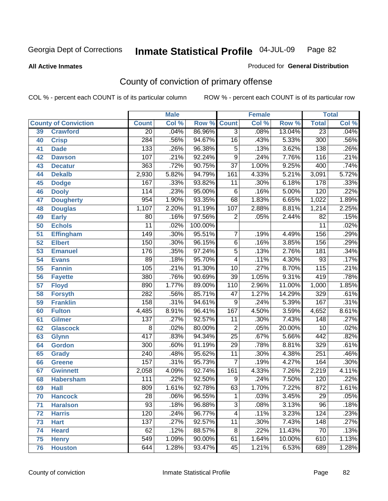**All Active Inmates**

#### Produced for **General Distribution**

## County of conviction of primary offense

|                 |                             | <b>Male</b><br><b>Female</b> |       |         | <b>Total</b>    |       |        |                  |       |
|-----------------|-----------------------------|------------------------------|-------|---------|-----------------|-------|--------|------------------|-------|
|                 | <b>County of Conviction</b> | <b>Count</b>                 | Col % | Row %   | <b>Count</b>    | Col % | Row %  | <b>Total</b>     | Col % |
| 39              | <b>Crawford</b>             | $\overline{20}$              | .04%  | 86.96%  | $\overline{3}$  | .08%  | 13.04% | $\overline{23}$  | .04%  |
| 40              | <b>Crisp</b>                | 284                          | .56%  | 94.67%  | $\overline{16}$ | .43%  | 5.33%  | 300              | .56%  |
| 41              | <b>Dade</b>                 | 133                          | .26%  | 96.38%  | $\overline{5}$  | .13%  | 3.62%  | 138              | .26%  |
| 42              | <b>Dawson</b>               | 107                          | .21%  | 92.24%  | $\overline{9}$  | .24%  | 7.76%  | 116              | .21%  |
| 43              | <b>Decatur</b>              | 363                          | .72%  | 90.75%  | $\overline{37}$ | 1.00% | 9.25%  | 400              | .74%  |
| 44              | <b>Dekalb</b>               | 2,930                        | 5.82% | 94.79%  | 161             | 4.33% | 5.21%  | 3,091            | 5.72% |
| 45              | <b>Dodge</b>                | 167                          | .33%  | 93.82%  | 11              | .30%  | 6.18%  | 178              | .33%  |
| 46              | <b>Dooly</b>                | 114                          | .23%  | 95.00%  | 6               | .16%  | 5.00%  | 120              | .22%  |
| 47              | <b>Dougherty</b>            | 954                          | 1.90% | 93.35%  | 68              | 1.83% | 6.65%  | 1,022            | 1.89% |
| 48              | <b>Douglas</b>              | 1,107                        | 2.20% | 91.19%  | 107             | 2.88% | 8.81%  | 1,214            | 2.25% |
| 49              | <b>Early</b>                | 80                           | .16%  | 97.56%  | $\overline{2}$  | .05%  | 2.44%  | $\overline{82}$  | .15%  |
| 50              | <b>Echols</b>               | $\overline{11}$              | .02%  | 100.00% |                 |       |        | $\overline{11}$  | .02%  |
| $\overline{51}$ | <b>Effingham</b>            | $\overline{149}$             | .30%  | 95.51%  | $\overline{7}$  | .19%  | 4.49%  | 156              | .29%  |
| 52              | <b>Elbert</b>               | 150                          | .30%  | 96.15%  | $\overline{6}$  | .16%  | 3.85%  | 156              | .29%  |
| 53              | <b>Emanuel</b>              | 176                          | .35%  | 97.24%  | $\overline{5}$  | .13%  | 2.76%  | 181              | .34%  |
| $\overline{54}$ | <b>Evans</b>                | 89                           | .18%  | 95.70%  | 4               | .11%  | 4.30%  | $\overline{93}$  | .17%  |
| 55              | <b>Fannin</b>               | 105                          | .21%  | 91.30%  | 10              | .27%  | 8.70%  | $\overline{115}$ | .21%  |
| 56              | <b>Fayette</b>              | 380                          | .76%  | 90.69%  | $\overline{39}$ | 1.05% | 9.31%  | 419              | .78%  |
| 57              | <b>Floyd</b>                | 890                          | 1.77% | 89.00%  | 110             | 2.96% | 11.00% | 1,000            | 1.85% |
| 58              | <b>Forsyth</b>              | $\overline{282}$             | .56%  | 85.71%  | $\overline{47}$ | 1.27% | 14.29% | 329              | .61%  |
| 59              | <b>Franklin</b>             | 158                          | .31%  | 94.61%  | $\overline{9}$  | .24%  | 5.39%  | 167              | .31%  |
| 60              | <b>Fulton</b>               | 4,485                        | 8.91% | 96.41%  | 167             | 4.50% | 3.59%  | 4,652            | 8.61% |
| 61              | Gilmer                      | $\overline{137}$             | .27%  | 92.57%  | $\overline{11}$ | .30%  | 7.43%  | $\overline{148}$ | .27%  |
| 62              | <b>Glascock</b>             | $\overline{8}$               | .02%  | 80.00%  | $\overline{2}$  | .05%  | 20.00% | $\overline{10}$  | .02%  |
| 63              | <b>Glynn</b>                | 417                          | .83%  | 94.34%  | $\overline{25}$ | .67%  | 5.66%  | 442              | .82%  |
| 64              | <b>Gordon</b>               | 300                          | .60%  | 91.19%  | $\overline{29}$ | .78%  | 8.81%  | 329              | .61%  |
| 65              | <b>Grady</b>                | $\overline{240}$             | .48%  | 95.62%  | $\overline{11}$ | .30%  | 4.38%  | $\overline{251}$ | .46%  |
| 66              | <b>Greene</b>               | 157                          | .31%  | 95.73%  | $\overline{7}$  | .19%  | 4.27%  | 164              | .30%  |
| 67              | <b>Gwinnett</b>             | 2,058                        | 4.09% | 92.74%  | 161             | 4.33% | 7.26%  | 2,219            | 4.11% |
| 68              | <b>Habersham</b>            | 111                          | .22%  | 92.50%  | $\overline{9}$  | .24%  | 7.50%  | $\overline{120}$ | .22%  |
| 69              | <b>Hall</b>                 | 809                          | 1.61% | 92.78%  | 63              | 1.70% | 7.22%  | 872              | 1.61% |
| 70              | <b>Hancock</b>              | 28                           | .06%  | 96.55%  | 1               | .03%  | 3.45%  | 29               | .05%  |
| 71              | <b>Haralson</b>             | $\overline{93}$              | .18%  | 96.88%  | $\overline{3}$  | .08%  | 3.13%  | 96               | .18%  |
| 72              | <b>Harris</b>               | $\overline{120}$             | .24%  | 96.77%  | $\overline{4}$  | .11%  | 3.23%  | 124              | .23%  |
| 73              | <b>Hart</b>                 | 137                          | .27%  | 92.57%  | $\overline{11}$ | .30%  | 7.43%  | 148              | .27%  |
| 74              | <b>Heard</b>                | 62                           | .12%  | 88.57%  | 8               | .22%  | 11.43% | 70               | .13%  |
| 75              | <b>Henry</b>                | 549                          | 1.09% | 90.00%  | 61              | 1.64% | 10.00% | 610              | 1.13% |
| 76              | <b>Houston</b>              | 644                          | 1.28% | 93.47%  | 45              | 1.21% | 6.53%  | 689              | 1.28% |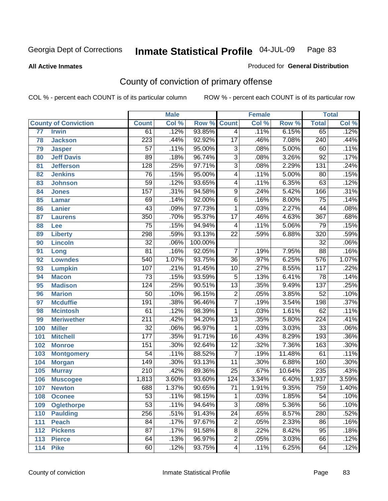#### **All Active Inmates**

#### Produced for **General Distribution**

## County of conviction of primary offense

|     |                             |                  | <b>Male</b> |         |                          | <b>Female</b> |        |                  | <b>Total</b> |
|-----|-----------------------------|------------------|-------------|---------|--------------------------|---------------|--------|------------------|--------------|
|     | <b>County of Conviction</b> | <b>Count</b>     | Col %       | Row %   | <b>Count</b>             | Col %         | Row %  | <b>Total</b>     | Col %        |
| 77  | <b>Irwin</b>                | 61               | .12%        | 93.85%  | $\overline{4}$           | .11%          | 6.15%  | 65               | .12%         |
| 78  | <b>Jackson</b>              | 223              | .44%        | 92.92%  | $\overline{17}$          | .46%          | 7.08%  | $\overline{240}$ | .44%         |
| 79  | <b>Jasper</b>               | $\overline{57}$  | .11%        | 95.00%  | $\overline{3}$           | .08%          | 5.00%  | 60               | .11%         |
| 80  | <b>Jeff Davis</b>           | 89               | .18%        | 96.74%  | $\overline{3}$           | .08%          | 3.26%  | $\overline{92}$  | .17%         |
| 81  | <b>Jefferson</b>            | $\overline{128}$ | .25%        | 97.71%  | $\overline{3}$           | .08%          | 2.29%  | $\overline{131}$ | .24%         |
| 82  | <b>Jenkins</b>              | 76               | .15%        | 95.00%  | $\overline{4}$           | .11%          | 5.00%  | 80               | .15%         |
| 83  | <b>Johnson</b>              | $\overline{59}$  | .12%        | 93.65%  | $\overline{\mathcal{A}}$ | .11%          | 6.35%  | 63               | .12%         |
| 84  | <b>Jones</b>                | 157              | .31%        | 94.58%  | 9                        | .24%          | 5.42%  | 166              | .31%         |
| 85  | <b>Lamar</b>                | 69               | .14%        | 92.00%  | $\overline{6}$           | .16%          | 8.00%  | $\overline{75}$  | .14%         |
| 86  | <b>Lanier</b>               | $\overline{43}$  | .09%        | 97.73%  | 1                        | .03%          | 2.27%  | 44               | .08%         |
| 87  | <b>Laurens</b>              | 350              | .70%        | 95.37%  | $\overline{17}$          | .46%          | 4.63%  | 367              | .68%         |
| 88  | Lee                         | $\overline{75}$  | .15%        | 94.94%  | 4                        | .11%          | 5.06%  | 79               | .15%         |
| 89  | <b>Liberty</b>              | 298              | .59%        | 93.13%  | $\overline{22}$          | .59%          | 6.88%  | $\overline{320}$ | .59%         |
| 90  | <b>Lincoln</b>              | $\overline{32}$  | .06%        | 100.00% |                          |               |        | $\overline{32}$  | .06%         |
| 91  | Long                        | $\overline{81}$  | .16%        | 92.05%  | $\overline{7}$           | .19%          | 7.95%  | 88               | .16%         |
| 92  | <b>Lowndes</b>              | 540              | 1.07%       | 93.75%  | $\overline{36}$          | .97%          | 6.25%  | 576              | 1.07%        |
| 93  | <b>Lumpkin</b>              | 107              | .21%        | 91.45%  | 10                       | .27%          | 8.55%  | 117              | .22%         |
| 94  | <b>Macon</b>                | $\overline{73}$  | .15%        | 93.59%  | $\overline{5}$           | .13%          | 6.41%  | $\overline{78}$  | .14%         |
| 95  | <b>Madison</b>              | $\overline{124}$ | .25%        | 90.51%  | $\overline{13}$          | .35%          | 9.49%  | $\overline{137}$ | .25%         |
| 96  | <b>Marion</b>               | $\overline{50}$  | .10%        | 96.15%  | $\overline{2}$           | .05%          | 3.85%  | $\overline{52}$  | .10%         |
| 97  | <b>Mcduffie</b>             | 191              | .38%        | 96.46%  | $\overline{7}$           | .19%          | 3.54%  | 198              | .37%         |
| 98  | <b>Mcintosh</b>             | 61               | .12%        | 98.39%  | $\mathbf{1}$             | .03%          | 1.61%  | 62               | .11%         |
| 99  | <b>Meriwether</b>           | $\overline{211}$ | .42%        | 94.20%  | $\overline{13}$          | .35%          | 5.80%  | $\overline{224}$ | .41%         |
| 100 | <b>Miller</b>               | $\overline{32}$  | .06%        | 96.97%  | $\mathbf{1}$             | .03%          | 3.03%  | $\overline{33}$  | .06%         |
| 101 | <b>Mitchell</b>             | $\overline{177}$ | .35%        | 91.71%  | $\overline{16}$          | .43%          | 8.29%  | 193              | .36%         |
| 102 | <b>Monroe</b>               | 151              | .30%        | 92.64%  | $\overline{12}$          | .32%          | 7.36%  | 163              | .30%         |
| 103 | <b>Montgomery</b>           | $\overline{54}$  | .11%        | 88.52%  | $\overline{7}$           | .19%          | 11.48% | 61               | .11%         |
| 104 | <b>Morgan</b>               | $\overline{149}$ | .30%        | 93.13%  | $\overline{11}$          | .30%          | 6.88%  | 160              | .30%         |
| 105 | <b>Murray</b>               | $\overline{210}$ | .42%        | 89.36%  | $\overline{25}$          | .67%          | 10.64% | 235              | .43%         |
| 106 | <b>Muscogee</b>             | 1,813            | 3.60%       | 93.60%  | 124                      | 3.34%         | 6.40%  | 1,937            | 3.59%        |
| 107 | <b>Newton</b>               | 688              | 1.37%       | 90.65%  | $\overline{71}$          | 1.91%         | 9.35%  | 759              | 1.40%        |
| 108 | <b>Oconee</b>               | 53               | .11%        | 98.15%  | 1                        | .03%          | 1.85%  | 54               | $.10\%$      |
| 109 | <b>Oglethorpe</b>           | $\overline{53}$  | .11%        | 94.64%  | $\overline{3}$           | .08%          | 5.36%  | $\overline{56}$  | .10%         |
| 110 | <b>Paulding</b>             | 256              | .51%        | 91.43%  | $\overline{24}$          | .65%          | 8.57%  | 280              | .52%         |
| 111 | <b>Peach</b>                | 84               | .17%        | 97.67%  | 2                        | .05%          | 2.33%  | 86               | .16%         |
| 112 | <b>Pickens</b>              | $\overline{87}$  | .17%        | 91.58%  | 8                        | .22%          | 8.42%  | 95               | .18%         |
| 113 | <b>Pierce</b>               | 64               | .13%        | 96.97%  | $\overline{2}$           | .05%          | 3.03%  | 66               | .12%         |
| 114 | <b>Pike</b>                 | 60               | .12%        | 93.75%  | 4                        | .11%          | 6.25%  | 64               | .12%         |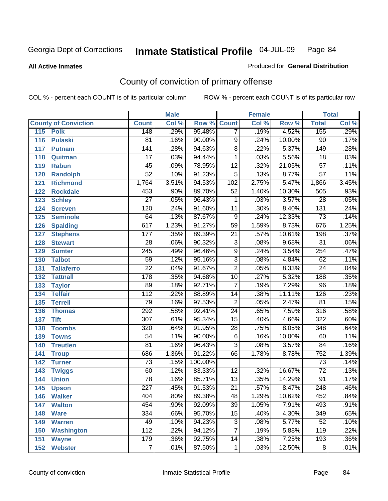**All Active Inmates**

#### Produced for **General Distribution**

## County of conviction of primary offense

|     |                             |                  | <b>Male</b> |                    |                 | <b>Female</b> |        |                  | <b>Total</b> |
|-----|-----------------------------|------------------|-------------|--------------------|-----------------|---------------|--------|------------------|--------------|
|     | <b>County of Conviction</b> | <b>Count</b>     | Col %       | <b>Row % Count</b> |                 | Col %         | Row %  | <b>Total</b>     | Col %        |
| 115 | <b>Polk</b>                 | 148              | .29%        | 95.48%             | $\overline{7}$  | .19%          | 4.52%  | 155              | .29%         |
| 116 | <b>Pulaski</b>              | 81               | .16%        | 90.00%             | 9               | .24%          | 10.00% | 90               | .17%         |
| 117 | <b>Putnam</b>               | $\overline{141}$ | .28%        | 94.63%             | $\overline{8}$  | .22%          | 5.37%  | $\overline{149}$ | .28%         |
| 118 | Quitman                     | 17               | .03%        | 94.44%             | 1               | .03%          | 5.56%  | 18               | .03%         |
| 119 | <b>Rabun</b>                | $\overline{45}$  | .09%        | 78.95%             | $\overline{12}$ | .32%          | 21.05% | $\overline{57}$  | .11%         |
| 120 | <b>Randolph</b>             | $\overline{52}$  | .10%        | 91.23%             | $\overline{5}$  | .13%          | 8.77%  | $\overline{57}$  | .11%         |
| 121 | <b>Richmond</b>             | 1,764            | 3.51%       | 94.53%             | 102             | 2.75%         | 5.47%  | 1,866            | 3.45%        |
| 122 | <b>Rockdale</b>             | 453              | .90%        | 89.70%             | 52              | 1.40%         | 10.30% | $\overline{505}$ | .93%         |
| 123 | <b>Schley</b>               | $\overline{27}$  | .05%        | 96.43%             | 1               | .03%          | 3.57%  | $\overline{28}$  | .05%         |
| 124 | <b>Screven</b>              | 120              | .24%        | 91.60%             | 11              | .30%          | 8.40%  | $\overline{131}$ | .24%         |
| 125 | <b>Seminole</b>             | 64               | .13%        | 87.67%             | 9               | .24%          | 12.33% | $\overline{73}$  | .14%         |
| 126 | <b>Spalding</b>             | 617              | 1.23%       | 91.27%             | 59              | 1.59%         | 8.73%  | 676              | 1.25%        |
| 127 | <b>Stephens</b>             | 177              | .35%        | 89.39%             | $\overline{21}$ | .57%          | 10.61% | 198              | .37%         |
| 128 | <b>Stewart</b>              | $\overline{28}$  | .06%        | 90.32%             | $\overline{3}$  | .08%          | 9.68%  | $\overline{31}$  | .06%         |
| 129 | <b>Sumter</b>               | $\overline{245}$ | .49%        | 96.46%             | $\overline{9}$  | .24%          | 3.54%  | 254              | .47%         |
| 130 | <b>Talbot</b>               | 59               | .12%        | 95.16%             | $\overline{3}$  | .08%          | 4.84%  | 62               | .11%         |
| 131 | <b>Taliaferro</b>           | $\overline{22}$  | .04%        | 91.67%             | $\overline{2}$  | .05%          | 8.33%  | $\overline{24}$  | .04%         |
| 132 | <b>Tattnall</b>             | $\overline{178}$ | .35%        | 94.68%             | 10              | .27%          | 5.32%  | 188              | .35%         |
| 133 | <b>Taylor</b>               | 89               | .18%        | 92.71%             | $\overline{7}$  | .19%          | 7.29%  | $\overline{96}$  | .18%         |
| 134 | <b>Telfair</b>              | $\overline{112}$ | .22%        | 88.89%             | 14              | .38%          | 11.11% | 126              | .23%         |
| 135 | <b>Terrell</b>              | $\overline{79}$  | .16%        | 97.53%             | $\overline{2}$  | .05%          | 2.47%  | $\overline{81}$  | .15%         |
| 136 | <b>Thomas</b>               | 292              | .58%        | 92.41%             | $\overline{24}$ | .65%          | 7.59%  | $\overline{316}$ | .58%         |
| 137 | <b>Tift</b>                 | $\overline{307}$ | .61%        | 95.34%             | $\overline{15}$ | .40%          | 4.66%  | $\overline{322}$ | .60%         |
| 138 | <b>Toombs</b>               | 320              | .64%        | 91.95%             | 28              | .75%          | 8.05%  | 348              | .64%         |
| 139 | <b>Towns</b>                | $\overline{54}$  | .11%        | 90.00%             | $\overline{6}$  | .16%          | 10.00% | 60               | .11%         |
| 140 | <b>Treutlen</b>             | $\overline{81}$  | .16%        | 96.43%             | $\overline{3}$  | .08%          | 3.57%  | 84               | .16%         |
| 141 | <b>Troup</b>                | 686              | 1.36%       | 91.22%             | 66              | 1.78%         | 8.78%  | 752              | 1.39%        |
| 142 | <b>Turner</b>               | $\overline{73}$  | .15%        | 100.00%            |                 |               |        | 73               | .14%         |
| 143 | <b>Twiggs</b>               | 60               | .12%        | 83.33%             | $\overline{12}$ | .32%          | 16.67% | $\overline{72}$  | .13%         |
| 144 | <b>Union</b>                | $\overline{78}$  | .16%        | 85.71%             | 13              | .35%          | 14.29% | $\overline{91}$  | .17%         |
| 145 | <b>Upson</b>                | $\overline{227}$ | .45%        | 91.53%             | $\overline{21}$ | .57%          | 8.47%  | $\overline{248}$ | .46%         |
| 146 | <b>Walker</b>               | 404              | .80%        | 89.38%             | 48              | 1.29%         | 10.62% | 452              | .84%         |
| 147 | <b>Walton</b>               | 454              | $.90\%$     | 92.09%             | $\overline{39}$ | 1.05%         | 7.91%  | 493              | .91%         |
| 148 | <b>Ware</b>                 | 334              | .66%        | 95.70%             | 15              | .40%          | 4.30%  | 349              | .65%         |
| 149 | <b>Warren</b>               | 49               | .10%        | 94.23%             | $\overline{3}$  | .08%          | 5.77%  | $\overline{52}$  | .10%         |
| 150 | <b>Washington</b>           | $\overline{112}$ | .22%        | 94.12%             | 7               | .19%          | 5.88%  | 119              | .22%         |
| 151 | <b>Wayne</b>                | 179              | .36%        | 92.75%             | 14              | .38%          | 7.25%  | 193              | .36%         |
| 152 | <b>Webster</b>              | $\overline{7}$   | .01%        | 87.50%             | $\mathbf{1}$    | .03%          | 12.50% | 8                | .01%         |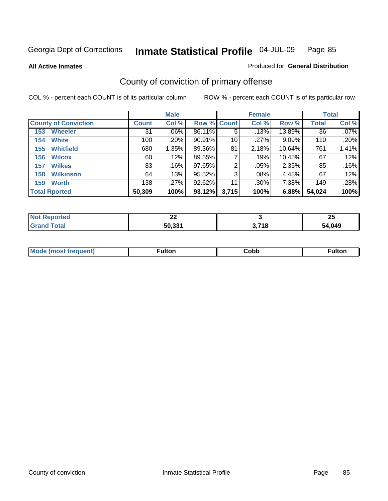**All Active Inmates**

#### Produced for **General Distribution**

## County of conviction of primary offense

|                             |              | <b>Male</b> |             |       | <b>Female</b> |          |              | <b>Total</b> |
|-----------------------------|--------------|-------------|-------------|-------|---------------|----------|--------------|--------------|
| <b>County of Conviction</b> | <b>Count</b> | Col %       | Row % Count |       | Col %         | Row %    | <b>Total</b> | Col %        |
| <b>Wheeler</b><br>153       | 31           | $.06\%$     | 86.11%      | 5     | .13%          | 13.89%   | 36           | $.07\%$      |
| <b>White</b><br>154         | 100          | .20%        | $90.91\%$   | 10    | $.27\%$       | $9.09\%$ | 110          | $.20\%$      |
| <b>Whitfield</b><br>155     | 680          | 1.35%       | 89.36%      | 81    | 2.18%         | 10.64%   | 761          | 1.41%        |
| 156<br><b>Wilcox</b>        | 60           | .12%        | 89.55%      |       | .19%          | 10.45%   | 67           | .12%         |
| <b>Wilkes</b><br>157        | 83           | .16%        | 97.65%      | 2     | $.05\%$       | 2.35%    | 85           | .16%         |
| <b>Wilkinson</b><br>158     | 64           | .13%        | 95.52%      | 3     | $.08\%$       | 4.48%    | 67           | .12%         |
| <b>Worth</b><br>159         | 138          | .27%        | $92.62\%$   | 11    | $.30\%$       | 7.38%    | 149          | .28%         |
| <b>Total Rported</b>        | 50,309       | 100%        | 93.12%      | 3,715 | 100%          | 6.88%    | 54,024       | 100%         |

| $N$               | $\sim$ |       | ΩF         |
|-------------------|--------|-------|------------|
| Reported          | . .    |       | -44        |
| <sup>-</sup> otal | 50,331 | 3,718 | .049<br>54 |

| Mc | ™ulton | Cobb |  |
|----|--------|------|--|
|    |        |      |  |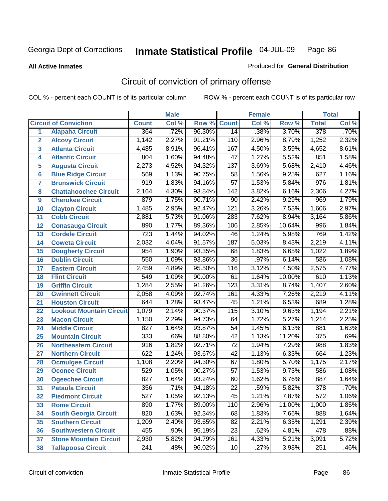#### **All Active Inmates**

# Produced for **General Distribution**

## Circuit of conviction of primary offense

|                         |                                 |                  | <b>Male</b> |        |                  | <b>Female</b> |        |                  | <b>Total</b> |
|-------------------------|---------------------------------|------------------|-------------|--------|------------------|---------------|--------|------------------|--------------|
|                         | <b>Circuit of Conviction</b>    | <b>Count</b>     | Col %       | Row %  | <b>Count</b>     | Col %         | Row %  | <b>Total</b>     | Col %        |
| 1                       | <b>Alapaha Circuit</b>          | 364              | .72%        | 96.30% | 14               | .38%          | 3.70%  | 378              | $.70\%$      |
| $\overline{2}$          | <b>Alcovy Circuit</b>           | 1,142            | 2.27%       | 91.21% | 110              | 2.96%         | 8.79%  | 1,252            | 2.32%        |
| $\overline{\mathbf{3}}$ | <b>Atlanta Circuit</b>          | 4,485            | 8.91%       | 96.41% | 167              | 4.50%         | 3.59%  | 4,652            | 8.61%        |
| 4                       | <b>Atlantic Circuit</b>         | 804              | 1.60%       | 94.48% | $\overline{47}$  | 1.27%         | 5.52%  | 851              | 1.58%        |
| 5                       | <b>Augusta Circuit</b>          | 2,273            | 4.52%       | 94.32% | $\overline{137}$ | 3.69%         | 5.68%  | 2,410            | 4.46%        |
| $6\overline{6}$         | <b>Blue Ridge Circuit</b>       | 569              | 1.13%       | 90.75% | $\overline{58}$  | 1.56%         | 9.25%  | 627              | 1.16%        |
| $\overline{\mathbf{7}}$ | <b>Brunswick Circuit</b>        | $\overline{919}$ | 1.83%       | 94.16% | $\overline{57}$  | 1.53%         | 5.84%  | $\overline{976}$ | 1.81%        |
| 8                       | <b>Chattahoochee Circuit</b>    | 2,164            | 4.30%       | 93.84% | $\overline{142}$ | 3.82%         | 6.16%  | 2,306            | 4.27%        |
| 9                       | <b>Cherokee Circuit</b>         | 879              | 1.75%       | 90.71% | 90               | 2.42%         | 9.29%  | 969              | 1.79%        |
| 10                      | <b>Clayton Circuit</b>          | 1,485            | 2.95%       | 92.47% | $\overline{121}$ | 3.26%         | 7.53%  | 1,606            | 2.97%        |
| 11                      | <b>Cobb Circuit</b>             | 2,881            | 5.73%       | 91.06% | 283              | 7.62%         | 8.94%  | 3,164            | 5.86%        |
| 12                      | <b>Conasauga Circuit</b>        | 890              | 1.77%       | 89.36% | 106              | 2.85%         | 10.64% | 996              | 1.84%        |
| 13                      | <b>Cordele Circuit</b>          | $\overline{723}$ | 1.44%       | 94.02% | 46               | 1.24%         | 5.98%  | 769              | 1.42%        |
| 14                      | <b>Coweta Circuit</b>           | 2,032            | 4.04%       | 91.57% | $\overline{187}$ | 5.03%         | 8.43%  | 2,219            | 4.11%        |
| 15                      | <b>Dougherty Circuit</b>        | 954              | 1.90%       | 93.35% | 68               | 1.83%         | 6.65%  | 1,022            | 1.89%        |
| 16                      | <b>Dublin Circuit</b>           | 550              | 1.09%       | 93.86% | $\overline{36}$  | .97%          | 6.14%  | 586              | 1.08%        |
| 17                      | <b>Eastern Circuit</b>          | 2,459            | 4.89%       | 95.50% | 116              | 3.12%         | 4.50%  | 2,575            | 4.77%        |
| 18                      | <b>Flint Circuit</b>            | 549              | 1.09%       | 90.00% | 61               | 1.64%         | 10.00% | 610              | 1.13%        |
| 19                      | <b>Griffin Circuit</b>          | 1,284            | 2.55%       | 91.26% | $\overline{123}$ | 3.31%         | 8.74%  | 1,407            | 2.60%        |
| 20                      | <b>Gwinnett Circuit</b>         | 2,058            | 4.09%       | 92.74% | 161              | 4.33%         | 7.26%  | 2,219            | 4.11%        |
| 21                      | <b>Houston Circuit</b>          | 644              | 1.28%       | 93.47% | $\overline{45}$  | 1.21%         | 6.53%  | 689              | 1.28%        |
| 22                      | <b>Lookout Mountain Circuit</b> | 1,079            | 2.14%       | 90.37% | 115              | 3.10%         | 9.63%  | 1,194            | 2.21%        |
| 23                      | <b>Macon Circuit</b>            | 1,150            | 2.29%       | 94.73% | 64               | 1.72%         | 5.27%  | 1,214            | 2.25%        |
| 24                      | <b>Middle Circuit</b>           | 827              | 1.64%       | 93.87% | 54               | 1.45%         | 6.13%  | 881              | 1.63%        |
| 25                      | <b>Mountain Circuit</b>         | $\overline{333}$ | .66%        | 88.80% | $\overline{42}$  | 1.13%         | 11.20% | $\overline{375}$ | .69%         |
| 26                      | <b>Northeastern Circuit</b>     | $\overline{916}$ | 1.82%       | 92.71% | $\overline{72}$  | 1.94%         | 7.29%  | 988              | 1.83%        |
| 27                      | <b>Northern Circuit</b>         | 622              | 1.24%       | 93.67% | 42               | 1.13%         | 6.33%  | 664              | 1.23%        |
| 28                      | <b>Ocmulgee Circuit</b>         | 1,108            | 2.20%       | 94.30% | 67               | 1.80%         | 5.70%  | 1,175            | 2.17%        |
| 29                      | <b>Oconee Circuit</b>           | $\overline{529}$ | 1.05%       | 90.27% | $\overline{57}$  | 1.53%         | 9.73%  | 586              | 1.08%        |
| 30                      | <b>Ogeechee Circuit</b>         | 827              | 1.64%       | 93.24% | 60               | 1.62%         | 6.76%  | 887              | 1.64%        |
| $\overline{31}$         | <b>Pataula Circuit</b>          | 356              | .71%        | 94.18% | 22               | .59%          | 5.82%  | $\overline{378}$ | .70%         |
| 32                      | <b>Piedmont Circuit</b>         | 527              | 1.05%       | 92.13% | 45               | 1.21%         | 7.87%  | 572              | 1.06%        |
| 33                      | <b>Rome Circuit</b>             | 890              | 1.77%       | 89.00% | 110              | 2.96%         | 11.00% | 1,000            | 1.85%        |
| 34                      | <b>South Georgia Circuit</b>    | 820              | 1.63%       | 92.34% | 68               | 1.83%         | 7.66%  | 888              | 1.64%        |
| 35                      | <b>Southern Circuit</b>         | 1,209            | 2.40%       | 93.65% | 82               | 2.21%         | 6.35%  | 1,291            | 2.39%        |
| 36                      | <b>Southwestern Circuit</b>     | 455              | .90%        | 95.19% | 23               | .62%          | 4.81%  | 478              | .88%         |
| 37                      | <b>Stone Mountain Circuit</b>   | 2,930            | 5.82%       | 94.79% | 161              | 4.33%         | 5.21%  | 3,091            | 5.72%        |
| 38                      | <b>Tallapoosa Circuit</b>       | 241              | .48%        | 96.02% | 10               | .27%          | 3.98%  | 251              | .46%         |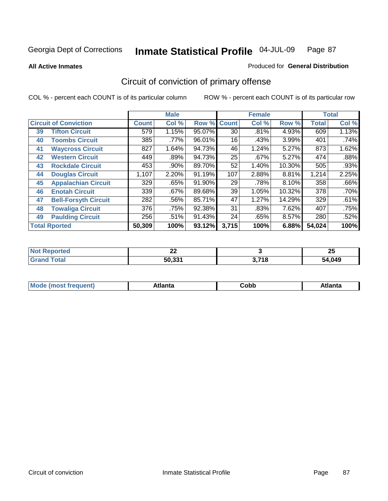**All Active Inmates**

#### Produced for **General Distribution**

## Circuit of conviction of primary offense

|    |                              |              | <b>Male</b> |        |              | <b>Female</b> |        |              | <b>Total</b> |
|----|------------------------------|--------------|-------------|--------|--------------|---------------|--------|--------------|--------------|
|    | <b>Circuit of Conviction</b> | <b>Count</b> | Col %       | Row %  | <b>Count</b> | Col %         | Row %  | <b>Total</b> | Col %        |
| 39 | <b>Tifton Circuit</b>        | 579          | 1.15%       | 95.07% | 30           | .81%          | 4.93%  | 609          | 1.13%        |
| 40 | <b>Toombs Circuit</b>        | 385          | .77%        | 96.01% | 16           | .43%          | 3.99%  | 401          | .74%         |
| 41 | <b>Waycross Circuit</b>      | 827          | 1.64%       | 94.73% | 46           | 1.24%         | 5.27%  | 873          | 1.62%        |
| 42 | <b>Western Circuit</b>       | 449          | .89%        | 94.73% | 25           | .67%          | 5.27%  | 474          | .88%         |
| 43 | <b>Rockdale Circuit</b>      | 453          | .90%        | 89.70% | 52           | 1.40%         | 10.30% | 505          | .93%         |
| 44 | <b>Douglas Circuit</b>       | 1,107        | 2.20%       | 91.19% | 107          | 2.88%         | 8.81%  | 1,214        | 2.25%        |
| 45 | <b>Appalachian Circuit</b>   | 329          | .65%        | 91.90% | 29           | .78%          | 8.10%  | 358          | .66%         |
| 46 | <b>Enotah Circuit</b>        | 339          | .67%        | 89.68% | 39           | 1.05%         | 10.32% | 378          | .70%         |
| 47 | <b>Bell-Forsyth Circuit</b>  | 282          | .56%        | 85.71% | 47           | 1.27%         | 14.29% | 329          | .61%         |
| 48 | <b>Towaliga Circuit</b>      | 376          | .75%        | 92.38% | 31           | .83%          | 7.62%  | 407          | .75%         |
| 49 | <b>Paulding Circuit</b>      | 256          | .51%        | 91.43% | 24           | .65%          | 8.57%  | 280          | .52%         |
|    | <b>Total Rported</b>         | 50,309       | 100%        | 93.12% | 3,715        | 100%          | 6.88%  | 54,024       | 100%         |

| N<br>τeο | $\sim$<br>▴▴ |             | OE.<br>ZJ   |
|----------|--------------|-------------|-------------|
|          | 50.331       | 2.740<br>10 | ,049<br>מרי |

| M, | $+1 - - + -$<br>annu -<br>uu | ∶obb<br>- - - - - | .<br>чна<br>- --------- |
|----|------------------------------|-------------------|-------------------------|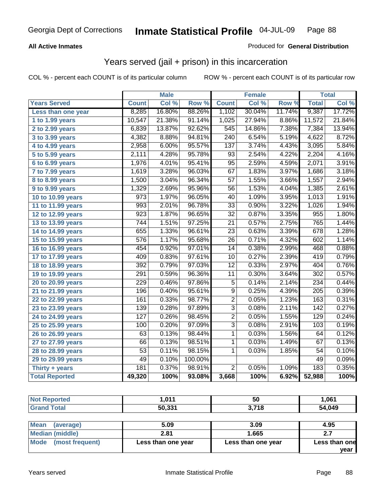#### **All Active Inmates**

#### Produced for **General Distribution**

### Years served (jail + prison) in this incarceration

|                       |                  | <b>Male</b> |         |                 | <b>Female</b> |                  |                  | <b>Total</b> |
|-----------------------|------------------|-------------|---------|-----------------|---------------|------------------|------------------|--------------|
| <b>Years Served</b>   | <b>Count</b>     | Col %       | Row %   | <b>Count</b>    | Col %         | Row <sup>7</sup> | <b>Total</b>     | Col %        |
| Less than one year    | 8,285            | 16.80%      | 88.26%  | 1,102           | 30.04%        | 11.74%           | 9,387            | 17.72%       |
| 1 to 1.99 years       | 10,547           | 21.38%      | 91.14%  | 1,025           | 27.94%        | 8.86%            | 11,572           | 21.84%       |
| 2 to 2.99 years       | 6,839            | 13.87%      | 92.62%  | 545             | 14.86%        | 7.38%            | 7,384            | 13.94%       |
| 3 to 3.99 years       | 4,382            | 8.88%       | 94.81%  | 240             | 6.54%         | 5.19%            | 4,622            | 8.72%        |
| 4 to 4.99 years       | 2,958            | 6.00%       | 95.57%  | 137             | 3.74%         | 4.43%            | 3,095            | 5.84%        |
| 5 to 5.99 years       | 2,111            | 4.28%       | 95.78%  | 93              | 2.54%         | 4.22%            | 2,204            | 4.16%        |
| $6$ to 6.99 years     | 1,976            | 4.01%       | 95.41%  | $\overline{95}$ | 2.59%         | 4.59%            | 2,071            | 3.91%        |
| 7 to 7.99 years       | 1,619            | 3.28%       | 96.03%  | 67              | 1.83%         | 3.97%            | 1,686            | 3.18%        |
| 8 to 8.99 years       | 1,500            | 3.04%       | 96.34%  | $\overline{57}$ | 1.55%         | 3.66%            | 1,557            | 2.94%        |
| 9 to 9.99 years       | 1,329            | 2.69%       | 95.96%  | $\overline{56}$ | 1.53%         | 4.04%            | 1,385            | 2.61%        |
| 10 to 10.99 years     | $\overline{973}$ | 1.97%       | 96.05%  | 40              | 1.09%         | 3.95%            | 1,013            | 1.91%        |
| 11 to 11.99 years     | 993              | 2.01%       | 96.78%  | 33              | 0.90%         | 3.22%            | 1,026            | 1.94%        |
| 12 to 12.99 years     | $\overline{923}$ | 1.87%       | 96.65%  | $\overline{32}$ | 0.87%         | 3.35%            | 955              | 1.80%        |
| 13 to 13.99 years     | 744              | 1.51%       | 97.25%  | $\overline{21}$ | 0.57%         | 2.75%            | 765              | 1.44%        |
| 14 to 14.99 years     | 655              | 1.33%       | 96.61%  | 23              | 0.63%         | 3.39%            | 678              | 1.28%        |
| 15 to 15.99 years     | 576              | 1.17%       | 95.68%  | $\overline{26}$ | 0.71%         | 4.32%            | 602              | 1.14%        |
| 16 to 16.99 years     | 454              | 0.92%       | 97.01%  | $\overline{14}$ | 0.38%         | 2.99%            | 468              | 0.88%        |
| 17 to 17.99 years     | 409              | 0.83%       | 97.61%  | 10              | 0.27%         | 2.39%            | 419              | 0.79%        |
| 18 to 18.99 years     | 392              | 0.79%       | 97.03%  | $\overline{12}$ | 0.33%         | 2.97%            | 404              | 0.76%        |
| 19 to 19.99 years     | 291              | 0.59%       | 96.36%  | $\overline{11}$ | 0.30%         | 3.64%            | $\overline{302}$ | 0.57%        |
| 20 to 20.99 years     | 229              | 0.46%       | 97.86%  | $\overline{5}$  | 0.14%         | 2.14%            | 234              | 0.44%        |
| 21 to 21.99 years     | 196              | 0.40%       | 95.61%  | $\overline{9}$  | 0.25%         | 4.39%            | $\overline{205}$ | 0.39%        |
| 22 to 22.99 years     | 161              | 0.33%       | 98.77%  | $\overline{2}$  | 0.05%         | 1.23%            | 163              | 0.31%        |
| 23 to 23.99 years     | 139              | 0.28%       | 97.89%  | $\overline{3}$  | 0.08%         | 2.11%            | $\overline{142}$ | 0.27%        |
| 24 to 24.99 years     | $\overline{127}$ | 0.26%       | 98.45%  | $\overline{2}$  | 0.05%         | 1.55%            | 129              | 0.24%        |
| 25 to 25.99 years     | 100              | 0.20%       | 97.09%  | $\overline{3}$  | 0.08%         | 2.91%            | 103              | 0.19%        |
| 26 to 26.99 years     | 63               | 0.13%       | 98.44%  | $\mathbf{1}$    | 0.03%         | 1.56%            | 64               | 0.12%        |
| 27 to 27.99 years     | 66               | 0.13%       | 98.51%  | $\mathbf{1}$    | 0.03%         | 1.49%            | 67               | 0.13%        |
| 28 to 28.99 years     | $\overline{53}$  | 0.11%       | 98.15%  | 1               | 0.03%         | 1.85%            | 54               | 0.10%        |
| 29 to 29.99 years     | 49               | 0.10%       | 100.00% |                 |               |                  | 49               | 0.09%        |
| Thirty + years        | 181              | 0.37%       | 98.91%  | $\overline{2}$  | 0.05%         | 1.09%            | 183              | 0.35%        |
| <b>Total Reported</b> | 49,320           | 100%        | 93.08%  | 3,668           | 100%          | 6.92%            | 52,988           | 100%         |

| Reported     | 044                | - -                   | ,061   |
|--------------|--------------------|-----------------------|--------|
| <b>NOT</b>   |                    | ้วบ                   |        |
| <b>Total</b> | 50.33 <sup>4</sup> | 740<br>ა. <i>I</i> Io | 54,049 |

| Mean<br>(average)       | 5.09               | 3.09               | 4.95          |
|-------------------------|--------------------|--------------------|---------------|
| Median (middle)         | 2.81               | 1.665              | z.I           |
| Mode<br>(most frequent) | Less than one year | Less than one year | Less than one |
|                         |                    |                    | vear          |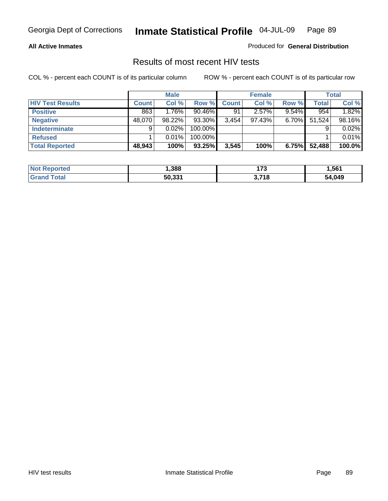#### **All Active Inmates**

Produced for **General Distribution**

### Results of most recent HIV tests

|                         |              | <b>Male</b> |           |              | <b>Female</b> |          |              | Total  |
|-------------------------|--------------|-------------|-----------|--------------|---------------|----------|--------------|--------|
| <b>HIV Test Results</b> | <b>Count</b> | Col %       | Row %     | <b>Count</b> | Col %         | Row %    | <b>Total</b> | Col %  |
| <b>Positive</b>         | 863          | $1.76\%$    | $90.46\%$ | 91           | $2.57\%$      | $9.54\%$ | 954          | 1.82%  |
| <b>Negative</b>         | 48,070       | 98.22%      | 93.30%    | 3,454        | $97.43\%$     | $6.70\%$ | 51,524       | 98.16% |
| <b>Indeterminate</b>    | 9            | $0.02\%$    | 100.00%   |              |               |          |              | 0.02%  |
| <b>Refused</b>          |              | $0.01\%$    | 100.00%   |              |               |          |              | 0.01%  |
| <b>Total Reported</b>   | 48,943       | 100%        | 93.25%    | 3,545        | 100%          | 6.75%    | 52,488       | 100.0% |

| <b>Not</b><br>Reported | .388   | יד ו                 | 561.ا  |
|------------------------|--------|----------------------|--------|
| <b>Grand</b><br>™otal  | 50,331 | <b>2740</b><br>J. 10 | 54,049 |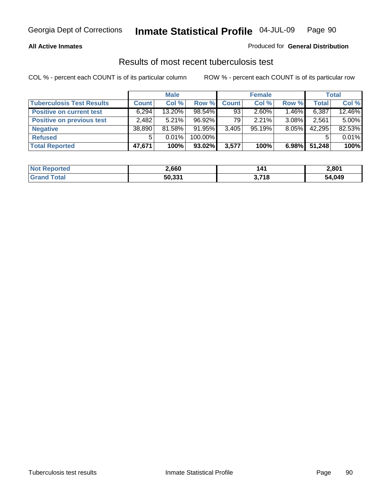#### **All Active Inmates**

#### Produced for **General Distribution**

### Results of most recent tuberculosis test

|                                  |              | <b>Male</b> |         |              | <b>Female</b> |          |              | Total    |
|----------------------------------|--------------|-------------|---------|--------------|---------------|----------|--------------|----------|
| <b>Tuberculosis Test Results</b> | <b>Count</b> | Col %       | Row %   | <b>Count</b> | Col %         | Row %    | <b>Total</b> | Col %    |
| <b>Positive on current test</b>  | 6,294        | 13.20%      | 98.54%  | 93           | 2.60%         | 1.46%    | 6,387        | 12.46%   |
| <b>Positive on previous test</b> | 2,482        | 5.21%       | 96.92%  | 79           | 2.21%         | $3.08\%$ | 2,561        | $5.00\%$ |
| <b>Negative</b>                  | 38,890       | 81.58%      | 91.95%  | 3,405        | 95.19%        | $8.05\%$ | 42,295       | 82.53%   |
| <b>Refused</b>                   | 5            | 0.01%       | 100.00% |              |               |          |              | 0.01%    |
| <b>Total Reported</b>            | 47,671       | 100%        | 93.02%  | 3,577        | 100%          | 6.98%    | 51,248       | 100%     |

| <b>Not Reported</b>     | 2,660  | 14 <sub>1</sub> | 2,801  |
|-------------------------|--------|-----------------|--------|
| <b>Total</b><br>l Grand | 50,331 | 3,718<br>.J.I   | 54,049 |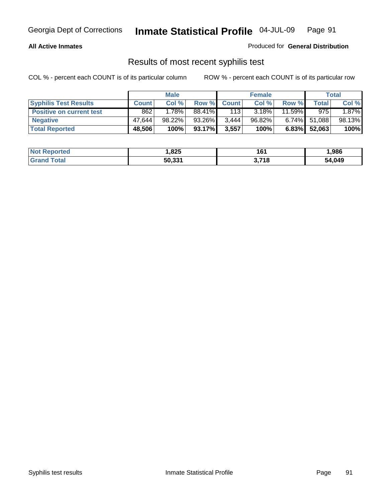#### **All Active Inmates**

#### Produced for **General Distribution**

### Results of most recent syphilis test

|                                 |              | <b>Male</b> |           |                    | <b>Female</b> |           |                 | <b>Total</b> |
|---------------------------------|--------------|-------------|-----------|--------------------|---------------|-----------|-----------------|--------------|
| <b>Syphilis Test Results</b>    | <b>Count</b> | Col %       |           | <b>Row % Count</b> | Col %         | Row %     | Total           | Col %        |
| <b>Positive on current test</b> | 862          | 1.78%       | 88.41%    | 113                | 3.18%         | $11.59\%$ | 975             | 1.87%        |
| <b>Negative</b>                 | 47.644       | 98.22%      | 93.26%    | 3,444              | 96.82%        |           | $6.74\%$ 51,088 | 98.13%       |
| <b>Total Reported</b>           | 48,506       | 100%        | $93.17\%$ | 3,557              | 100%          |           | $6.83\%$ 52,063 | 100%         |

| <b>Not Reported</b> | 825. ا | 161           | 986.   |
|---------------------|--------|---------------|--------|
| <b>Grand Total</b>  | 50,331 | 3,718<br>.J.I | 54,049 |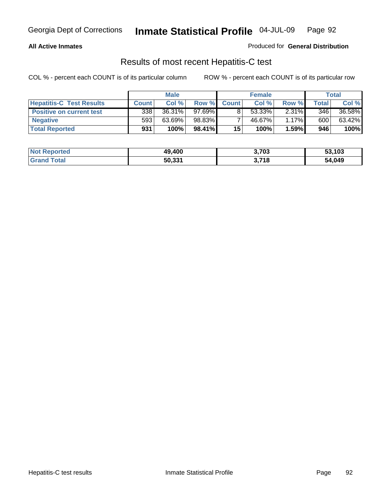#### **All Active Inmates**

#### Produced for **General Distribution**

### Results of most recent Hepatitis-C test

|                                 |              | <b>Male</b> |        |              | <b>Female</b> |          |             | Total  |
|---------------------------------|--------------|-------------|--------|--------------|---------------|----------|-------------|--------|
| <b>Hepatitis-C Test Results</b> | <b>Count</b> | Col %       | Row %I | <b>Count</b> | Col %         | Row %    | $\tau$ otal | Col %  |
| <b>Positive on current test</b> | 338          | 36.31%      | 97.69% |              | 53.33%        | $2.31\%$ | 346         | 36.58% |
| <b>Negative</b>                 | 593          | 63.69%      | 98.83% |              | 46.67%        | $1.17\%$ | 600         | 63.42% |
| <b>Total Reported</b>           | 931          | 100%        | 98.41% | 15           | 100%          | 1.59%    | 946         | 100%   |

| <b>Not Reported</b> | 49,400 | 3,703 | 53,103 |
|---------------------|--------|-------|--------|
| <b>Grand Total</b>  | 50,331 | 3,718 | 54,049 |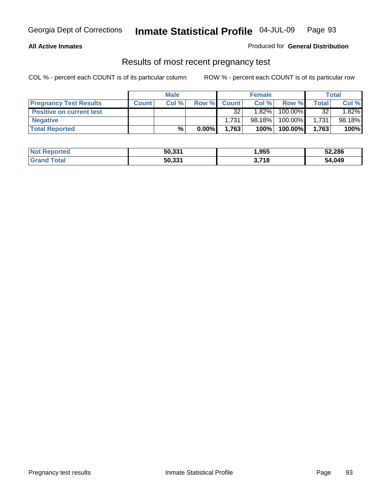#### **All Active Inmates**

#### Produced for **General Distribution**

#### Results of most recent pregnancy test

|                                 | <b>Male</b>  |       | <b>Female</b> |              |          | Total   |              |        |
|---------------------------------|--------------|-------|---------------|--------------|----------|---------|--------------|--------|
| <b>Pregnancy Test Results</b>   | <b>Count</b> | Col % | Row %         | <b>Count</b> | Col %    | Row %   | <b>Total</b> | Col %  |
| <b>Positive on current test</b> |              |       |               | 32           | $1.82\%$ | 100.00% | 32           | 1.82%  |
| <b>Negative</b>                 |              |       |               | 1,731        | 98.18%   | 100.00% | 1,731        | 98.18% |
| <b>Total Reported</b>           |              | %     | $0.00\%$      | 1,763        | 100%     | 100.00% | 1.763        | 100%   |

| <b>Not Reported</b> | 50,331 | 1,955 | 52,286 |
|---------------------|--------|-------|--------|
| <b>Grand Total</b>  | 50,331 | 3,718 | 54,049 |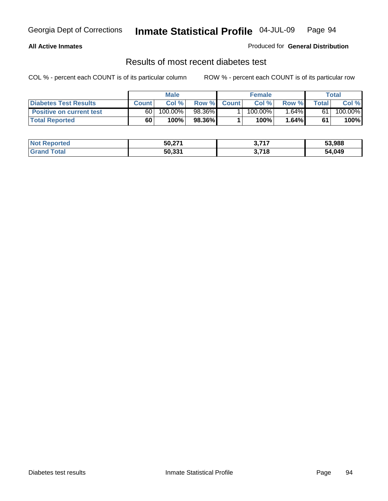#### **All Active Inmates**

#### Produced for **General Distribution**

#### Results of most recent diabetes test

|                                 | <b>Male</b>  |         |        | <b>Female</b> |            |          | Total |         |
|---------------------------------|--------------|---------|--------|---------------|------------|----------|-------|---------|
| <b>Diabetes Test Results</b>    | <b>Count</b> | Col %   | Row %  | <b>Count</b>  | Col %      | Row %I   | Total | Col %   |
| <b>Positive on current test</b> | 60           | 100.00% | 98.36% |               | $100.00\%$ | $1.64\%$ | 61    | 100.00% |
| <b>Total Reported</b>           | 60           | 100%    | 98.36% |               | 100%       | 1.64%    | 61    | 100%    |

| <b>Not Reported</b> | 50,271 | דול מ<br>. J.I               | 53,988 |
|---------------------|--------|------------------------------|--------|
| ୮otal<br>'Grand     | 50,331 | <b>3 74 C</b><br>10<br>. J.I | 54,049 |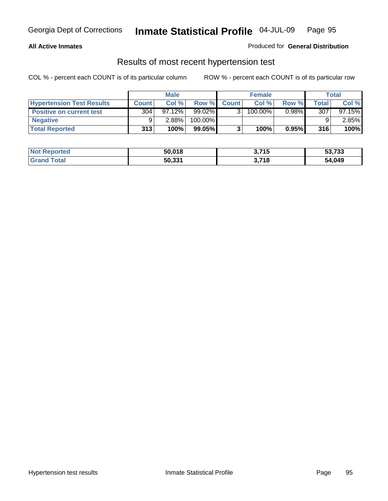#### **All Active Inmates**

#### Produced for **General Distribution**

#### Results of most recent hypertension test

|                                  | <b>Male</b>      |           |           | <b>Female</b> |         |          | <b>Total</b> |           |
|----------------------------------|------------------|-----------|-----------|---------------|---------|----------|--------------|-----------|
| <b>Hypertension Test Results</b> | <b>Count</b>     | Col %     | Row %     | <b>Count</b>  | Col%    | Row %    | Total        | Col %     |
| <b>Positive on current test</b>  | 304 <sub>1</sub> | $97.12\%$ | $99.02\%$ |               | 100.00% | $0.98\%$ | 307          | $97.15\%$ |
| <b>Negative</b>                  |                  | 2.88%     | 100.00%   |               |         |          |              | $2.85\%$  |
| <b>Total Reported</b>            | 313              | 100%      | 99.05%    |               | 100%    | 0.95%    | 316          | 100%      |

| <b>Not Reported</b> | 50,018 | 3,715 | 53,733 |
|---------------------|--------|-------|--------|
| <b>Grand Total</b>  | 50,331 | 3,718 | 54,049 |